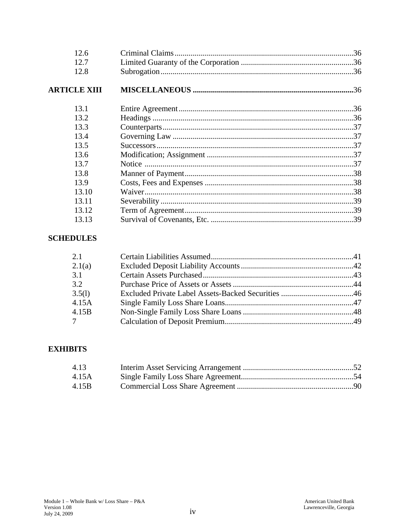| 12.6                |  |
|---------------------|--|
| 12.7                |  |
| 12.8                |  |
| <b>ARTICLE XIII</b> |  |
| 13.1                |  |
| 13.2                |  |
| 13.3                |  |
| 13.4                |  |
| 13.5                |  |
| 13.6                |  |
| 13.7                |  |
| 13.8                |  |
| 13.9                |  |
| 13.10               |  |
| 13.11               |  |
| 13.12               |  |
| 13.13               |  |

## **SCHEDULES**

| 2.1    |  |
|--------|--|
| 2.1(a) |  |
| 3.1    |  |
| 3.2    |  |
| 3.5(l) |  |
| 4.15A  |  |
| 4.15B  |  |
| 7      |  |
|        |  |

## **EXHIBITS**

| 4.13  |  |
|-------|--|
| 4.15A |  |
| 4.15B |  |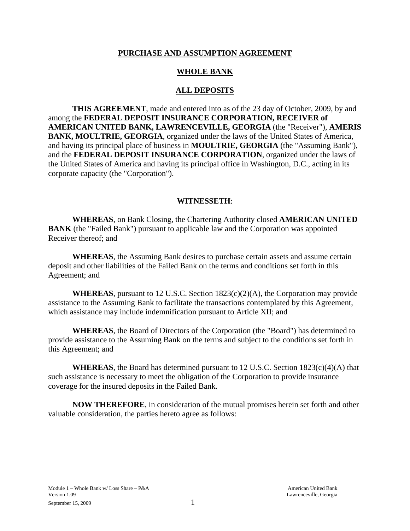#### **PURCHASE AND ASSUMPTION AGREEMENT**

### **WHOLE BANK**

#### **ALL DEPOSITS**

 **THIS AGREEMENT**, made and entered into as of the 23 day of October, 2009, by and among the **FEDERAL DEPOSIT INSURANCE CORPORATION, RECEIVER of AMERICAN UNITED BANK, LAWRENCEVILLE, GEORGIA** (the "Receiver"), **AMERIS BANK, MOULTRIE, GEORGIA**, organized under the laws of the United States of America, and having its principal place of business in **MOULTRIE, GEORGIA** (the "Assuming Bank"), and the **FEDERAL DEPOSIT INSURANCE CORPORATION**, organized under the laws of the United States of America and having its principal office in Washington, D.C., acting in its corporate capacity (the "Corporation").

#### **WITNESSETH**:

**WHEREAS**, on Bank Closing, the Chartering Authority closed **AMERICAN UNITED BANK** (the "Failed Bank") pursuant to applicable law and the Corporation was appointed Receiver thereof; and

**WHEREAS**, the Assuming Bank desires to purchase certain assets and assume certain deposit and other liabilities of the Failed Bank on the terms and conditions set forth in this Agreement; and

**WHEREAS**, pursuant to 12 U.S.C. Section 1823(c)(2)(A), the Corporation may provide assistance to the Assuming Bank to facilitate the transactions contemplated by this Agreement, which assistance may include indemnification pursuant to Article XII; and

**WHEREAS**, the Board of Directors of the Corporation (the "Board") has determined to provide assistance to the Assuming Bank on the terms and subject to the conditions set forth in this Agreement; and

**WHEREAS**, the Board has determined pursuant to 12 U.S.C. Section 1823(c)(4)(A) that such assistance is necessary to meet the obligation of the Corporation to provide insurance coverage for the insured deposits in the Failed Bank.

 **NOW THEREFORE**, in consideration of the mutual promises herein set forth and other valuable consideration, the parties hereto agree as follows: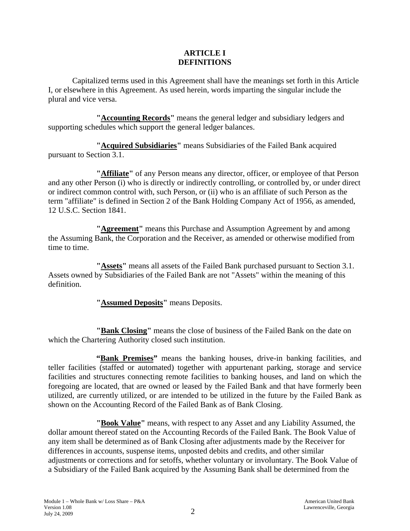#### **DEFINITIONSARTICLE I**

Capitalized terms used in this Agreement shall have the meanings set forth in this Article I, or elsewhere in this Agreement. As used herein, words imparting the singular include the plural and vice versa.

**"Accounting Records"** means the general ledger and subsidiary ledgers and supporting schedules which support the general ledger balances.

**"Acquired Subsidiaries"** means Subsidiaries of the Failed Bank acquired pursuant to Section 3.1.

**"Affiliate"** of any Person means any director, officer, or employee of that Person and any other Person (i) who is directly or indirectly controlling, or controlled by, or under direct or indirect common control with, such Person, or (ii) who is an affiliate of such Person as the term "affiliate" is defined in Section 2 of the Bank Holding Company Act of 1956, as amended, 12 U.S.C. Section 1841.

**"Agreement"** means this Purchase and Assumption Agreement by and among the Assuming Bank, the Corporation and the Receiver, as amended or otherwise modified from time to time.

**"Assets"** means all assets of the Failed Bank purchased pursuant to Section 3.1. Assets owned by Subsidiaries of the Failed Bank are not "Assets" within the meaning of this definition.

**"Assumed Deposits"** means Deposits.

**"Bank Closing"** means the close of business of the Failed Bank on the date on which the Chartering Authority closed such institution.

**"Bank Premises"** means the banking houses, drive-in banking facilities, and teller facilities (staffed or automated) together with appurtenant parking, storage and service facilities and structures connecting remote facilities to banking houses, and land on which the foregoing are located, that are owned or leased by the Failed Bank and that have formerly been utilized, are currently utilized, or are intended to be utilized in the future by the Failed Bank as shown on the Accounting Record of the Failed Bank as of Bank Closing.

**"Book Value"** means, with respect to any Asset and any Liability Assumed, the dollar amount thereof stated on the Accounting Records of the Failed Bank. The Book Value of any item shall be determined as of Bank Closing after adjustments made by the Receiver for differences in accounts, suspense items, unposted debits and credits, and other similar adjustments or corrections and for setoffs, whether voluntary or involuntary. The Book Value of a Subsidiary of the Failed Bank acquired by the Assuming Bank shall be determined from the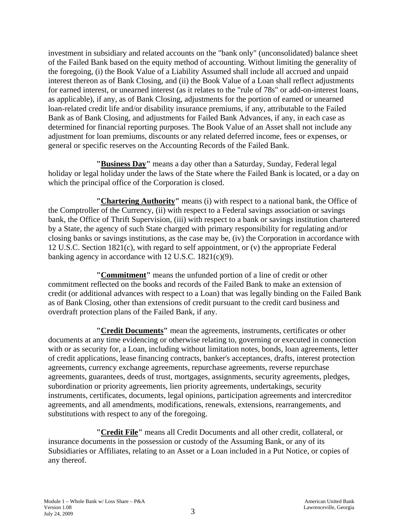investment in subsidiary and related accounts on the "bank only" (unconsolidated) balance sheet of the Failed Bank based on the equity method of accounting. Without limiting the generality of the foregoing, (i) the Book Value of a Liability Assumed shall include all accrued and unpaid interest thereon as of Bank Closing, and (ii) the Book Value of a Loan shall reflect adjustments for earned interest, or unearned interest (as it relates to the "rule of 78s" or add-on-interest loans, as applicable), if any, as of Bank Closing, adjustments for the portion of earned or unearned loan-related credit life and/or disability insurance premiums, if any, attributable to the Failed Bank as of Bank Closing, and adjustments for Failed Bank Advances, if any, in each case as determined for financial reporting purposes. The Book Value of an Asset shall not include any adjustment for loan premiums, discounts or any related deferred income, fees or expenses, or general or specific reserves on the Accounting Records of the Failed Bank.

**"Business Day"** means a day other than a Saturday, Sunday, Federal legal holiday or legal holiday under the laws of the State where the Failed Bank is located, or a day on which the principal office of the Corporation is closed.

**"Chartering Authority"** means (i) with respect to a national bank, the Office of the Comptroller of the Currency, (ii) with respect to a Federal savings association or savings bank, the Office of Thrift Supervision, (iii) with respect to a bank or savings institution chartered by a State, the agency of such State charged with primary responsibility for regulating and/or closing banks or savings institutions, as the case may be, (iv) the Corporation in accordance with 12 U.S.C. Section 1821(c), with regard to self appointment, or (v) the appropriate Federal banking agency in accordance with 12 U.S.C. 1821(c)(9).

**"Commitment"** means the unfunded portion of a line of credit or other commitment reflected on the books and records of the Failed Bank to make an extension of credit (or additional advances with respect to a Loan) that was legally binding on the Failed Bank as of Bank Closing, other than extensions of credit pursuant to the credit card business and overdraft protection plans of the Failed Bank, if any.

**"Credit Documents"** mean the agreements, instruments, certificates or other documents at any time evidencing or otherwise relating to, governing or executed in connection with or as security for, a Loan, including without limitation notes, bonds, loan agreements, letter of credit applications, lease financing contracts, banker's acceptances, drafts, interest protection agreements, currency exchange agreements, repurchase agreements, reverse repurchase agreements, guarantees, deeds of trust, mortgages, assignments, security agreements, pledges, subordination or priority agreements, lien priority agreements, undertakings, security instruments, certificates, documents, legal opinions, participation agreements and intercreditor agreements, and all amendments, modifications, renewals, extensions, rearrangements, and substitutions with respect to any of the foregoing.

**"Credit File"** means all Credit Documents and all other credit, collateral, or insurance documents in the possession or custody of the Assuming Bank, or any of its Subsidiaries or Affiliates, relating to an Asset or a Loan included in a Put Notice, or copies of any thereof.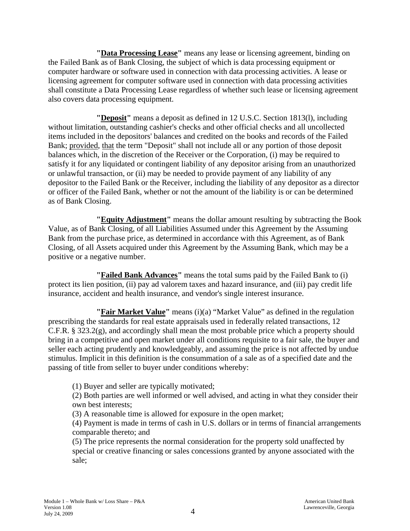**"Data Processing Lease"** means any lease or licensing agreement, binding on the Failed Bank as of Bank Closing, the subject of which is data processing equipment or computer hardware or software used in connection with data processing activities. A lease or licensing agreement for computer software used in connection with data processing activities shall constitute a Data Processing Lease regardless of whether such lease or licensing agreement also covers data processing equipment.

**"Deposit"** means a deposit as defined in 12 U.S.C. Section 1813(l), including without limitation, outstanding cashier's checks and other official checks and all uncollected items included in the depositors' balances and credited on the books and records of the Failed Bank; provided, that the term "Deposit" shall not include all or any portion of those deposit balances which, in the discretion of the Receiver or the Corporation, (i) may be required to satisfy it for any liquidated or contingent liability of any depositor arising from an unauthorized or unlawful transaction, or (ii) may be needed to provide payment of any liability of any depositor to the Failed Bank or the Receiver, including the liability of any depositor as a director or officer of the Failed Bank, whether or not the amount of the liability is or can be determined as of Bank Closing.

**"Equity Adjustment"** means the dollar amount resulting by subtracting the Book Value, as of Bank Closing, of all Liabilities Assumed under this Agreement by the Assuming Bank from the purchase price, as determined in accordance with this Agreement, as of Bank Closing, of all Assets acquired under this Agreement by the Assuming Bank, which may be a positive or a negative number.

**"Failed Bank Advances"** means the total sums paid by the Failed Bank to (i) protect its lien position, (ii) pay ad valorem taxes and hazard insurance, and (iii) pay credit life insurance, accident and health insurance, and vendor's single interest insurance.

**"Fair Market Value"** means (i)(a) "Market Value" as defined in the regulation prescribing the standards for real estate appraisals used in federally related transactions, 12 C.F.R. § 323.2(g), and accordingly shall mean the most probable price which a property should bring in a competitive and open market under all conditions requisite to a fair sale, the buyer and seller each acting prudently and knowledgeably, and assuming the price is not affected by undue stimulus. Implicit in this definition is the consummation of a sale as of a specified date and the passing of title from seller to buyer under conditions whereby:

(1) Buyer and seller are typically motivated;

(2) Both parties are well informed or well advised, and acting in what they consider their own best interests;

(3) A reasonable time is allowed for exposure in the open market;

(4) Payment is made in terms of cash in U.S. dollars or in terms of financial arrangements comparable thereto; and

(5) The price represents the normal consideration for the property sold unaffected by special or creative financing or sales concessions granted by anyone associated with the sale;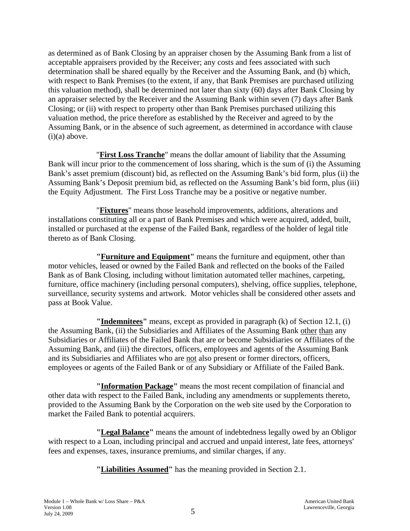as determined as of Bank Closing by an appraiser chosen by the Assuming Bank from a list of acceptable appraisers provided by the Receiver; any costs and fees associated with such determination shall be shared equally by the Receiver and the Assuming Bank, and (b) which, with respect to Bank Premises (to the extent, if any, that Bank Premises are purchased utilizing this valuation method), shall be determined not later than sixty (60) days after Bank Closing by an appraiser selected by the Receiver and the Assuming Bank within seven (7) days after Bank Closing; or (ii) with respect to property other than Bank Premises purchased utilizing this valuation method, the price therefore as established by the Receiver and agreed to by the Assuming Bank, or in the absence of such agreement, as determined in accordance with clause  $(i)(a)$  above.

"**First Loss Tranche**" means the dollar amount of liability that the Assuming Bank will incur prior to the commencement of loss sharing, which is the sum of (i) the Assuming Bank's asset premium (discount) bid, as reflected on the Assuming Bank's bid form, plus (ii) the Assuming Bank's Deposit premium bid, as reflected on the Assuming Bank's bid form, plus (iii) the Equity Adjustment. The First Loss Tranche may be a positive or negative number.

"**Fixtures**" means those leasehold improvements, additions, alterations and installations constituting all or a part of Bank Premises and which were acquired, added, built, installed or purchased at the expense of the Failed Bank, regardless of the holder of legal title thereto as of Bank Closing.

**"Furniture and Equipment"** means the furniture and equipment, other than motor vehicles, leased or owned by the Failed Bank and reflected on the books of the Failed Bank as of Bank Closing, including without limitation automated teller machines, carpeting, furniture, office machinery (including personal computers), shelving, office supplies, telephone, surveillance, security systems and artwork. Motor vehicles shall be considered other assets and pass at Book Value.

**"Indemnitees"** means, except as provided in paragraph (k) of Section 12.1, (i) the Assuming Bank, (ii) the Subsidiaries and Affiliates of the Assuming Bank other than any Subsidiaries or Affiliates of the Failed Bank that are or become Subsidiaries or Affiliates of the Assuming Bank, and (iii) the directors, officers, employees and agents of the Assuming Bank and its Subsidiaries and Affiliates who are not also present or former directors, officers, employees or agents of the Failed Bank or of any Subsidiary or Affiliate of the Failed Bank.

**"Information Package"** means the most recent compilation of financial and other data with respect to the Failed Bank, including any amendments or supplements thereto, provided to the Assuming Bank by the Corporation on the web site used by the Corporation to market the Failed Bank to potential acquirers.

**"Legal Balance"** means the amount of indebtedness legally owed by an Obligor with respect to a Loan, including principal and accrued and unpaid interest, late fees, attorneys' fees and expenses, taxes, insurance premiums, and similar charges, if any.

 **"Liabilities Assumed"** has the meaning provided in Section 2.1.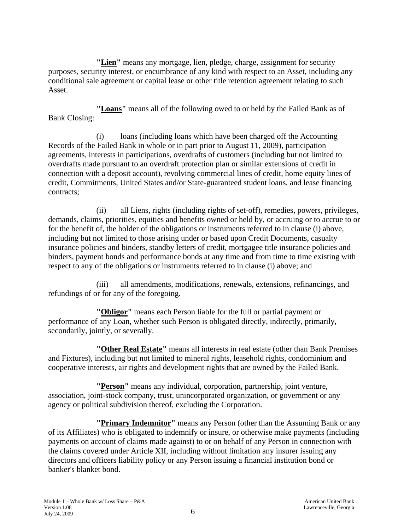**"Lien"** means any mortgage, lien, pledge, charge, assignment for security purposes, security interest, or encumbrance of any kind with respect to an Asset, including any conditional sale agreement or capital lease or other title retention agreement relating to such Asset.

**"Loans"** means all of the following owed to or held by the Failed Bank as of Bank Closing:

(i) loans (including loans which have been charged off the Accounting Records of the Failed Bank in whole or in part prior to August 11, 2009), participation agreements, interests in participations, overdrafts of customers (including but not limited to overdrafts made pursuant to an overdraft protection plan or similar extensions of credit in connection with a deposit account), revolving commercial lines of credit, home equity lines of credit, Commitments, United States and/or State-guaranteed student loans, and lease financing contracts;

(ii) all Liens, rights (including rights of set-off), remedies, powers, privileges, demands, claims, priorities, equities and benefits owned or held by, or accruing or to accrue to or for the benefit of, the holder of the obligations or instruments referred to in clause (i) above, including but not limited to those arising under or based upon Credit Documents, casualty insurance policies and binders, standby letters of credit, mortgagee title insurance policies and binders, payment bonds and performance bonds at any time and from time to time existing with respect to any of the obligations or instruments referred to in clause (i) above; and

(iii) all amendments, modifications, renewals, extensions, refinancings, and refundings of or for any of the foregoing.

**"Obligor"** means each Person liable for the full or partial payment or performance of any Loan, whether such Person is obligated directly, indirectly, primarily, secondarily, jointly, or severally.

**"Other Real Estate"** means all interests in real estate (other than Bank Premises and Fixtures), including but not limited to mineral rights, leasehold rights, condominium and cooperative interests, air rights and development rights that are owned by the Failed Bank.

**"Person"** means any individual, corporation, partnership, joint venture, association, joint-stock company, trust, unincorporated organization, or government or any agency or political subdivision thereof, excluding the Corporation.

**"Primary Indemnitor"** means any Person (other than the Assuming Bank or any of its Affiliates) who is obligated to indemnify or insure, or otherwise make payments (including payments on account of claims made against) to or on behalf of any Person in connection with the claims covered under Article XII, including without limitation any insurer issuing any directors and officers liability policy or any Person issuing a financial institution bond or banker's blanket bond.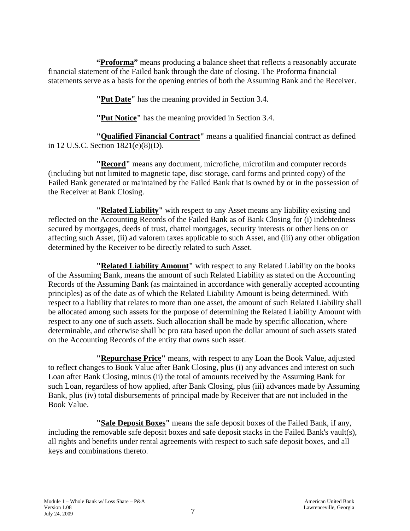**"Proforma"** means producing a balance sheet that reflects a reasonably accurate financial statement of the Failed bank through the date of closing. The Proforma financial statements serve as a basis for the opening entries of both the Assuming Bank and the Receiver.

**"Put Date"** has the meaning provided in Section 3.4.

**"Put Notice"** has the meaning provided in Section 3.4.

**"Qualified Financial Contract"** means a qualified financial contract as defined in 12 U.S.C. Section 1821(e)(8)(D).

**"Record"** means any document, microfiche, microfilm and computer records (including but not limited to magnetic tape, disc storage, card forms and printed copy) of the Failed Bank generated or maintained by the Failed Bank that is owned by or in the possession of the Receiver at Bank Closing.

**"Related Liability"** with respect to any Asset means any liability existing and reflected on the Accounting Records of the Failed Bank as of Bank Closing for (i) indebtedness secured by mortgages, deeds of trust, chattel mortgages, security interests or other liens on or affecting such Asset, (ii) ad valorem taxes applicable to such Asset, and (iii) any other obligation determined by the Receiver to be directly related to such Asset.

**"Related Liability Amount"** with respect to any Related Liability on the books of the Assuming Bank, means the amount of such Related Liability as stated on the Accounting Records of the Assuming Bank (as maintained in accordance with generally accepted accounting principles) as of the date as of which the Related Liability Amount is being determined. With respect to a liability that relates to more than one asset, the amount of such Related Liability shall be allocated among such assets for the purpose of determining the Related Liability Amount with respect to any one of such assets. Such allocation shall be made by specific allocation, where determinable, and otherwise shall be pro rata based upon the dollar amount of such assets stated on the Accounting Records of the entity that owns such asset.

 **"Repurchase Price"** means, with respect to any Loan the Book Value, adjusted to reflect changes to Book Value after Bank Closing, plus (i) any advances and interest on such Loan after Bank Closing, minus (ii) the total of amounts received by the Assuming Bank for such Loan, regardless of how applied, after Bank Closing, plus (iii) advances made by Assuming Bank, plus (iv) total disbursements of principal made by Receiver that are not included in the Book Value.

**"Safe Deposit Boxes"** means the safe deposit boxes of the Failed Bank, if any, including the removable safe deposit boxes and safe deposit stacks in the Failed Bank's vault(s), all rights and benefits under rental agreements with respect to such safe deposit boxes, and all keys and combinations thereto.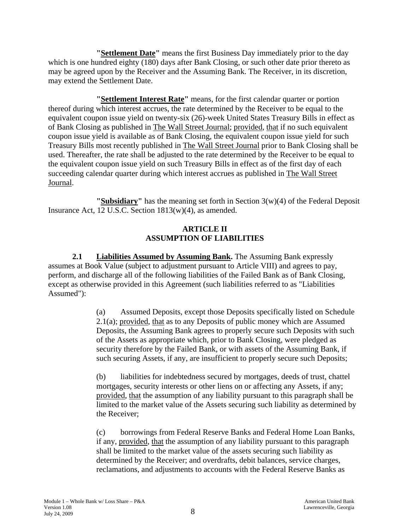**"Settlement Date"** means the first Business Day immediately prior to the day which is one hundred eighty (180) days after Bank Closing, or such other date prior thereto as may be agreed upon by the Receiver and the Assuming Bank. The Receiver, in its discretion, may extend the Settlement Date.

**"Settlement Interest Rate"** means, for the first calendar quarter or portion thereof during which interest accrues, the rate determined by the Receiver to be equal to the equivalent coupon issue yield on twenty-six (26)-week United States Treasury Bills in effect as of Bank Closing as published in The Wall Street Journal; provided, that if no such equivalent coupon issue yield is available as of Bank Closing, the equivalent coupon issue yield for such Treasury Bills most recently published in The Wall Street Journal prior to Bank Closing shall be used. Thereafter, the rate shall be adjusted to the rate determined by the Receiver to be equal to the equivalent coupon issue yield on such Treasury Bills in effect as of the first day of each succeeding calendar quarter during which interest accrues as published in The Wall Street Journal.

**"Subsidiary"** has the meaning set forth in Section 3(w)(4) of the Federal Deposit Insurance Act, 12 U.S.C. Section 1813(w)(4), as amended.

### **ARTICLE II ASSUMPTION OF LIABILITIES**

 **2.1 Liabilities Assumed by Assuming Bank.** The Assuming Bank expressly assumes at Book Value (subject to adjustment pursuant to Article VIII) and agrees to pay, perform, and discharge all of the following liabilities of the Failed Bank as of Bank Closing, except as otherwise provided in this Agreement (such liabilities referred to as "Liabilities Assumed"):

> (a) Assumed Deposits, except those Deposits specifically listed on Schedule 2.1(a); provided, that as to any Deposits of public money which are Assumed Deposits, the Assuming Bank agrees to properly secure such Deposits with such of the Assets as appropriate which, prior to Bank Closing, were pledged as security therefore by the Failed Bank, or with assets of the Assuming Bank, if such securing Assets, if any, are insufficient to properly secure such Deposits;

> (b) liabilities for indebtedness secured by mortgages, deeds of trust, chattel mortgages, security interests or other liens on or affecting any Assets, if any; provided, that the assumption of any liability pursuant to this paragraph shall be limited to the market value of the Assets securing such liability as determined by the Receiver;

> (c) borrowings from Federal Reserve Banks and Federal Home Loan Banks, if any, provided, that the assumption of any liability pursuant to this paragraph shall be limited to the market value of the assets securing such liability as determined by the Receiver; and overdrafts, debit balances, service charges, reclamations, and adjustments to accounts with the Federal Reserve Banks as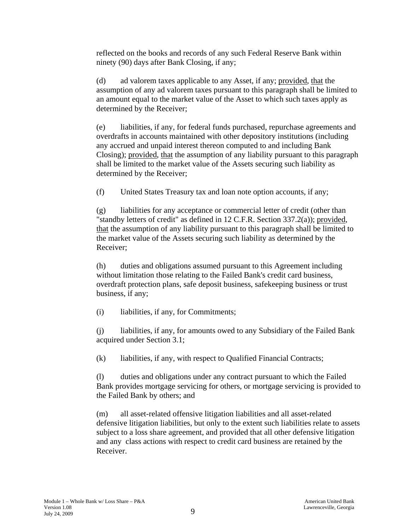reflected on the books and records of any such Federal Reserve Bank within ninety (90) days after Bank Closing, if any;

(d) ad valorem taxes applicable to any Asset, if any; provided, that the assumption of any ad valorem taxes pursuant to this paragraph shall be limited to an amount equal to the market value of the Asset to which such taxes apply as determined by the Receiver;

(e) liabilities, if any, for federal funds purchased, repurchase agreements and overdrafts in accounts maintained with other depository institutions (including any accrued and unpaid interest thereon computed to and including Bank Closing); provided, that the assumption of any liability pursuant to this paragraph shall be limited to the market value of the Assets securing such liability as determined by the Receiver;

(f) United States Treasury tax and loan note option accounts, if any;

(g) liabilities for any acceptance or commercial letter of credit (other than "standby letters of credit" as defined in 12 C.F.R. Section 337.2(a)); provided, that the assumption of any liability pursuant to this paragraph shall be limited to the market value of the Assets securing such liability as determined by the Receiver;

(h) duties and obligations assumed pursuant to this Agreement including without limitation those relating to the Failed Bank's credit card business, overdraft protection plans, safe deposit business, safekeeping business or trust business, if any;

(i) liabilities, if any, for Commitments;

(j) liabilities, if any, for amounts owed to any Subsidiary of the Failed Bank acquired under Section 3.1;

(k) liabilities, if any, with respect to Qualified Financial Contracts;

(l) duties and obligations under any contract pursuant to which the Failed Bank provides mortgage servicing for others, or mortgage servicing is provided to the Failed Bank by others; and

(m) all asset-related offensive litigation liabilities and all asset-related defensive litigation liabilities, but only to the extent such liabilities relate to assets subject to a loss share agreement, and provided that all other defensive litigation and any class actions with respect to credit card business are retained by the Receiver.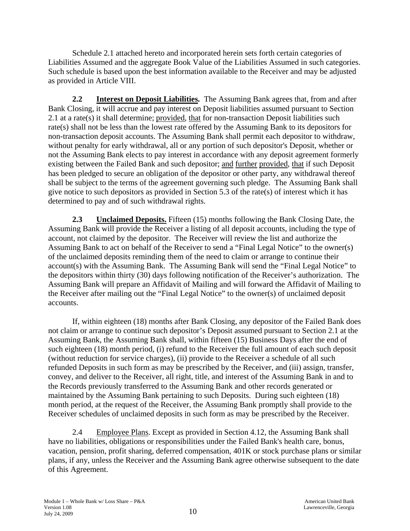Schedule 2.1 attached hereto and incorporated herein sets forth certain categories of Liabilities Assumed and the aggregate Book Value of the Liabilities Assumed in such categories. Such schedule is based upon the best information available to the Receiver and may be adjusted as provided in Article VIII.

**2.2** Interest on Deposit Liabilities. The Assuming Bank agrees that, from and after Bank Closing, it will accrue and pay interest on Deposit liabilities assumed pursuant to Section 2.1 at a rate(s) it shall determine; provided, that for non-transaction Deposit liabilities such rate(s) shall not be less than the lowest rate offered by the Assuming Bank to its depositors for non-transaction deposit accounts. The Assuming Bank shall permit each depositor to withdraw, without penalty for early withdrawal, all or any portion of such depositor's Deposit, whether or not the Assuming Bank elects to pay interest in accordance with any deposit agreement formerly existing between the Failed Bank and such depositor; and further provided, that if such Deposit has been pledged to secure an obligation of the depositor or other party, any withdrawal thereof shall be subject to the terms of the agreement governing such pledge. The Assuming Bank shall give notice to such depositors as provided in Section 5.3 of the rate(s) of interest which it has determined to pay and of such withdrawal rights.

**2.3 Unclaimed Deposits.** Fifteen (15) months following the Bank Closing Date, the Assuming Bank will provide the Receiver a listing of all deposit accounts, including the type of account, not claimed by the depositor. The Receiver will review the list and authorize the Assuming Bank to act on behalf of the Receiver to send a "Final Legal Notice" to the owner(s) of the unclaimed deposits reminding them of the need to claim or arrange to continue their account(s) with the Assuming Bank. The Assuming Bank will send the "Final Legal Notice" to the depositors within thirty (30) days following notification of the Receiver's authorization. The Assuming Bank will prepare an Affidavit of Mailing and will forward the Affidavit of Mailing to the Receiver after mailing out the "Final Legal Notice" to the owner(s) of unclaimed deposit accounts.

If, within eighteen (18) months after Bank Closing, any depositor of the Failed Bank does not claim or arrange to continue such depositor's Deposit assumed pursuant to Section 2.1 at the Assuming Bank, the Assuming Bank shall, within fifteen (15) Business Days after the end of such eighteen (18) month period, (i) refund to the Receiver the full amount of each such deposit (without reduction for service charges), (ii) provide to the Receiver a schedule of all such refunded Deposits in such form as may be prescribed by the Receiver, and (iii) assign, transfer, convey, and deliver to the Receiver, all right, title, and interest of the Assuming Bank in and to the Records previously transferred to the Assuming Bank and other records generated or maintained by the Assuming Bank pertaining to such Deposits. During such eighteen (18) month period, at the request of the Receiver, the Assuming Bank promptly shall provide to the Receiver schedules of unclaimed deposits in such form as may be prescribed by the Receiver.

2.4 Employee Plans. Except as provided in Section 4.12, the Assuming Bank shall have no liabilities, obligations or responsibilities under the Failed Bank's health care, bonus, vacation, pension, profit sharing, deferred compensation, 401K or stock purchase plans or similar plans, if any, unless the Receiver and the Assuming Bank agree otherwise subsequent to the date of this Agreement.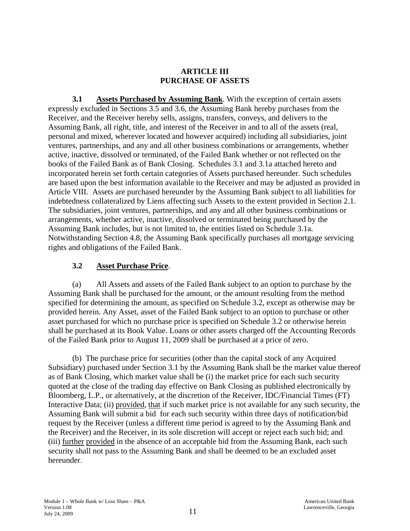#### **ARTICLE III PURCHASE OF ASSETS**

Assuming Bank includes, but is not limited to, the entities listed on Schedule 3.1a. **3.1** Assets Purchased by Assuming Bank. With the exception of certain assets expressly excluded in Sections 3.5 and 3.6, the Assuming Bank hereby purchases from the Receiver, and the Receiver hereby sells, assigns, transfers, conveys, and delivers to the Assuming Bank, all right, title, and interest of the Receiver in and to all of the assets (real, personal and mixed, wherever located and however acquired) including all subsidiaries, joint ventures, partnerships, and any and all other business combinations or arrangements, whether active, inactive, dissolved or terminated, of the Failed Bank whether or not reflected on the books of the Failed Bank as of Bank Closing. Schedules 3.1 and 3.1a attached hereto and incorporated herein set forth certain categories of Assets purchased hereunder. Such schedules are based upon the best information available to the Receiver and may be adjusted as provided in Article VIII. Assets are purchased hereunder by the Assuming Bank subject to all liabilities for indebtedness collateralized by Liens affecting such Assets to the extent provided in Section 2.1. The subsidiaries, joint ventures, partnerships, and any and all other business combinations or arrangements, whether active, inactive, dissolved or terminated being purchased by the Notwithstanding Section 4.8, the Assuming Bank specifically purchases all mortgage servicing rights and obligations of the Failed Bank.

#### **3.2 Asset Purchase Price**.

(a) All Assets and assets of the Failed Bank subject to an option to purchase by the Assuming Bank shall be purchased for the amount, or the amount resulting from the method specified for determining the amount, as specified on Schedule 3.2, except as otherwise may be provided herein. Any Asset, asset of the Failed Bank subject to an option to purchase or other asset purchased for which no purchase price is specified on Schedule 3.2 or otherwise herein shall be purchased at its Book Value. Loans or other assets charged off the Accounting Records of the Failed Bank prior to August 11, 2009 shall be purchased at a price of zero.

(b) The purchase price for securities (other than the capital stock of any Acquired Subsidiary) purchased under Section 3.1 by the Assuming Bank shall be the market value thereof as of Bank Closing, which market value shall be (i) the market price for each such security quoted at the close of the trading day effective on Bank Closing as published electronically by Bloomberg, L.P., or alternatively, at the discretion of the Receiver, IDC/Financial Times (FT) Interactive Data; (ii) provided, that if such market price is not available for any such security, the Assuming Bank will submit a bid for each such security within three days of notification/bid request by the Receiver (unless a different time period is agreed to by the Assuming Bank and the Receiver) and the Receiver, in its sole discretion will accept or reject each such bid; and (iii) further provided in the absence of an acceptable bid from the Assuming Bank, each such security shall not pass to the Assuming Bank and shall be deemed to be an excluded asset hereunder.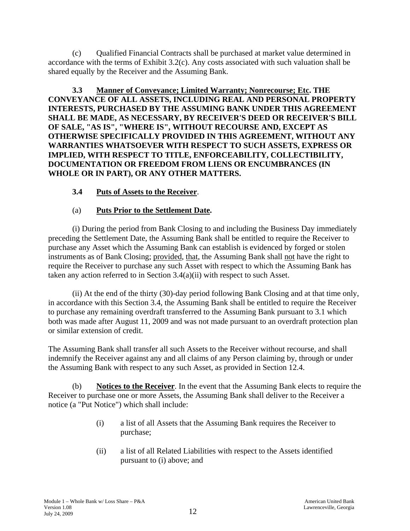(c) Qualified Financial Contracts shall be purchased at market value determined in accordance with the terms of Exhibit 3.2(c). Any costs associated with such valuation shall be shared equally by the Receiver and the Assuming Bank.

**3.3 Manner of Conveyance; Limited Warranty; Nonrecourse; Etc. THE CONVEYANCE OF ALL ASSETS, INCLUDING REAL AND PERSONAL PROPERTY INTERESTS, PURCHASED BY THE ASSUMING BANK UNDER THIS AGREEMENT SHALL BE MADE, AS NECESSARY, BY RECEIVER'S DEED OR RECEIVER'S BILL OF SALE, "AS IS", "WHERE IS", WITHOUT RECOURSE AND, EXCEPT AS OTHERWISE SPECIFICALLY PROVIDED IN THIS AGREEMENT, WITHOUT ANY WARRANTIES WHATSOEVER WITH RESPECT TO SUCH ASSETS, EXPRESS OR IMPLIED, WITH RESPECT TO TITLE, ENFORCEABILITY, COLLECTIBILITY, DOCUMENTATION OR FREEDOM FROM LIENS OR ENCUMBRANCES (IN WHOLE OR IN PART), OR ANY OTHER MATTERS.** 

#### $3.4$ Puts of Assets to the Receiver.

## (a) **Puts Prior to the Settlement Date.**

(i) During the period from Bank Closing to and including the Business Day immediately preceding the Settlement Date, the Assuming Bank shall be entitled to require the Receiver to purchase any Asset which the Assuming Bank can establish is evidenced by forged or stolen instruments as of Bank Closing; provided, that, the Assuming Bank shall not have the right to require the Receiver to purchase any such Asset with respect to which the Assuming Bank has taken any action referred to in Section 3.4(a)(ii) with respect to such Asset.

(ii) At the end of the thirty (30)-day period following Bank Closing and at that time only, in accordance with this Section 3.4, the Assuming Bank shall be entitled to require the Receiver to purchase any remaining overdraft transferred to the Assuming Bank pursuant to 3.1 which both was made after August 11, 2009 and was not made pursuant to an overdraft protection plan or similar extension of credit.

The Assuming Bank shall transfer all such Assets to the Receiver without recourse, and shall indemnify the Receiver against any and all claims of any Person claiming by, through or under the Assuming Bank with respect to any such Asset, as provided in Section 12.4.

(b) **Notices to the Receiver**. In the event that the Assuming Bank elects to require the Receiver to purchase one or more Assets, the Assuming Bank shall deliver to the Receiver a notice (a "Put Notice") which shall include:

- $(i)$ a list of all Assets that the Assuming Bank requires the Receiver to purchase;
- $(ii)$ a list of all Related Liabilities with respect to the Assets identified pursuant to (i) above; and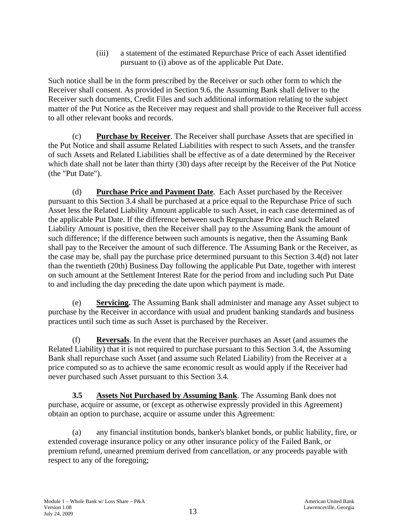(iii) a statement of the estimated Repurchase Price of each Asset identified pursuant to (i) above as of the applicable Put Date.

Such notice shall be in the form prescribed by the Receiver or such other form to which the Receiver shall consent. As provided in Section 9.6, the Assuming Bank shall deliver to the Receiver such documents, Credit Files and such additional information relating to the subject matter of the Put Notice as the Receiver may request and shall provide to the Receiver full access to all other relevant books and records.

(c) **Purchase by Receiver**. The Receiver shall purchase Assets that are specified in the Put Notice and shall assume Related Liabilities with respect to such Assets, and the transfer of such Assets and Related Liabilities shall be effective as of a date determined by the Receiver which date shall not be later than thirty (30) days after receipt by the Receiver of the Put Notice (the "Put Date").

(d) **Purchase Price and Payment Date**. Each Asset purchased by the Receiver pursuant to this Section 3.4 shall be purchased at a price equal to the Repurchase Price of such Asset less the Related Liability Amount applicable to such Asset, in each case determined as of the applicable Put Date. If the difference between such Repurchase Price and such Related Liability Amount is positive, then the Receiver shall pay to the Assuming Bank the amount of such difference; if the difference between such amounts is negative, then the Assuming Bank shall pay to the Receiver the amount of such difference. The Assuming Bank or the Receiver, as the case may be, shall pay the purchase price determined pursuant to this Section 3.4(d) not later than the twentieth (20th) Business Day following the applicable Put Date, together with interest on such amount at the Settlement Interest Rate for the period from and including such Put Date to and including the day preceding the date upon which payment is made.

(e) **Servicing.** The Assuming Bank shall administer and manage any Asset subject to purchase by the Receiver in accordance with usual and prudent banking standards and business practices until such time as such Asset is purchased by the Receiver.

(f) **Reversals**. In the event that the Receiver purchases an Asset (and assumes the Related Liability) that it is not required to purchase pursuant to this Section 3.4, the Assuming Bank shall repurchase such Asset (and assume such Related Liability) from the Receiver at a price computed so as to achieve the same economic result as would apply if the Receiver had never purchased such Asset pursuant to this Section 3.4.

**3.5 Assets Not Purchased by Assuming Bank**. The Assuming Bank does not purchase, acquire or assume, or (except as otherwise expressly provided in this Agreement) obtain an option to purchase, acquire or assume under this Agreement:

(a) any financial institution bonds, banker's blanket bonds, or public liability, fire, or extended coverage insurance policy or any other insurance policy of the Failed Bank, or premium refund, unearned premium derived from cancellation, or any proceeds payable with respect to any of the foregoing;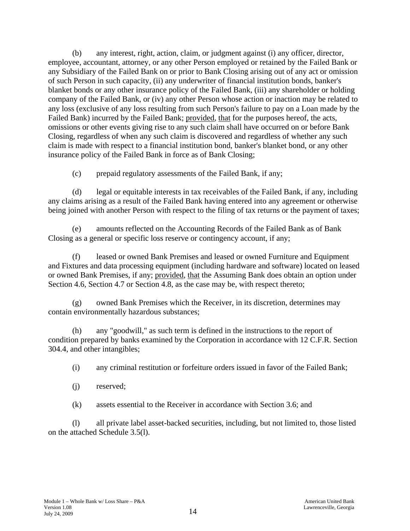(b) any interest, right, action, claim, or judgment against (i) any officer, director, employee, accountant, attorney, or any other Person employed or retained by the Failed Bank or any Subsidiary of the Failed Bank on or prior to Bank Closing arising out of any act or omission of such Person in such capacity, (ii) any underwriter of financial institution bonds, banker's blanket bonds or any other insurance policy of the Failed Bank, (iii) any shareholder or holding company of the Failed Bank, or (iv) any other Person whose action or inaction may be related to any loss (exclusive of any loss resulting from such Person's failure to pay on a Loan made by the Failed Bank) incurred by the Failed Bank; provided, that for the purposes hereof, the acts, omissions or other events giving rise to any such claim shall have occurred on or before Bank Closing, regardless of when any such claim is discovered and regardless of whether any such claim is made with respect to a financial institution bond, banker's blanket bond, or any other insurance policy of the Failed Bank in force as of Bank Closing;

(c) prepaid regulatory assessments of the Failed Bank, if any;

(d) legal or equitable interests in tax receivables of the Failed Bank, if any, including any claims arising as a result of the Failed Bank having entered into any agreement or otherwise being joined with another Person with respect to the filing of tax returns or the payment of taxes;

(e) amounts reflected on the Accounting Records of the Failed Bank as of Bank Closing as a general or specific loss reserve or contingency account, if any;

(f) leased or owned Bank Premises and leased or owned Furniture and Equipment and Fixtures and data processing equipment (including hardware and software) located on leased or owned Bank Premises, if any; provided, that the Assuming Bank does obtain an option under Section 4.6, Section 4.7 or Section 4.8, as the case may be, with respect thereto;

(g) owned Bank Premises which the Receiver, in its discretion, determines may contain environmentally hazardous substances;

(h) any "goodwill," as such term is defined in the instructions to the report of condition prepared by banks examined by the Corporation in accordance with 12 C.F.R. Section 304.4, and other intangibles;

(i) any criminal restitution or forfeiture orders issued in favor of the Failed Bank;

(j) reserved;

(k) assets essential to the Receiver in accordance with Section 3.6; and

(l) all private label asset-backed securities, including, but not limited to, those listed on the attached Schedule 3.5(l).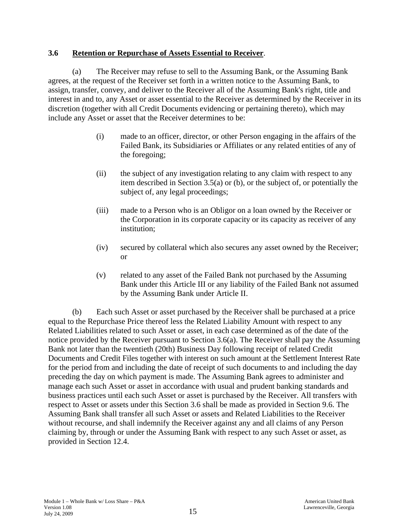#### $3.6$ **3.6Retention or Repurchase of Assets Essential to Receiver**.

(a) The Receiver may refuse to sell to the Assuming Bank, or the Assuming Bank agrees, at the request of the Receiver set forth in a written notice to the Assuming Bank, to assign, transfer, convey, and deliver to the Receiver all of the Assuming Bank's right, title and interest in and to, any Asset or asset essential to the Receiver as determined by the Receiver in its discretion (together with all Credit Documents evidencing or pertaining thereto), which may include any Asset or asset that the Receiver determines to be:

- (i) made to an officer, director, or other Person engaging in the affairs of the Failed Bank, its Subsidiaries or Affiliates or any related entities of any of the foregoing;
- (ii) the subject of any investigation relating to any claim with respect to any item described in Section 3.5(a) or (b), or the subject of, or potentially the subject of, any legal proceedings;
- (iii) made to a Person who is an Obligor on a loan owned by the Receiver or the Corporation in its corporate capacity or its capacity as receiver of any institution;
- (iv) secured by collateral which also secures any asset owned by the Receiver; or
- $(v)$ related to any asset of the Failed Bank not purchased by the Assuming Bank under this Article III or any liability of the Failed Bank not assumed by the Assuming Bank under Article II.

(b) Each such Asset or asset purchased by the Receiver shall be purchased at a price equal to the Repurchase Price thereof less the Related Liability Amount with respect to any Related Liabilities related to such Asset or asset, in each case determined as of the date of the notice provided by the Receiver pursuant to Section 3.6(a). The Receiver shall pay the Assuming Bank not later than the twentieth (20th) Business Day following receipt of related Credit Documents and Credit Files together with interest on such amount at the Settlement Interest Rate for the period from and including the date of receipt of such documents to and including the day preceding the day on which payment is made. The Assuming Bank agrees to administer and manage each such Asset or asset in accordance with usual and prudent banking standards and business practices until each such Asset or asset is purchased by the Receiver. All transfers with respect to Asset or assets under this Section 3.6 shall be made as provided in Section 9.6. The Assuming Bank shall transfer all such Asset or assets and Related Liabilities to the Receiver without recourse, and shall indemnify the Receiver against any and all claims of any Person claiming by, through or under the Assuming Bank with respect to any such Asset or asset, as provided in Section 12.4.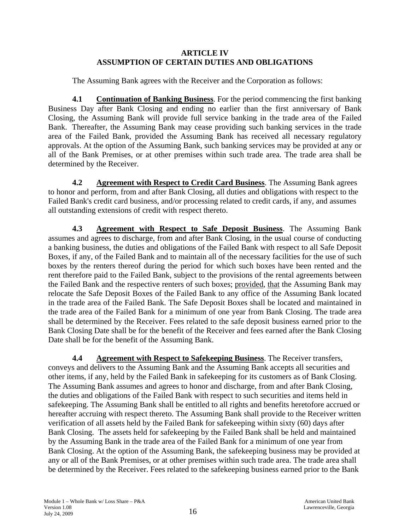#### **ASSUMPTION OF CERTAIN DUTIES AND OBLIGATIONSARTICLE IV**

The Assuming Bank agrees with the Receiver and the Corporation as follows:

**4.1** Continuation of Banking Business. For the period commencing the first banking Business Day after Bank Closing and ending no earlier than the first anniversary of Bank Closing, the Assuming Bank will provide full service banking in the trade area of the Failed Bank. Thereafter, the Assuming Bank may cease providing such banking services in the trade area of the Failed Bank, provided the Assuming Bank has received all necessary regulatory approvals. At the option of the Assuming Bank, such banking services may be provided at any or all of the Bank Premises, or at other premises within such trade area. The trade area shall be determined by the Receiver.

**4.2 Agreement with Respect to Credit Card Business**. The Assuming Bank agrees to honor and perform, from and after Bank Closing, all duties and obligations with respect to the Failed Bank's credit card business, and/or processing related to credit cards, if any, and assumes all outstanding extensions of credit with respect thereto.

**4.3 Agreement with Respect to Safe Deposit Business**. The Assuming Bank assumes and agrees to discharge, from and after Bank Closing, in the usual course of conducting a banking business, the duties and obligations of the Failed Bank with respect to all Safe Deposit Boxes, if any, of the Failed Bank and to maintain all of the necessary facilities for the use of such boxes by the renters thereof during the period for which such boxes have been rented and the rent therefore paid to the Failed Bank, subject to the provisions of the rental agreements between the Failed Bank and the respective renters of such boxes; provided, that the Assuming Bank may relocate the Safe Deposit Boxes of the Failed Bank to any office of the Assuming Bank located in the trade area of the Failed Bank. The Safe Deposit Boxes shall be located and maintained in the trade area of the Failed Bank for a minimum of one year from Bank Closing. The trade area shall be determined by the Receiver. Fees related to the safe deposit business earned prior to the Bank Closing Date shall be for the benefit of the Receiver and fees earned after the Bank Closing Date shall be for the benefit of the Assuming Bank.

**4.4 Agreement with Respect to Safekeeping Business**. The Receiver transfers, conveys and delivers to the Assuming Bank and the Assuming Bank accepts all securities and other items, if any, held by the Failed Bank in safekeeping for its customers as of Bank Closing. The Assuming Bank assumes and agrees to honor and discharge, from and after Bank Closing, the duties and obligations of the Failed Bank with respect to such securities and items held in safekeeping. The Assuming Bank shall be entitled to all rights and benefits heretofore accrued or hereafter accruing with respect thereto. The Assuming Bank shall provide to the Receiver written verification of all assets held by the Failed Bank for safekeeping within sixty (60) days after Bank Closing. The assets held for safekeeping by the Failed Bank shall be held and maintained by the Assuming Bank in the trade area of the Failed Bank for a minimum of one year from Bank Closing. At the option of the Assuming Bank, the safekeeping business may be provided at any or all of the Bank Premises, or at other premises within such trade area. The trade area shall be determined by the Receiver. Fees related to the safekeeping business earned prior to the Bank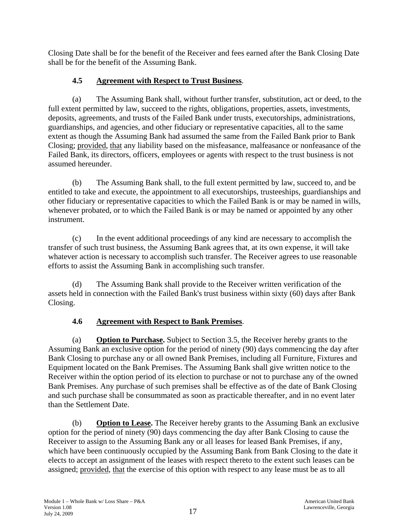Closing Date shall be for the benefit of the Receiver and fees earned after the Bank Closing Date shall be for the benefit of the Assuming Bank.

# **4.5 Agreement with Respect to Trust Business**.

(a) The Assuming Bank shall, without further transfer, substitution, act or deed, to the full extent permitted by law, succeed to the rights, obligations, properties, assets, investments, deposits, agreements, and trusts of the Failed Bank under trusts, executorships, administrations, guardianships, and agencies, and other fiduciary or representative capacities, all to the same extent as though the Assuming Bank had assumed the same from the Failed Bank prior to Bank Closing; provided, that any liability based on the misfeasance, malfeasance or nonfeasance of the Failed Bank, its directors, officers, employees or agents with respect to the trust business is not assumed hereunder.

(b) The Assuming Bank shall, to the full extent permitted by law, succeed to, and be entitled to take and execute, the appointment to all executorships, trusteeships, guardianships and other fiduciary or representative capacities to which the Failed Bank is or may be named in wills, whenever probated, or to which the Failed Bank is or may be named or appointed by any other instrument.

(c) In the event additional proceedings of any kind are necessary to accomplish the transfer of such trust business, the Assuming Bank agrees that, at its own expense, it will take whatever action is necessary to accomplish such transfer. The Receiver agrees to use reasonable efforts to assist the Assuming Bank in accomplishing such transfer.

(d) The Assuming Bank shall provide to the Receiver written verification of the assets held in connection with the Failed Bank's trust business within sixty (60) days after Bank Closing.

# **4.6 Agreement with Respect to Bank Premises**.

(a) **Option to Purchase.** Subject to Section 3.5, the Receiver hereby grants to the Assuming Bank an exclusive option for the period of ninety (90) days commencing the day after Bank Closing to purchase any or all owned Bank Premises, including all Furniture, Fixtures and Equipment located on the Bank Premises. The Assuming Bank shall give written notice to the Receiver within the option period of its election to purchase or not to purchase any of the owned Bank Premises. Any purchase of such premises shall be effective as of the date of Bank Closing and such purchase shall be consummated as soon as practicable thereafter, and in no event later than the Settlement Date.

(b) **Option to Lease.** The Receiver hereby grants to the Assuming Bank an exclusive option for the period of ninety (90) days commencing the day after Bank Closing to cause the Receiver to assign to the Assuming Bank any or all leases for leased Bank Premises, if any, which have been continuously occupied by the Assuming Bank from Bank Closing to the date it elects to accept an assignment of the leases with respect thereto to the extent such leases can be assigned; provided, that the exercise of this option with respect to any lease must be as to all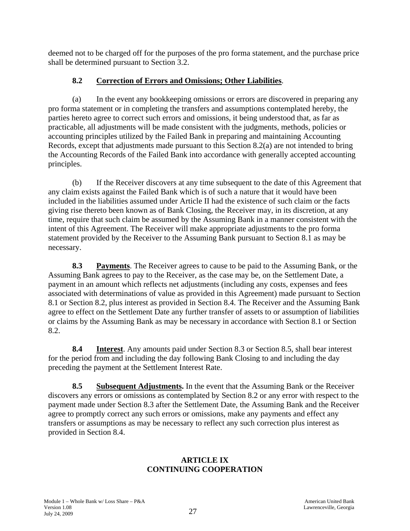deemed not to be charged off for the purposes of the pro forma statement, and the purchase price shall be determined pursuant to Section 3.2.

## **8.2 Correction of Errors and Omissions; Other Liabilities**.

(a) In the event any bookkeeping omissions or errors are discovered in preparing any pro forma statement or in completing the transfers and assumptions contemplated hereby, the parties hereto agree to correct such errors and omissions, it being understood that, as far as practicable, all adjustments will be made consistent with the judgments, methods, policies or accounting principles utilized by the Failed Bank in preparing and maintaining Accounting Records, except that adjustments made pursuant to this Section 8.2(a) are not intended to bring the Accounting Records of the Failed Bank into accordance with generally accepted accounting principles.

(b) If the Receiver discovers at any time subsequent to the date of this Agreement that any claim exists against the Failed Bank which is of such a nature that it would have been included in the liabilities assumed under Article II had the existence of such claim or the facts giving rise thereto been known as of Bank Closing, the Receiver may, in its discretion, at any time, require that such claim be assumed by the Assuming Bank in a manner consistent with the intent of this Agreement. The Receiver will make appropriate adjustments to the pro forma statement provided by the Receiver to the Assuming Bank pursuant to Section 8.1 as may be necessary.

**8.3 Payments**. The Receiver agrees to cause to be paid to the Assuming Bank, or the Assuming Bank agrees to pay to the Receiver, as the case may be, on the Settlement Date, a payment in an amount which reflects net adjustments (including any costs, expenses and fees associated with determinations of value as provided in this Agreement) made pursuant to Section 8.1 or Section 8.2, plus interest as provided in Section 8.4. The Receiver and the Assuming Bank agree to effect on the Settlement Date any further transfer of assets to or assumption of liabilities or claims by the Assuming Bank as may be necessary in accordance with Section 8.1 or Section 8.2.

**8.4 Interest**. Any amounts paid under Section 8.3 or Section 8.5, shall bear interest for the period from and including the day following Bank Closing to and including the day preceding the payment at the Settlement Interest Rate.

**8.5 Subsequent Adjustments.** In the event that the Assuming Bank or the Receiver discovers any errors or omissions as contemplated by Section 8.2 or any error with respect to the payment made under Section 8.3 after the Settlement Date, the Assuming Bank and the Receiver agree to promptly correct any such errors or omissions, make any payments and effect any transfers or assumptions as may be necessary to reflect any such correction plus interest as provided in Section 8.4.

## **ARTICLE IX CONTINUING COOPERATION**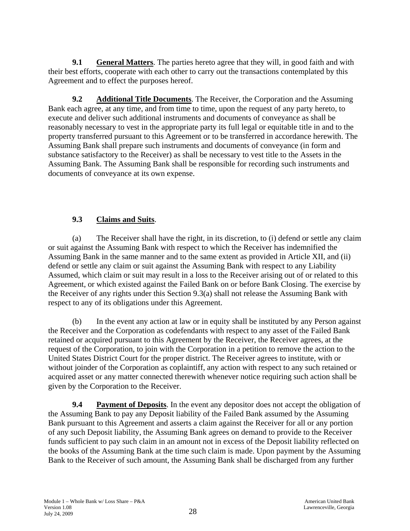**9.1** General Matters. The parties hereto agree that they will, in good faith and with their best efforts, cooperate with each other to carry out the transactions contemplated by this Agreement and to effect the purposes hereof.

**9.2** Additional Title Documents. The Receiver, the Corporation and the Assuming Bank each agree, at any time, and from time to time, upon the request of any party hereto, to execute and deliver such additional instruments and documents of conveyance as shall be reasonably necessary to vest in the appropriate party its full legal or equitable title in and to the property transferred pursuant to this Agreement or to be transferred in accordance herewith. The Assuming Bank shall prepare such instruments and documents of conveyance (in form and substance satisfactory to the Receiver) as shall be necessary to vest title to the Assets in the Assuming Bank. The Assuming Bank shall be responsible for recording such instruments and documents of conveyance at its own expense.

## **9.3 Claims and Suits**.

(a) The Receiver shall have the right, in its discretion, to (i) defend or settle any claim or suit against the Assuming Bank with respect to which the Receiver has indemnified the Assuming Bank in the same manner and to the same extent as provided in Article XII, and (ii) defend or settle any claim or suit against the Assuming Bank with respect to any Liability Assumed, which claim or suit may result in a loss to the Receiver arising out of or related to this Agreement, or which existed against the Failed Bank on or before Bank Closing. The exercise by the Receiver of any rights under this Section 9.3(a) shall not release the Assuming Bank with respect to any of its obligations under this Agreement.

(b) In the event any action at law or in equity shall be instituted by any Person against the Receiver and the Corporation as codefendants with respect to any asset of the Failed Bank retained or acquired pursuant to this Agreement by the Receiver, the Receiver agrees, at the request of the Corporation, to join with the Corporation in a petition to remove the action to the United States District Court for the proper district. The Receiver agrees to institute, with or without joinder of the Corporation as coplaintiff, any action with respect to any such retained or acquired asset or any matter connected therewith whenever notice requiring such action shall be given by the Corporation to the Receiver.

**9.4 Payment of Deposits**. In the event any depositor does not accept the obligation of the Assuming Bank to pay any Deposit liability of the Failed Bank assumed by the Assuming Bank pursuant to this Agreement and asserts a claim against the Receiver for all or any portion of any such Deposit liability, the Assuming Bank agrees on demand to provide to the Receiver funds sufficient to pay such claim in an amount not in excess of the Deposit liability reflected on the books of the Assuming Bank at the time such claim is made. Upon payment by the Assuming Bank to the Receiver of such amount, the Assuming Bank shall be discharged from any further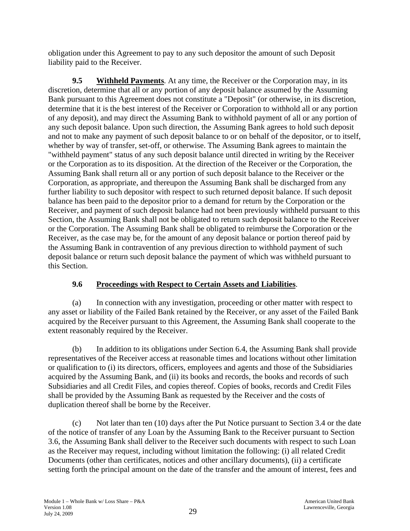obligation under this Agreement to pay to any such depositor the amount of such Deposit liability paid to the Receiver.

**9.5** Withheld Payments. At any time, the Receiver or the Corporation may, in its discretion, determine that all or any portion of any deposit balance assumed by the Assuming Bank pursuant to this Agreement does not constitute a "Deposit" (or otherwise, in its discretion, determine that it is the best interest of the Receiver or Corporation to withhold all or any portion of any deposit), and may direct the Assuming Bank to withhold payment of all or any portion of any such deposit balance. Upon such direction, the Assuming Bank agrees to hold such deposit and not to make any payment of such deposit balance to or on behalf of the depositor, or to itself, whether by way of transfer, set-off, or otherwise. The Assuming Bank agrees to maintain the "withheld payment" status of any such deposit balance until directed in writing by the Receiver or the Corporation as to its disposition. At the direction of the Receiver or the Corporation, the Assuming Bank shall return all or any portion of such deposit balance to the Receiver or the Corporation, as appropriate, and thereupon the Assuming Bank shall be discharged from any further liability to such depositor with respect to such returned deposit balance. If such deposit balance has been paid to the depositor prior to a demand for return by the Corporation or the Receiver, and payment of such deposit balance had not been previously withheld pursuant to this Section, the Assuming Bank shall not be obligated to return such deposit balance to the Receiver or the Corporation. The Assuming Bank shall be obligated to reimburse the Corporation or the Receiver, as the case may be, for the amount of any deposit balance or portion thereof paid by the Assuming Bank in contravention of any previous direction to withhold payment of such deposit balance or return such deposit balance the payment of which was withheld pursuant to this Section.

# **9.6 Proceedings with Respect to Certain Assets and Liabilities**.

(a) In connection with any investigation, proceeding or other matter with respect to any asset or liability of the Failed Bank retained by the Receiver, or any asset of the Failed Bank acquired by the Receiver pursuant to this Agreement, the Assuming Bank shall cooperate to the extent reasonably required by the Receiver.

(b) In addition to its obligations under Section 6.4, the Assuming Bank shall provide representatives of the Receiver access at reasonable times and locations without other limitation or qualification to (i) its directors, officers, employees and agents and those of the Subsidiaries acquired by the Assuming Bank, and (ii) its books and records, the books and records of such Subsidiaries and all Credit Files, and copies thereof. Copies of books, records and Credit Files shall be provided by the Assuming Bank as requested by the Receiver and the costs of duplication thereof shall be borne by the Receiver.

(c) Not later than ten (10) days after the Put Notice pursuant to Section 3.4 or the date of the notice of transfer of any Loan by the Assuming Bank to the Receiver pursuant to Section 3.6, the Assuming Bank shall deliver to the Receiver such documents with respect to such Loan as the Receiver may request, including without limitation the following: (i) all related Credit Documents (other than certificates, notices and other ancillary documents), (ii) a certificate setting forth the principal amount on the date of the transfer and the amount of interest, fees and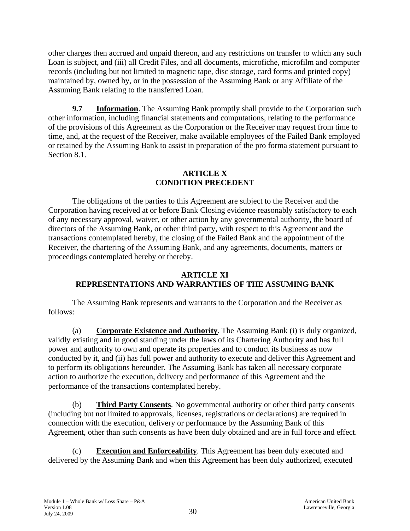other charges then accrued and unpaid thereon, and any restrictions on transfer to which any such Loan is subject, and (iii) all Credit Files, and all documents, microfiche, microfilm and computer records (including but not limited to magnetic tape, disc storage, card forms and printed copy) maintained by, owned by, or in the possession of the Assuming Bank or any Affiliate of the Assuming Bank relating to the transferred Loan.

**9.7** Information. The Assuming Bank promptly shall provide to the Corporation such other information, including financial statements and computations, relating to the performance of the provisions of this Agreement as the Corporation or the Receiver may request from time to time, and, at the request of the Receiver, make available employees of the Failed Bank employed or retained by the Assuming Bank to assist in preparation of the pro forma statement pursuant to Section 8.1.

## **CONDITION PRECEDENT ARTICLE X**

The obligations of the parties to this Agreement are subject to the Receiver and the Corporation having received at or before Bank Closing evidence reasonably satisfactory to each of any necessary approval, waiver, or other action by any governmental authority, the board of directors of the Assuming Bank, or other third party, with respect to this Agreement and the transactions contemplated hereby, the closing of the Failed Bank and the appointment of the Receiver, the chartering of the Assuming Bank, and any agreements, documents, matters or proceedings contemplated hereby or thereby.

## **ARTICLE XI REPRESENTATIONS AND WARRANTIES OF THE ASSUMING BANK**

The Assuming Bank represents and warrants to the Corporation and the Receiver as follows:

(a) **Corporate Existence and Authority**. The Assuming Bank (i) is duly organized, validly existing and in good standing under the laws of its Chartering Authority and has full power and authority to own and operate its properties and to conduct its business as now conducted by it, and (ii) has full power and authority to execute and deliver this Agreement and to perform its obligations hereunder. The Assuming Bank has taken all necessary corporate action to authorize the execution, delivery and performance of this Agreement and the performance of the transactions contemplated hereby.

(b) **Third Party Consents**. No governmental authority or other third party consents (including but not limited to approvals, licenses, registrations or declarations) are required in connection with the execution, delivery or performance by the Assuming Bank of this Agreement, other than such consents as have been duly obtained and are in full force and effect.

(c) **Execution and Enforceability**. This Agreement has been duly executed and delivered by the Assuming Bank and when this Agreement has been duly authorized, executed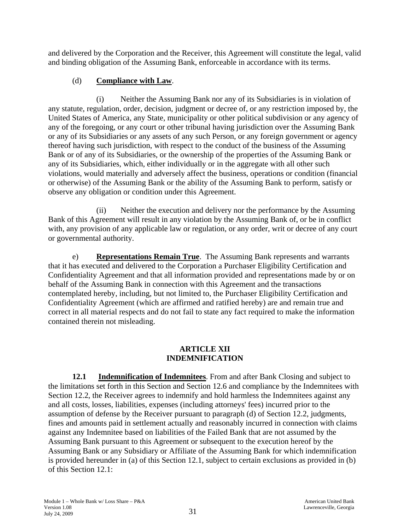and delivered by the Corporation and the Receiver, this Agreement will constitute the legal, valid and binding obligation of the Assuming Bank, enforceable in accordance with its terms.

## (d) **Compliance with Law**.

(i) Neither the Assuming Bank nor any of its Subsidiaries is in violation of any statute, regulation, order, decision, judgment or decree of, or any restriction imposed by, the United States of America, any State, municipality or other political subdivision or any agency of any of the foregoing, or any court or other tribunal having jurisdiction over the Assuming Bank or any of its Subsidiaries or any assets of any such Person, or any foreign government or agency thereof having such jurisdiction, with respect to the conduct of the business of the Assuming Bank or of any of its Subsidiaries, or the ownership of the properties of the Assuming Bank or any of its Subsidiaries, which, either individually or in the aggregate with all other such violations, would materially and adversely affect the business, operations or condition (financial or otherwise) of the Assuming Bank or the ability of the Assuming Bank to perform, satisfy or observe any obligation or condition under this Agreement.

(ii) Neither the execution and delivery nor the performance by the Assuming Bank of this Agreement will result in any violation by the Assuming Bank of, or be in conflict with, any provision of any applicable law or regulation, or any order, writ or decree of any court or governmental authority.

e) **Representations Remain True**. The Assuming Bank represents and warrants that it has executed and delivered to the Corporation a Purchaser Eligibility Certification and Confidentiality Agreement and that all information provided and representations made by or on behalf of the Assuming Bank in connection with this Agreement and the transactions contemplated hereby, including, but not limited to, the Purchaser Eligibility Certification and Confidentiality Agreement (which are affirmed and ratified hereby) are and remain true and correct in all material respects and do not fail to state any fact required to make the information contained therein not misleading.

#### **ARTICLE XII INDEMNIFICATION**

**12.1 Indemnification of Indemnitees**. From and after Bank Closing and subject to the limitations set forth in this Section and Section 12.6 and compliance by the Indemnitees with Section 12.2, the Receiver agrees to indemnify and hold harmless the Indemnitees against any and all costs, losses, liabilities, expenses (including attorneys' fees) incurred prior to the assumption of defense by the Receiver pursuant to paragraph (d) of Section 12.2, judgments, fines and amounts paid in settlement actually and reasonably incurred in connection with claims against any Indemnitee based on liabilities of the Failed Bank that are not assumed by the Assuming Bank pursuant to this Agreement or subsequent to the execution hereof by the Assuming Bank or any Subsidiary or Affiliate of the Assuming Bank for which indemnification is provided hereunder in (a) of this Section 12.1, subject to certain exclusions as provided in (b) of this Section 12.1: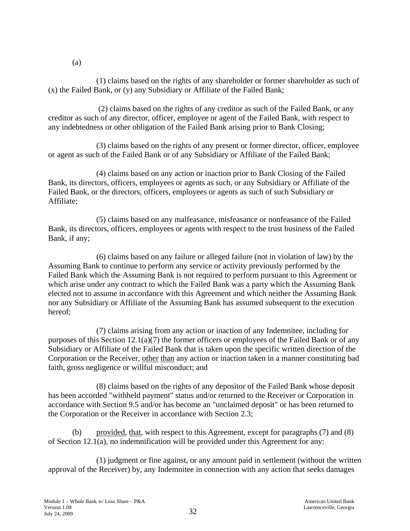(a)

(1) claims based on the rights of any shareholder or former shareholder as such of (x) the Failed Bank, or (y) any Subsidiary or Affiliate of the Failed Bank;

(2) claims based on the rights of any creditor as such of the Failed Bank, or any creditor as such of any director, officer, employee or agent of the Failed Bank, with respect to any indebtedness or other obligation of the Failed Bank arising prior to Bank Closing;

(3) claims based on the rights of any present or former director, officer, employee or agent as such of the Failed Bank or of any Subsidiary or Affiliate of the Failed Bank;

(4) claims based on any action or inaction prior to Bank Closing of the Failed Bank, its directors, officers, employees or agents as such, or any Subsidiary or Affiliate of the Failed Bank, or the directors, officers, employees or agents as such of such Subsidiary or Affiliate;

(5) claims based on any malfeasance, misfeasance or nonfeasance of the Failed Bank, its directors, officers, employees or agents with respect to the trust business of the Failed Bank, if any;

(6) claims based on any failure or alleged failure (not in violation of law) by the Assuming Bank to continue to perform any service or activity previously performed by the Failed Bank which the Assuming Bank is not required to perform pursuant to this Agreement or which arise under any contract to which the Failed Bank was a party which the Assuming Bank elected not to assume in accordance with this Agreement and which neither the Assuming Bank nor any Subsidiary or Affiliate of the Assuming Bank has assumed subsequent to the execution hereof;

(7) claims arising from any action or inaction of any Indemnitee, including for purposes of this Section 12.1(a)(7) the former officers or employees of the Failed Bank or of any Subsidiary or Affiliate of the Failed Bank that is taken upon the specific written direction of the Corporation or the Receiver, other than any action or inaction taken in a manner constituting bad faith, gross negligence or willful misconduct; and

(8) claims based on the rights of any depositor of the Failed Bank whose deposit has been accorded "withheld payment" status and/or returned to the Receiver or Corporation in accordance with Section 9.5 and/or has become an "unclaimed deposit" or has been returned to the Corporation or the Receiver in accordance with Section 2.3;

(b) provided, that, with respect to this Agreement, except for paragraphs (7) and (8) of Section 12.1(a), no indemnification will be provided under this Agreement for any:

(1) judgment or fine against, or any amount paid in settlement (without the written approval of the Receiver) by, any Indemnitee in connection with any action that seeks damages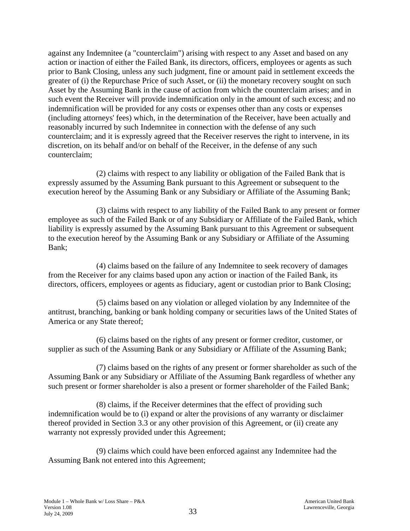against any Indemnitee (a "counterclaim") arising with respect to any Asset and based on any action or inaction of either the Failed Bank, its directors, officers, employees or agents as such prior to Bank Closing, unless any such judgment, fine or amount paid in settlement exceeds the greater of (i) the Repurchase Price of such Asset, or (ii) the monetary recovery sought on such Asset by the Assuming Bank in the cause of action from which the counterclaim arises; and in such event the Receiver will provide indemnification only in the amount of such excess; and no indemnification will be provided for any costs or expenses other than any costs or expenses (including attorneys' fees) which, in the determination of the Receiver, have been actually and reasonably incurred by such Indemnitee in connection with the defense of any such counterclaim; and it is expressly agreed that the Receiver reserves the right to intervene, in its discretion, on its behalf and/or on behalf of the Receiver, in the defense of any such counterclaim;

(2) claims with respect to any liability or obligation of the Failed Bank that is expressly assumed by the Assuming Bank pursuant to this Agreement or subsequent to the execution hereof by the Assuming Bank or any Subsidiary or Affiliate of the Assuming Bank;

(3) claims with respect to any liability of the Failed Bank to any present or former employee as such of the Failed Bank or of any Subsidiary or Affiliate of the Failed Bank, which liability is expressly assumed by the Assuming Bank pursuant to this Agreement or subsequent to the execution hereof by the Assuming Bank or any Subsidiary or Affiliate of the Assuming Bank;

(4) claims based on the failure of any Indemnitee to seek recovery of damages from the Receiver for any claims based upon any action or inaction of the Failed Bank, its directors, officers, employees or agents as fiduciary, agent or custodian prior to Bank Closing;

(5) claims based on any violation or alleged violation by any Indemnitee of the antitrust, branching, banking or bank holding company or securities laws of the United States of America or any State thereof;

(6) claims based on the rights of any present or former creditor, customer, or supplier as such of the Assuming Bank or any Subsidiary or Affiliate of the Assuming Bank;

(7) claims based on the rights of any present or former shareholder as such of the Assuming Bank or any Subsidiary or Affiliate of the Assuming Bank regardless of whether any such present or former shareholder is also a present or former shareholder of the Failed Bank;

(8) claims, if the Receiver determines that the effect of providing such indemnification would be to (i) expand or alter the provisions of any warranty or disclaimer thereof provided in Section 3.3 or any other provision of this Agreement, or (ii) create any warranty not expressly provided under this Agreement;

(9) claims which could have been enforced against any Indemnitee had the Assuming Bank not entered into this Agreement;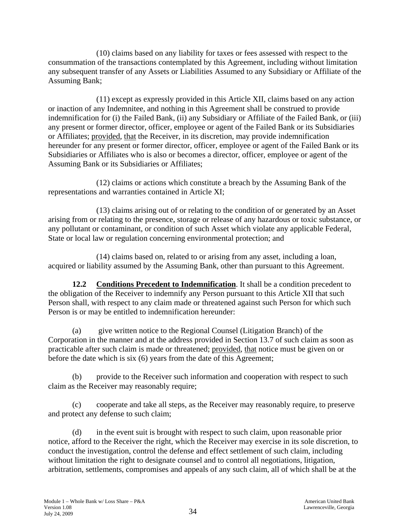(10) claims based on any liability for taxes or fees assessed with respect to the consummation of the transactions contemplated by this Agreement, including without limitation any subsequent transfer of any Assets or Liabilities Assumed to any Subsidiary or Affiliate of the Assuming Bank;

(11) except as expressly provided in this Article XII, claims based on any action or inaction of any Indemnitee, and nothing in this Agreement shall be construed to provide indemnification for (i) the Failed Bank, (ii) any Subsidiary or Affiliate of the Failed Bank, or (iii) any present or former director, officer, employee or agent of the Failed Bank or its Subsidiaries or Affiliates; provided, that the Receiver, in its discretion, may provide indemnification hereunder for any present or former director, officer, employee or agent of the Failed Bank or its Subsidiaries or Affiliates who is also or becomes a director, officer, employee or agent of the Assuming Bank or its Subsidiaries or Affiliates;

(12) claims or actions which constitute a breach by the Assuming Bank of the representations and warranties contained in Article XI;

(13) claims arising out of or relating to the condition of or generated by an Asset arising from or relating to the presence, storage or release of any hazardous or toxic substance, or any pollutant or contaminant, or condition of such Asset which violate any applicable Federal, State or local law or regulation concerning environmental protection; and

(14) claims based on, related to or arising from any asset, including a loan, acquired or liability assumed by the Assuming Bank, other than pursuant to this Agreement.

**12.2 Conditions Precedent to Indemnification**. It shall be a condition precedent to the obligation of the Receiver to indemnify any Person pursuant to this Article XII that such Person shall, with respect to any claim made or threatened against such Person for which such Person is or may be entitled to indemnification hereunder:

(a) give written notice to the Regional Counsel (Litigation Branch) of the Corporation in the manner and at the address provided in Section 13.7 of such claim as soon as practicable after such claim is made or threatened; provided, that notice must be given on or before the date which is six (6) years from the date of this Agreement;

(b) provide to the Receiver such information and cooperation with respect to such claim as the Receiver may reasonably require;

(c) cooperate and take all steps, as the Receiver may reasonably require, to preserve and protect any defense to such claim;

(d) in the event suit is brought with respect to such claim, upon reasonable prior notice, afford to the Receiver the right, which the Receiver may exercise in its sole discretion, to conduct the investigation, control the defense and effect settlement of such claim, including without limitation the right to designate counsel and to control all negotiations, litigation, arbitration, settlements, compromises and appeals of any such claim, all of which shall be at the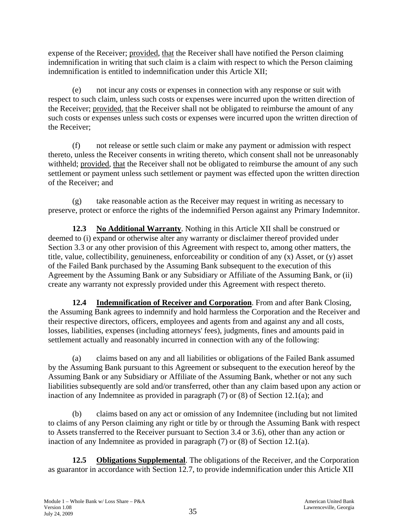expense of the Receiver; provided, that the Receiver shall have notified the Person claiming indemnification in writing that such claim is a claim with respect to which the Person claiming indemnification is entitled to indemnification under this Article XII;

(e) not incur any costs or expenses in connection with any response or suit with respect to such claim, unless such costs or expenses were incurred upon the written direction of the Receiver; provided, that the Receiver shall not be obligated to reimburse the amount of any such costs or expenses unless such costs or expenses were incurred upon the written direction of the Receiver;

(f) not release or settle such claim or make any payment or admission with respect thereto, unless the Receiver consents in writing thereto, which consent shall not be unreasonably withheld; provided, that the Receiver shall not be obligated to reimburse the amount of any such settlement or payment unless such settlement or payment was effected upon the written direction of the Receiver; and

(g) take reasonable action as the Receiver may request in writing as necessary to preserve, protect or enforce the rights of the indemnified Person against any Primary Indemnitor.

**12.3 No Additional Warranty**. Nothing in this Article XII shall be construed or deemed to (i) expand or otherwise alter any warranty or disclaimer thereof provided under Section 3.3 or any other provision of this Agreement with respect to, among other matters, the title, value, collectibility, genuineness, enforceability or condition of any (x) Asset, or (y) asset of the Failed Bank purchased by the Assuming Bank subsequent to the execution of this Agreement by the Assuming Bank or any Subsidiary or Affiliate of the Assuming Bank, or (ii) create any warranty not expressly provided under this Agreement with respect thereto.

**12.4 Indemnification of Receiver and Corporation**. From and after Bank Closing, the Assuming Bank agrees to indemnify and hold harmless the Corporation and the Receiver and their respective directors, officers, employees and agents from and against any and all costs, losses, liabilities, expenses (including attorneys' fees), judgments, fines and amounts paid in settlement actually and reasonably incurred in connection with any of the following:

(a) claims based on any and all liabilities or obligations of the Failed Bank assumed by the Assuming Bank pursuant to this Agreement or subsequent to the execution hereof by the Assuming Bank or any Subsidiary or Affiliate of the Assuming Bank, whether or not any such liabilities subsequently are sold and/or transferred, other than any claim based upon any action or inaction of any Indemnitee as provided in paragraph (7) or (8) of Section 12.1(a); and

(b) claims based on any act or omission of any Indemnitee (including but not limited to claims of any Person claiming any right or title by or through the Assuming Bank with respect to Assets transferred to the Receiver pursuant to Section 3.4 or 3.6), other than any action or inaction of any Indemnitee as provided in paragraph (7) or (8) of Section 12.1(a).

**12.5 Obligations Supplemental**. The obligations of the Receiver, and the Corporation as guarantor in accordance with Section 12.7, to provide indemnification under this Article XII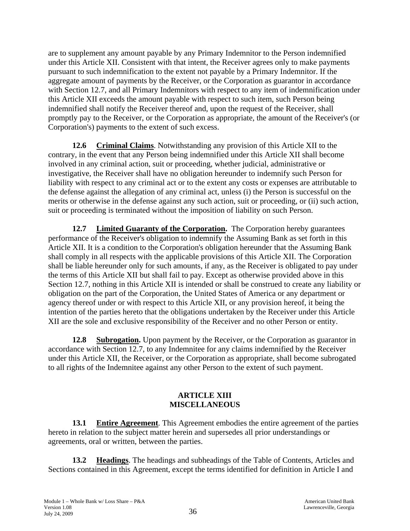are to supplement any amount payable by any Primary Indemnitor to the Person indemnified under this Article XII. Consistent with that intent, the Receiver agrees only to make payments pursuant to such indemnification to the extent not payable by a Primary Indemnitor. If the aggregate amount of payments by the Receiver, or the Corporation as guarantor in accordance with Section 12.7, and all Primary Indemnitors with respect to any item of indemnification under this Article XII exceeds the amount payable with respect to such item, such Person being indemnified shall notify the Receiver thereof and, upon the request of the Receiver, shall promptly pay to the Receiver, or the Corporation as appropriate, the amount of the Receiver's (or Corporation's) payments to the extent of such excess.

**12.6 Criminal Claims**. Notwithstanding any provision of this Article XII to the contrary, in the event that any Person being indemnified under this Article XII shall become involved in any criminal action, suit or proceeding, whether judicial, administrative or investigative, the Receiver shall have no obligation hereunder to indemnify such Person for liability with respect to any criminal act or to the extent any costs or expenses are attributable to the defense against the allegation of any criminal act, unless (i) the Person is successful on the merits or otherwise in the defense against any such action, suit or proceeding, or (ii) such action, suit or proceeding is terminated without the imposition of liability on such Person.

**12.7 Limited Guaranty of the Corporation.** The Corporation hereby guarantees performance of the Receiver's obligation to indemnify the Assuming Bank as set forth in this Article XII. It is a condition to the Corporation's obligation hereunder that the Assuming Bank shall comply in all respects with the applicable provisions of this Article XII. The Corporation shall be liable hereunder only for such amounts, if any, as the Receiver is obligated to pay under the terms of this Article XII but shall fail to pay. Except as otherwise provided above in this Section 12.7, nothing in this Article XII is intended or shall be construed to create any liability or obligation on the part of the Corporation, the United States of America or any department or agency thereof under or with respect to this Article XII, or any provision hereof, it being the intention of the parties hereto that the obligations undertaken by the Receiver under this Article XII are the sole and exclusive responsibility of the Receiver and no other Person or entity.

**12.8** Subrogation. Upon payment by the Receiver, or the Corporation as guarantor in accordance with Section 12.7, to any Indemnitee for any claims indemnified by the Receiver under this Article XII, the Receiver, or the Corporation as appropriate, shall become subrogated to all rights of the Indemnitee against any other Person to the extent of such payment.

## **ARTICLE XIII MISCELLANEOUS**

**13.1** Entire Agreement. This Agreement embodies the entire agreement of the parties hereto in relation to the subject matter herein and supersedes all prior understandings or agreements, oral or written, between the parties.

**13.2 Headings**. The headings and subheadings of the Table of Contents, Articles and Sections contained in this Agreement, except the terms identified for definition in Article I and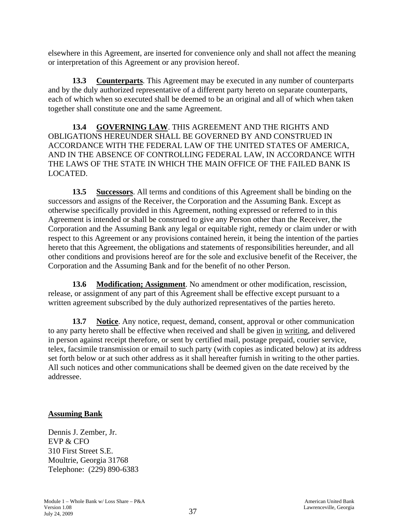elsewhere in this Agreement, are inserted for convenience only and shall not affect the meaning or interpretation of this Agreement or any provision hereof.

**13.3 Counterparts**. This Agreement may be executed in any number of counterparts and by the duly authorized representative of a different party hereto on separate counterparts, each of which when so executed shall be deemed to be an original and all of which when taken together shall constitute one and the same Agreement.

**13.4 GOVERNING LAW**. THIS AGREEMENT AND THE RIGHTS AND OBLIGATIONS HEREUNDER SHALL BE GOVERNED BY AND CONSTRUED IN ACCORDANCE WITH THE FEDERAL LAW OF THE UNITED STATES OF AMERICA, AND IN THE ABSENCE OF CONTROLLING FEDERAL LAW, IN ACCORDANCE WITH THE LAWS OF THE STATE IN WHICH THE MAIN OFFICE OF THE FAILED BANK IS LOCATED.

 **13.5 Successors**. All terms and conditions of this Agreement shall be binding on the successors and assigns of the Receiver, the Corporation and the Assuming Bank. Except as otherwise specifically provided in this Agreement, nothing expressed or referred to in this Agreement is intended or shall be construed to give any Person other than the Receiver, the Corporation and the Assuming Bank any legal or equitable right, remedy or claim under or with respect to this Agreement or any provisions contained herein, it being the intention of the parties hereto that this Agreement, the obligations and statements of responsibilities hereunder, and all other conditions and provisions hereof are for the sole and exclusive benefit of the Receiver, the Corporation and the Assuming Bank and for the benefit of no other Person.

**13.6 Modification; Assignment**. No amendment or other modification, rescission, release, or assignment of any part of this Agreement shall be effective except pursuant to a written agreement subscribed by the duly authorized representatives of the parties hereto.

**13.7 Notice**. Any notice, request, demand, consent, approval or other communication to any party hereto shall be effective when received and shall be given in writing, and delivered in person against receipt therefore, or sent by certified mail, postage prepaid, courier service, telex, facsimile transmission or email to such party (with copies as indicated below) at its address set forth below or at such other address as it shall hereafter furnish in writing to the other parties. All such notices and other communications shall be deemed given on the date received by the addressee.

## **Assuming Bank**

Dennis J. Zember, Jr. EVP & CFO 310 First Street S.E. Moultrie, Georgia 31768 Telephone: (229) 890-6383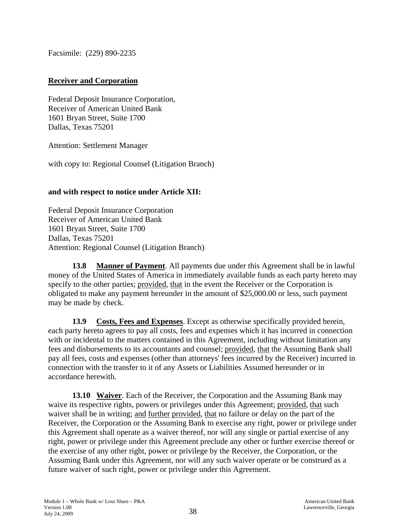Facsimile: (229) 890-2235

## **Receiver and Corporation**

Federal Deposit Insurance Corporation, Receiver of American United Bank 1601 Bryan Street, Suite 1700 Dallas, Texas 75201

Attention: Settlement Manager

with copy to: Regional Counsel (Litigation Branch)

### **and with respect to notice under Article XII:**

Federal Deposit Insurance Corporation Receiver of American United Bank 1601 Bryan Street, Suite 1700 Dallas, Texas 75201 Attention: Regional Counsel (Litigation Branch)

 **13.8 Manner of Payment**. All payments due under this Agreement shall be in lawful money of the United States of America in immediately available funds as each party hereto may specify to the other parties; provided, that in the event the Receiver or the Corporation is obligated to make any payment hereunder in the amount of \$25,000.00 or less, such payment may be made by check.

**13.9 Costs, Fees and Expenses**. Except as otherwise specifically provided herein, each party hereto agrees to pay all costs, fees and expenses which it has incurred in connection with or incidental to the matters contained in this Agreement, including without limitation any fees and disbursements to its accountants and counsel; provided, that the Assuming Bank shall pay all fees, costs and expenses (other than attorneys' fees incurred by the Receiver) incurred in connection with the transfer to it of any Assets or Liabilities Assumed hereunder or in accordance herewith.

**13.10 Waiver**. Each of the Receiver, the Corporation and the Assuming Bank may waive its respective rights, powers or privileges under this Agreement; provided, that such waiver shall be in writing; and further provided, that no failure or delay on the part of the Receiver, the Corporation or the Assuming Bank to exercise any right, power or privilege under this Agreement shall operate as a waiver thereof, nor will any single or partial exercise of any right, power or privilege under this Agreement preclude any other or further exercise thereof or the exercise of any other right, power or privilege by the Receiver, the Corporation, or the Assuming Bank under this Agreement, nor will any such waiver operate or be construed as a future waiver of such right, power or privilege under this Agreement.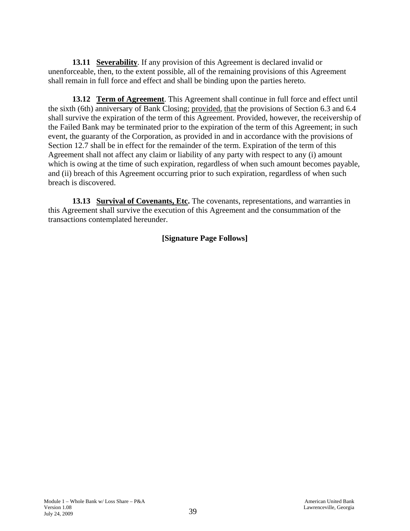**13.11 Severability**. If any provision of this Agreement is declared invalid or unenforceable, then, to the extent possible, all of the remaining provisions of this Agreement shall remain in full force and effect and shall be binding upon the parties hereto.

**13.12 Term of Agreement**. This Agreement shall continue in full force and effect until the sixth (6th) anniversary of Bank Closing; provided, that the provisions of Section 6.3 and 6.4 shall survive the expiration of the term of this Agreement. Provided, however, the receivership of the Failed Bank may be terminated prior to the expiration of the term of this Agreement; in such event, the guaranty of the Corporation, as provided in and in accordance with the provisions of Section 12.7 shall be in effect for the remainder of the term. Expiration of the term of this Agreement shall not affect any claim or liability of any party with respect to any (i) amount which is owing at the time of such expiration, regardless of when such amount becomes payable, and (ii) breach of this Agreement occurring prior to such expiration, regardless of when such breach is discovered.

**13.13 Survival of Covenants, Etc.** The covenants, representations, and warranties in this Agreement shall survive the execution of this Agreement and the consummation of the transactions contemplated hereunder.

## **[Signature Page Follows]**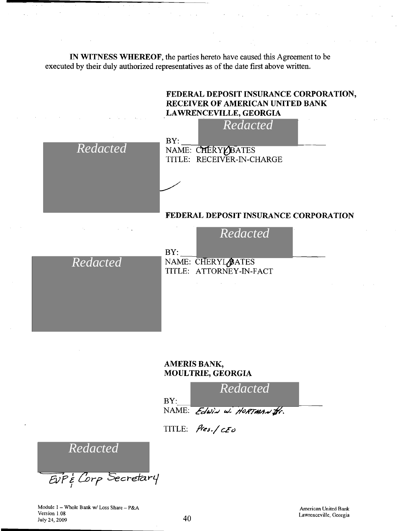**IN WITNESS WHEREOF,** the parties hereto have caused this Agreement to be executed by their duly authorized representatives as of the date first above written.

## **FEDERAL DEPOSIT INSURANCE CORPORATION, RECEIVER OF AMERICAN UNITED BANK LAWRENCEVILLE. GEORGIA**



### **AMERIS BANK, MOULTRIE, GEORGIA**



TITLE: Pres./ CEO

*Redacted*

EVP& Corp Secretary

Module 1 - Whole Bank w/ Loss Share - P&A <br>Version 1.08 **American United Bank American United Bank American United Bank American United Bank American United Bank American United Bank American** United Secrets July **24,2009**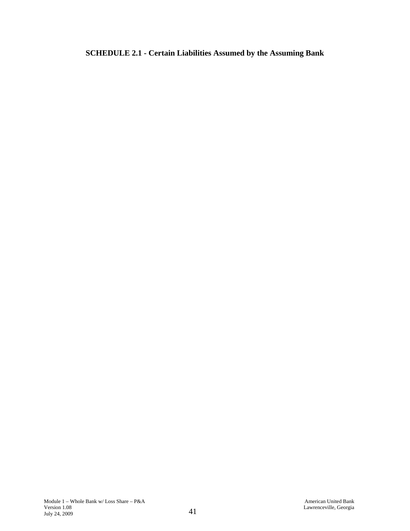**SCHEDULE 2.1 - Certain Liabilities Assumed by the Assuming Bank**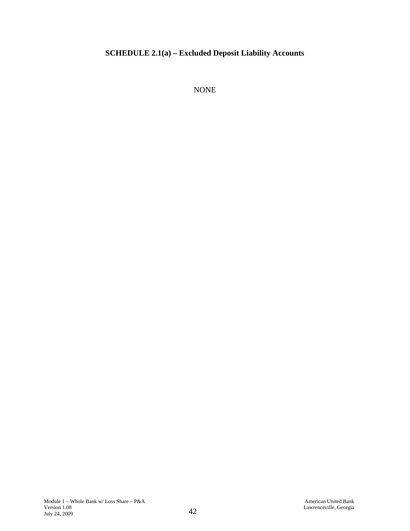# **SCHEDULE 2.1(a) – Excluded Deposit Liability Accounts**

NONE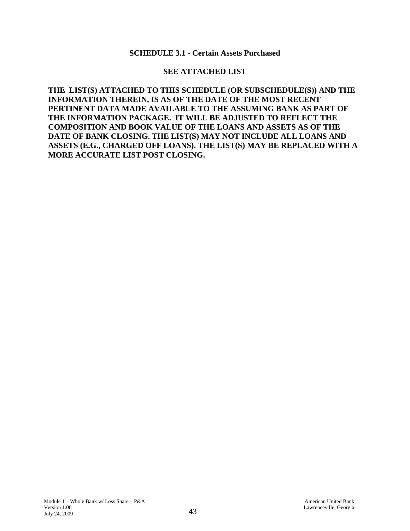### **SCHEDULE 3.1 - Certain Assets Purchased**

### **SEE ATTACHED LIST**

THE LIST(S) ATTACHED TO THIS SCHEDULE (OR SUBSCHEDULE(S)) AND THE **INFORMATION THEREIN, IS AS OF THE DATE OF THE MOST RECENT PERTINENT DATA MADE AVAILABLE TO THE ASSUMING BANK AS PART OF THE INFORMATION PACKAGE. IT WILL BE ADJUSTED TO REFLECT THE COMPOSITION AND BOOK VALUE OF THE LOANS AND ASSETS AS OF THE DATE OF BANK CLOSING. THE LIST(S) MAY NOT INCLUDE ALL LOANS AND ASSETS (E.G., CHARGED OFF LOANS). THE LIST(S) MAY BE REPLACED WITH A MORE ACCURATE LIST POST CLOSING.**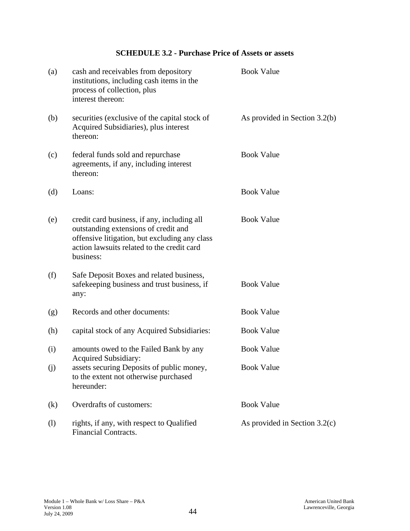## **SCHEDULE 3.2 - Purchase Price of Assets or assets**

| (a) | cash and receivables from depository<br>institutions, including cash items in the<br>process of collection, plus<br>interest thereon:                                                           | <b>Book Value</b>               |
|-----|-------------------------------------------------------------------------------------------------------------------------------------------------------------------------------------------------|---------------------------------|
| (b) | securities (exclusive of the capital stock of<br>Acquired Subsidiaries), plus interest<br>thereon:                                                                                              | As provided in Section $3.2(b)$ |
| (c) | federal funds sold and repurchase<br>agreements, if any, including interest<br>thereon:                                                                                                         | <b>Book Value</b>               |
| (d) | Loans:                                                                                                                                                                                          | <b>Book Value</b>               |
| (e) | credit card business, if any, including all<br>outstanding extensions of credit and<br>offensive litigation, but excluding any class<br>action lawsuits related to the credit card<br>business: | <b>Book Value</b>               |
| (f) | Safe Deposit Boxes and related business,<br>safekeeping business and trust business, if<br>any:                                                                                                 | <b>Book Value</b>               |
| (g) | Records and other documents:                                                                                                                                                                    | <b>Book Value</b>               |
| (h) | capital stock of any Acquired Subsidiaries:                                                                                                                                                     | <b>Book Value</b>               |
| (i) | amounts owed to the Failed Bank by any                                                                                                                                                          | <b>Book Value</b>               |
| (j) | <b>Acquired Subsidiary:</b><br>assets securing Deposits of public money,<br>to the extent not otherwise purchased<br>hereunder:                                                                 | <b>Book Value</b>               |
| (k) | Overdrafts of customers:                                                                                                                                                                        | <b>Book Value</b>               |
| (1) | rights, if any, with respect to Qualified<br>Financial Contracts.                                                                                                                               | As provided in Section $3.2(c)$ |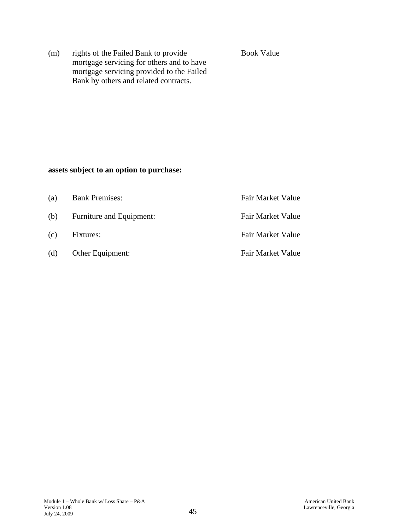(m) rights of the Failed Bank to provide Book Value mortgage servicing for others and to have mortgage servicing provided to the Failed Bank by others and related contracts.

## **assets subject to an option to purchase:**

(a) Bank Premises: Fair Market Value (b) Furniture and Equipment: Fair Market Value (c) Fixtures: Fair Market Value (d) Other Equipment: Fair Market Value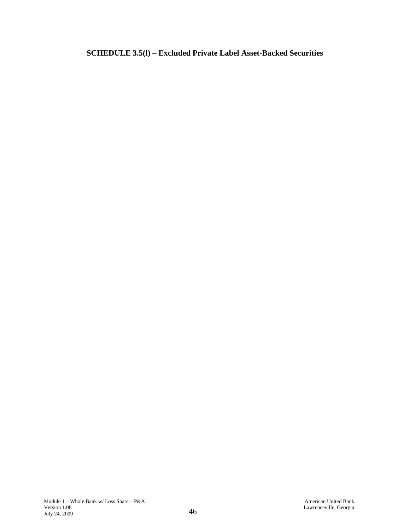# **SCHEDULE 3.5(l) – Excluded Private Label Asset-Backed Securities**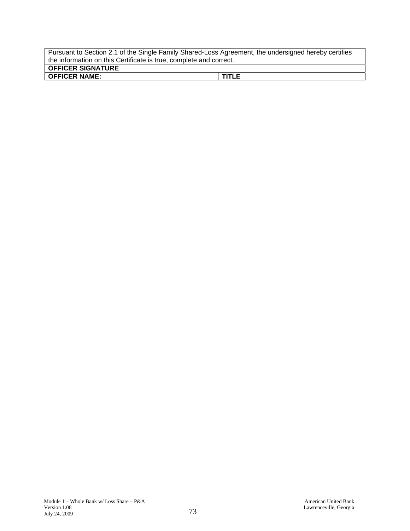| Pursuant to Section 2.1 of the Single Family Shared-Loss Agreement, the undersigned hereby certifies |              |  |  |
|------------------------------------------------------------------------------------------------------|--------------|--|--|
| the information on this Certificate is true, complete and correct.                                   |              |  |  |
| <b>OFFICER SIGNATURE</b>                                                                             |              |  |  |
| <b>OFFICER NAME:</b>                                                                                 | <b>TITLE</b> |  |  |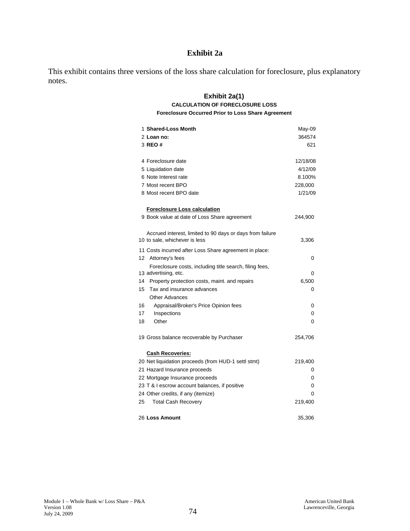### **Exhibit 2a**

This exhibit contains three versions of the loss share calculation for foreclosure, plus explanatory notes.

#### **Exhibit 2a(1) CALCULATION OF FORECLOSURE LOSS Foreclosure Occurred Prior to Loss Share Agreement**

|    | 1 Shared-Loss Month<br>2 Loan no:<br>3 REO #              | May-09<br>364574<br>621 |
|----|-----------------------------------------------------------|-------------------------|
|    | 4 Foreclosure date                                        | 12/18/08                |
|    | 5 Liquidation date                                        | 4/12/09                 |
|    | 6 Note Interest rate                                      | 8.100%                  |
|    | 7 Most recent BPO                                         | 228,000                 |
|    | 8 Most recent BPO date                                    | 1/21/09                 |
|    | <b>Foreclosure Loss calculation</b>                       |                         |
|    | 9 Book value at date of Loss Share agreement              | 244,900                 |
|    | Accrued interest, limited to 90 days or days from failure |                         |
|    | 10 to sale, whichever is less                             | 3,306                   |
|    | 11 Costs incurred after Loss Share agreement in place:    |                         |
| 12 | Attorney's fees                                           | 0                       |
|    | Foreclosure costs, including title search, filing fees,   |                         |
|    | 13 advertising, etc.                                      | 0                       |
| 14 | Property protection costs, maint. and repairs             | 6,500                   |
| 15 | Tax and insurance advances                                | 0                       |
|    | <b>Other Advances</b>                                     |                         |
| 16 | Appraisal/Broker's Price Opinion fees                     | 0                       |
| 17 | Inspections                                               | 0                       |
| 18 | Other                                                     | 0                       |
|    | 19 Gross balance recoverable by Purchaser                 | 254,706                 |
|    | <b>Cash Recoveries:</b>                                   |                         |
|    | 20 Net liquidation proceeds (from HUD-1 settl stmt)       | 219,400                 |
|    | 21 Hazard Insurance proceeds                              | 0                       |
|    | 22 Mortgage Insurance proceeds                            | 0                       |
|    | 23 T & I escrow account balances, if positive             | 0                       |
|    | 24 Other credits, if any (itemize)                        | 0                       |
| 25 | <b>Total Cash Recovery</b>                                | 219,400                 |
|    | <b>26 Loss Amount</b>                                     | 35,306                  |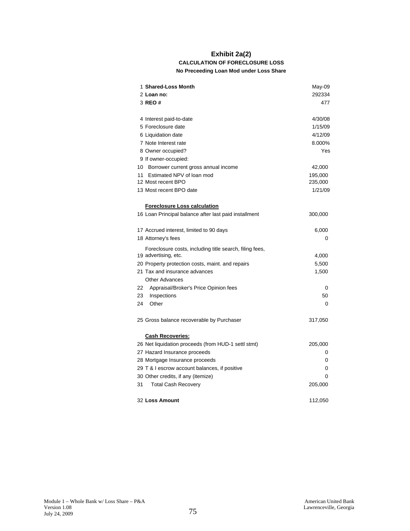#### **Exhibit 2a(2)**

#### **CALCULATION OF FORECLOSURE LOSS**

#### **No Preceeding Loan Mod under Loss Share**

| 1 Shared-Loss Month                                                             | May-09  |
|---------------------------------------------------------------------------------|---------|
| 2 Loan no:                                                                      | 292334  |
| 3 REO #                                                                         | 477     |
| 4 Interest paid-to-date                                                         | 4/30/08 |
| 5 Foreclosure date                                                              | 1/15/09 |
| 6 Liquidation date                                                              | 4/12/09 |
| 7 Note Interest rate                                                            | 8.000%  |
| 8 Owner occupied?                                                               | Yes     |
| 9 If owner-occupied:                                                            |         |
| 10<br>Borrower current gross annual income                                      | 42,000  |
| Estimated NPV of loan mod<br>11                                                 | 195,000 |
| 12 Most recent BPO                                                              | 235,000 |
| 13 Most recent BPO date                                                         | 1/21/09 |
| <b>Foreclosure Loss calculation</b>                                             |         |
| 16 Loan Principal balance after last paid installment                           | 300,000 |
| 17 Accrued interest, limited to 90 days                                         | 6,000   |
| 18 Attorney's fees                                                              | 0       |
| Foreclosure costs, including title search, filing fees,<br>19 advertising, etc. | 4,000   |
| 20 Property protection costs, maint. and repairs                                | 5,500   |
| 21 Tax and insurance advances                                                   | 1,500   |
| <b>Other Advances</b>                                                           |         |
| 22<br>Appraisal/Broker's Price Opinion fees                                     | 0       |
| 23<br>Inspections                                                               | 50      |
| 24<br>Other                                                                     | 0       |
| 25 Gross balance recoverable by Purchaser                                       | 317,050 |
| <b>Cash Recoveries:</b>                                                         |         |
| 26 Net liquidation proceeds (from HUD-1 settl stmt)                             | 205,000 |
| 27 Hazard Insurance proceeds                                                    | 0       |
| 28 Mortgage Insurance proceeds                                                  | 0       |
| 29 T & I escrow account balances, if positive                                   | 0       |
| 30 Other credits, if any (itemize)                                              | 0       |
| 31<br><b>Total Cash Recovery</b>                                                | 205,000 |
| 32 Loss Amount                                                                  | 112,050 |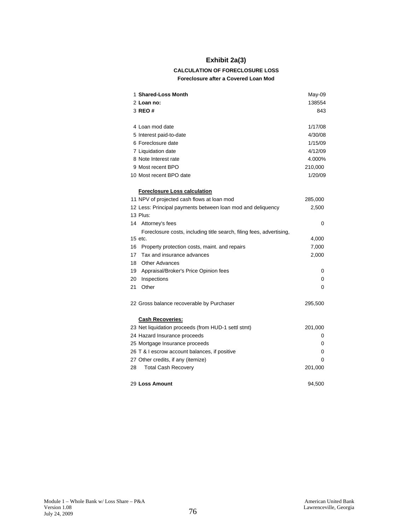# **Exhibit 2a(3)**

#### **CALCULATION OF FORECLOSURE LOSS Foreclosure after a Covered Loan Mod**

| 1 Shared-Loss Month                                                  | May-09   |
|----------------------------------------------------------------------|----------|
| 2 Loan no:                                                           | 138554   |
| 3 REO #                                                              | 843      |
|                                                                      |          |
| 4 Loan mod date                                                      | 1/17/08  |
| 5 Interest paid-to-date                                              | 4/30/08  |
| 6 Foreclosure date                                                   | 1/15/09  |
| 7 Liquidation date                                                   | 4/12/09  |
| 8 Note Interest rate                                                 | 4.000%   |
| 9 Most recent BPO                                                    | 210,000  |
| 10 Most recent BPO date                                              | 1/20/09  |
|                                                                      |          |
| <b>Foreclosure Loss calculation</b>                                  |          |
| 11 NPV of projected cash flows at loan mod                           | 285,000  |
| 12 Less: Principal payments between loan mod and deliquency          | 2,500    |
| 13 Plus:                                                             |          |
| 14<br>Attorney's fees                                                | 0        |
| Foreclosure costs, including title search, filing fees, advertising, |          |
| 15 etc.                                                              | 4,000    |
| 16<br>Property protection costs, maint. and repairs                  | 7,000    |
| 17<br>Tax and insurance advances                                     | 2,000    |
| 18<br><b>Other Advances</b>                                          |          |
| 19<br>Appraisal/Broker's Price Opinion fees                          | 0        |
| 20<br>Inspections                                                    | 0        |
| 21<br>Other                                                          | $\Omega$ |
|                                                                      |          |
| 22 Gross balance recoverable by Purchaser                            | 295,500  |
|                                                                      |          |
| <b>Cash Recoveries:</b>                                              |          |
| 23 Net liquidation proceeds (from HUD-1 settl stmt)                  | 201,000  |
| 24 Hazard Insurance proceeds                                         | 0        |
| 25 Mortgage Insurance proceeds                                       | 0        |
| 26 T & I escrow account balances, if positive                        | 0        |
| 27 Other credits, if any (itemize)                                   | 0        |
| 28<br><b>Total Cash Recovery</b>                                     | 201,000  |
|                                                                      |          |
| 29 Loss Amount                                                       | 94,500   |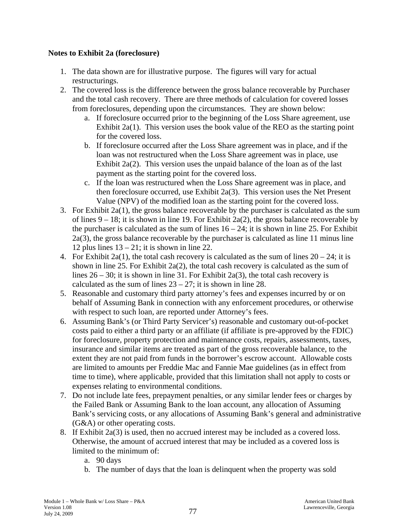## **Notes to Exhibit 2a (foreclosure)**

- 1.The data shown are for illustrative purpose. The figures will vary for actual restructurings.
- 2.The covered loss is the difference between the gross balance recoverable by Purchaser and the total cash recovery. There are three methods of calculation for covered losses from foreclosures, depending upon the circumstances. They are shown below:
	- a. If foreclosure occurred prior to the beginning of the Loss Share agreement, use Exhibit 2a(1). This version uses the book value of the REO as the starting point for the covered loss.
	- b.If foreclosure occurred after the Loss Share agreement was in place, and if the loan was not restructured when the Loss Share agreement was in place, use Exhibit 2a(2). This version uses the unpaid balance of the loan as of the last payment as the starting point for the covered loss.
	- c. If the loan was restructured when the Loss Share agreement was in place, and then foreclosure occurred, use Exhibit 2a(3). This version uses the Net Present Value (NPV) of the modified loan as the starting point for the covered loss.
- 3. For Exhibit  $2a(1)$ , the gross balance recoverable by the purchaser is calculated as the sum of lines  $9 - 18$ ; it is shown in line 19. For Exhibit 2a(2), the gross balance recoverable by the purchaser is calculated as the sum of lines  $16 - 24$ ; it is shown in line 25. For Exhibit 2a(3), the gross balance recoverable by the purchaser is calculated as line 11 minus line 12 plus lines  $13 - 21$ ; it is shown in line 22.
- 4. For Exhibit 2a(1), the total cash recovery is calculated as the sum of lines  $20 24$ ; it is shown in line 25. For Exhibit 2a(2), the total cash recovery is calculated as the sum of lines  $26 - 30$ ; it is shown in line 31. For Exhibit 2a(3), the total cash recovery is calculated as the sum of lines  $23 - 27$ ; it is shown in line 28.
- 5. Reasonable and customary third party attorney's fees and expenses incurred by or on behalf of Assuming Bank in connection with any enforcement procedures, or otherwise with respect to such loan, are reported under Attorney's fees.
- 6.Assuming Bank's (or Third Party Servicer's) reasonable and customary out-of-pocket costs paid to either a third party or an affiliate (if affiliate is pre-approved by the FDIC) for foreclosure, property protection and maintenance costs, repairs, assessments, taxes, insurance and similar items are treated as part of the gross recoverable balance, to the extent they are not paid from funds in the borrower's escrow account. Allowable costs are limited to amounts per Freddie Mac and Fannie Mae guidelines (as in effect from time to time), where applicable, provided that this limitation shall not apply to costs or expenses relating to environmental conditions.
- 7.Do not include late fees, prepayment penalties, or any similar lender fees or charges by the Failed Bank or Assuming Bank to the loan account, any allocation of Assuming Bank's servicing costs, or any allocations of Assuming Bank's general and administrative (G&A) or other operating costs.
- 8.If Exhibit 2a(3) is used, then no accrued interest may be included as a covered loss. Otherwise, the amount of accrued interest that may be included as a covered loss is limited to the minimum of:
	- a.90 days
	- b.The number of days that the loan is delinquent when the property was sold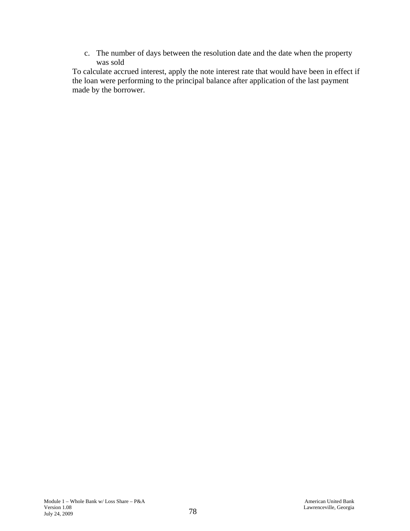c. The number of days between the resolution date and the date when the property was sold

To calculate accrued interest, apply the note interest rate that would have been in effect if the loan were performing to the principal balance after application of the last payment made by the borrower.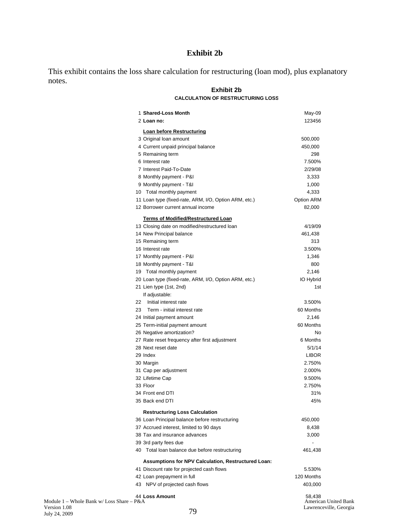# **Exhibit 2b**

This exhibit contains the loss share calculation for restructuring (loan mod), plus explanatory notes.

#### **Exhibit 2b CALCULATION OF RESTRUCTURING LOSS**

|                                           | 1 Shared-Loss Month                                                                         | May-09                 |
|-------------------------------------------|---------------------------------------------------------------------------------------------|------------------------|
|                                           | 2 Loan no:                                                                                  | 123456                 |
|                                           | <b>Loan before Restructuring</b>                                                            |                        |
|                                           | 3 Original loan amount                                                                      | 500,000                |
|                                           | 4 Current unpaid principal balance                                                          | 450,000                |
|                                           | 5 Remaining term                                                                            | 298                    |
|                                           | 6 Interest rate                                                                             | 7.500%                 |
|                                           | 7 Interest Paid-To-Date                                                                     | 2/29/08                |
|                                           | 8 Monthly payment - P&I                                                                     | 3,333                  |
|                                           | 9 Monthly payment - T&I                                                                     | 1,000                  |
|                                           | 10 Total monthly payment                                                                    | 4,333                  |
|                                           | 11 Loan type (fixed-rate, ARM, I/O, Option ARM, etc.)                                       | <b>Option ARM</b>      |
|                                           | 12 Borrower current annual income                                                           | 82,000                 |
|                                           |                                                                                             |                        |
|                                           | <b>Terms of Modified/Restructured Loan</b><br>13 Closing date on modified/restructured loan | 4/19/09                |
|                                           |                                                                                             |                        |
|                                           | 14 New Principal balance                                                                    | 461,438<br>313         |
|                                           | 15 Remaining term<br>16 Interest rate                                                       | 3.500%                 |
|                                           |                                                                                             | 1,346                  |
|                                           | 17 Monthly payment - P&I                                                                    | 800                    |
|                                           | 18 Monthly payment - T&I                                                                    |                        |
|                                           | 19 Total monthly payment                                                                    | 2,146                  |
|                                           | 20 Loan type (fixed-rate, ARM, I/O, Option ARM, etc.)<br>21 Lien type (1st, 2nd)            | IO Hybrid<br>1st       |
|                                           |                                                                                             |                        |
|                                           | If adjustable:<br>22<br>Initial interest rate                                               | 3.500%                 |
|                                           | 23<br>Term - initial interest rate                                                          | 60 Months              |
|                                           |                                                                                             |                        |
|                                           | 24 Initial payment amount                                                                   | 2,146<br>60 Months     |
|                                           | 25 Term-initial payment amount                                                              | No                     |
|                                           | 26 Negative amortization?                                                                   | 6 Months               |
|                                           | 27 Rate reset frequency after first adjustment<br>28 Next reset date                        | 5/1/14                 |
|                                           | 29 Index                                                                                    | <b>LIBOR</b>           |
|                                           |                                                                                             | 2.750%                 |
|                                           | 30 Margin                                                                                   | 2.000%                 |
|                                           | 31 Cap per adjustment                                                                       | 9.500%                 |
|                                           | 32 Lifetime Cap<br>33 Floor                                                                 | 2.750%                 |
|                                           | 34 Front end DTI                                                                            | 31%                    |
|                                           | 35 Back end DTI                                                                             | 45%                    |
|                                           |                                                                                             |                        |
|                                           | <b>Restructuring Loss Calculation</b>                                                       |                        |
|                                           | 36 Loan Principal balance before restructuring                                              | 450,000                |
|                                           | 37 Accrued interest, limited to 90 days                                                     | 8,438                  |
|                                           | 38 Tax and insurance advances                                                               | 3,000                  |
|                                           | 39 3rd party fees due                                                                       |                        |
|                                           | 40 Total loan balance due before restructuring                                              | 461,438                |
|                                           | Assumptions for NPV Calculation, Restructured Loan:                                         |                        |
|                                           | 41 Discount rate for projected cash flows                                                   | 5.530%                 |
|                                           | 42 Loan prepayment in full                                                                  | 120 Months             |
|                                           | 43 NPV of projected cash flows                                                              | 403,000                |
|                                           | 44 Loss Amount                                                                              | 58,438                 |
| Module 1 – Whole Bank w/ Loss Share – P&A |                                                                                             | American United Bank   |
| Version 1.08                              | 79                                                                                          | Lawrenceville, Georgia |
| July 24, 2009                             |                                                                                             |                        |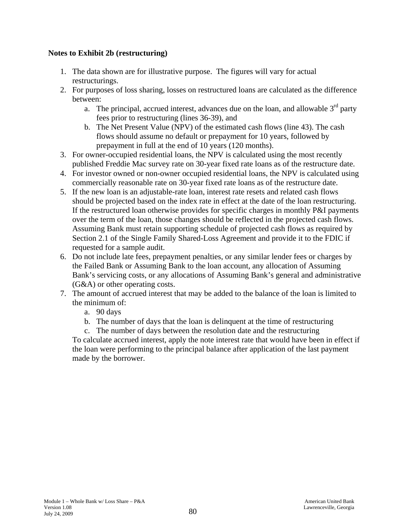### **Notes to Exhibit 2b (restructuring)**

- 1.The data shown are for illustrative purpose. The figures will vary for actual restructurings.
- 2.For purposes of loss sharing, losses on restructured loans are calculated as the difference between:
	- a. The principal, accrued interest, advances due on the loan, and allowable  $3<sup>rd</sup>$  party fees prior to restructuring (lines 36-39), and
	- b.The Net Present Value (NPV) of the estimated cash flows (line 43). The cash flows should assume no default or prepayment for 10 years, followed by prepayment in full at the end of 10 years (120 months).
- 3.For owner-occupied residential loans, the NPV is calculated using the most recently published Freddie Mac survey rate on 30-year fixed rate loans as of the restructure date.
- 4.For investor owned or non-owner occupied residential loans, the NPV is calculated using commercially reasonable rate on 30-year fixed rate loans as of the restructure date.
- 5.If the new loan is an adjustable-rate loan, interest rate resets and related cash flows should be projected based on the index rate in effect at the date of the loan restructuring. If the restructured loan otherwise provides for specific charges in monthly P&I payments over the term of the loan, those changes should be reflected in the projected cash flows. Assuming Bank must retain supporting schedule of projected cash flows as required by Section 2.1 of the Single Family Shared-Loss Agreement and provide it to the FDIC if requested for a sample audit.
- 6.Do not include late fees, prepayment penalties, or any similar lender fees or charges by the Failed Bank or Assuming Bank to the loan account, any allocation of Assuming Bank's servicing costs, or any allocations of Assuming Bank's general and administrative (G&A) or other operating costs.
- 7.The amount of accrued interest that may be added to the balance of the loan is limited to the minimum of:
	- a.90 days
	- b.The number of days that the loan is delinquent at the time of restructuring

c. The number of days between the resolution date and the restructuring To calculate accrued interest, apply the note interest rate that would have been in effect if the loan were performing to the principal balance after application of the last payment made by the borrower.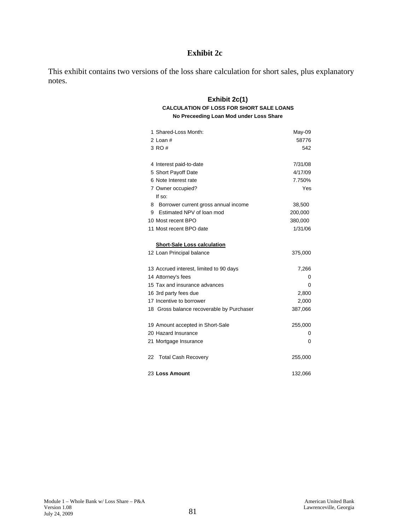### **Exhibit 2c**

This exhibit contains two versions of the loss share calculation for short sales, plus explanatory notes.

#### **Exhibit 2c(1) CALCULATION OF LOSS FOR SHORT SALE LOANS No Preceeding Loan Mod under Loss Share**

| 1 Shared-Loss Month:<br>2 Loan #<br>3 RO #                      | May-09<br>58776<br>542 |
|-----------------------------------------------------------------|------------------------|
| 4 Interest paid-to-date                                         | 7/31/08                |
| 5 Short Payoff Date                                             | 4/17/09                |
| 6 Note Interest rate                                            | 7.750%                 |
| 7 Owner occupied?                                               | Yes                    |
| If so:                                                          |                        |
| Borrower current gross annual income<br>8                       | 38,500                 |
| Estimated NPV of loan mod<br>9                                  | 200,000                |
| 10 Most recent BPO                                              | 380,000                |
| 11 Most recent BPO date                                         | 1/31/06                |
| <b>Short-Sale Loss calculation</b><br>12 Loan Principal balance | 375,000                |
| 13 Accrued interest, limited to 90 days                         | 7,266                  |
| 14 Attorney's fees                                              | 0                      |
| 15 Tax and insurance advances                                   | 0                      |
| 16 3rd party fees due                                           | 2,800                  |
| 17 Incentive to borrower                                        | 2,000                  |
| 18 Gross balance recoverable by Purchaser                       | 387,066                |
|                                                                 |                        |
| 19 Amount accepted in Short-Sale<br>20 Hazard Insurance         | 255,000                |
|                                                                 | 0                      |
| 21 Mortgage Insurance                                           | 0                      |
| 22 Total Cash Recovery                                          | 255,000                |
| 23 Loss Amount                                                  | 132,066                |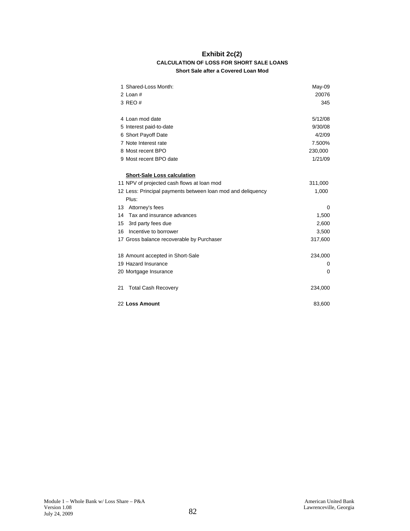#### **Exhibit 2c(2) CALCULATION OF LOSS FOR SHORT SALE LOANS Short Sale after a Covered Loan Mod**

| 1 Shared-Loss Month:                                        | May-09         |
|-------------------------------------------------------------|----------------|
| 2 Loan $#$                                                  | 20076          |
| 3 REO #                                                     | 345            |
|                                                             |                |
| 4 Loan mod date                                             | 5/12/08        |
| 5 Interest paid-to-date                                     | 9/30/08        |
| 6 Short Payoff Date                                         | 4/2/09         |
| 7 Note Interest rate                                        | 7.500%         |
| 8 Most recent BPO                                           | 230,000        |
| 9 Most recent BPO date                                      | 1/21/09        |
|                                                             |                |
| <b>Short-Sale Loss calculation</b>                          |                |
| 11 NPV of projected cash flows at loan mod                  | 311,000        |
| 12 Less: Principal payments between loan mod and deliquency | 1,000          |
| Plus:                                                       |                |
| Attorney's fees<br>13                                       | $\Omega$       |
| Tax and insurance advances<br>14                            | 1,500<br>2,600 |
| 3rd party fees due<br>15                                    |                |
| Incentive to borrower<br>16                                 | 3,500          |
| 17 Gross balance recoverable by Purchaser                   | 317,600        |
|                                                             |                |
| 18 Amount accepted in Short-Sale                            | 234,000        |
| 19 Hazard Insurance                                         | 0              |
| 20 Mortgage Insurance                                       | 0              |
|                                                             |                |
| <b>Total Cash Recovery</b><br>21                            | 234,000        |
|                                                             |                |
| 22 Loss Amount                                              | 83,600         |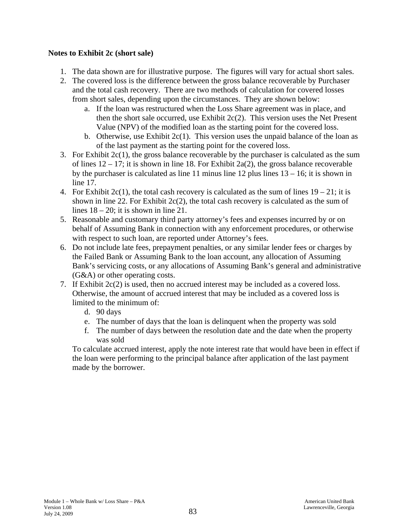## **Notes to Exhibit 2c (short sale)**

- 1.The data shown are for illustrative purpose. The figures will vary for actual short sales.
- 2.The covered loss is the difference between the gross balance recoverable by Purchaser and the total cash recovery. There are two methods of calculation for covered losses from short sales, depending upon the circumstances. They are shown below:
	- a. If the loan was restructured when the Loss Share agreement was in place, and then the short sale occurred, use Exhibit  $2c(2)$ . This version uses the Net Present Value (NPV) of the modified loan as the starting point for the covered loss.
	- b. Otherwise, use Exhibit  $2c(1)$ . This version uses the unpaid balance of the loan as of the last payment as the starting point for the covered loss.
- 3. For Exhibit  $2c(1)$ , the gross balance recoverable by the purchaser is calculated as the sum of lines  $12 - 17$ ; it is shown in line 18. For Exhibit 2a(2), the gross balance recoverable by the purchaser is calculated as line 11 minus line 12 plus lines 13 – 16; it is shown in line 17.
- 4. For Exhibit  $2c(1)$ , the total cash recovery is calculated as the sum of lines  $19 21$ ; it is shown in line 22. For Exhibit  $2c(2)$ , the total cash recovery is calculated as the sum of lines  $18 - 20$ ; it is shown in line 21.
- 5. Reasonable and customary third party attorney's fees and expenses incurred by or on behalf of Assuming Bank in connection with any enforcement procedures, or otherwise with respect to such loan, are reported under Attorney's fees.
- 6.Do not include late fees, prepayment penalties, or any similar lender fees or charges by the Failed Bank or Assuming Bank to the loan account, any allocation of Assuming Bank's servicing costs, or any allocations of Assuming Bank's general and administrative (G&A) or other operating costs.
- 7. If Exhibit  $2c(2)$  is used, then no accrued interest may be included as a covered loss. Otherwise, the amount of accrued interest that may be included as a covered loss is limited to the minimum of:
	- d. 90 days
	- e.The number of days that the loan is delinquent when the property was sold
	- f.The number of days between the resolution date and the date when the property was sold

To calculate accrued interest, apply the note interest rate that would have been in effect if the loan were performing to the principal balance after application of the last payment made by the borrower.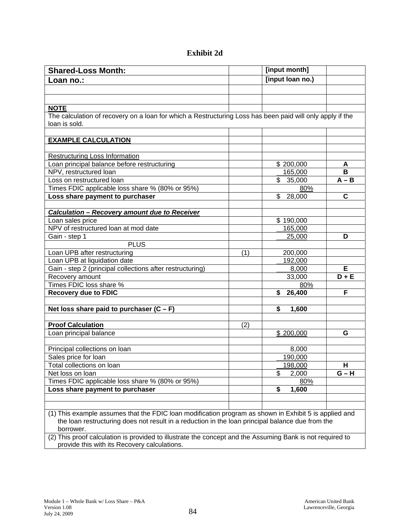# **Exhibit 2d**

| <b>Shared-Loss Month:</b>                                                                                                                                                                                 |     | [input month]      |         |
|-----------------------------------------------------------------------------------------------------------------------------------------------------------------------------------------------------------|-----|--------------------|---------|
| Loan no.:                                                                                                                                                                                                 |     | [input loan no.)   |         |
|                                                                                                                                                                                                           |     |                    |         |
|                                                                                                                                                                                                           |     |                    |         |
| <b>NOTE</b>                                                                                                                                                                                               |     |                    |         |
| The calculation of recovery on a loan for which a Restructuring Loss has been paid will only apply if the                                                                                                 |     |                    |         |
| loan is sold.                                                                                                                                                                                             |     |                    |         |
|                                                                                                                                                                                                           |     |                    |         |
| <b>EXAMPLE CALCULATION</b>                                                                                                                                                                                |     |                    |         |
|                                                                                                                                                                                                           |     |                    |         |
| <b>Restructuring Loss Information</b>                                                                                                                                                                     |     |                    |         |
| Loan principal balance before restructuring                                                                                                                                                               |     | \$200,000          | A       |
| NPV, restructured loan                                                                                                                                                                                    |     | 165,000            | B       |
| Loss on restructured loan                                                                                                                                                                                 |     | \$35,000           | $A - B$ |
| Times FDIC applicable loss share % (80% or 95%)                                                                                                                                                           |     | 80%                |         |
| Loss share payment to purchaser                                                                                                                                                                           |     | \$28,000           | C       |
|                                                                                                                                                                                                           |     |                    |         |
| Calculation - Recovery amount due to Receiver                                                                                                                                                             |     |                    |         |
| Loan sales price                                                                                                                                                                                          |     | \$190,000          |         |
| NPV of restructured loan at mod date                                                                                                                                                                      |     | 165,000            |         |
| Gain - step 1                                                                                                                                                                                             |     | 25,000             | D       |
| <b>PLUS</b>                                                                                                                                                                                               |     |                    |         |
| Loan UPB after restructuring<br>Loan UPB at liquidation date                                                                                                                                              | (1) | 200,000<br>192,000 |         |
| Gain - step 2 (principal collections after restructuring)                                                                                                                                                 |     | 8,000              | Е       |
| Recovery amount                                                                                                                                                                                           |     | 33,000             | $D + E$ |
| Times FDIC loss share %                                                                                                                                                                                   |     | 80%                |         |
| <b>Recovery due to FDIC</b>                                                                                                                                                                               |     | \$26,400           | F       |
|                                                                                                                                                                                                           |     |                    |         |
| Net loss share paid to purchaser $(C - F)$                                                                                                                                                                |     | \$<br>1,600        |         |
|                                                                                                                                                                                                           |     |                    |         |
| <b>Proof Calculation</b>                                                                                                                                                                                  | (2) |                    |         |
| Loan principal balance                                                                                                                                                                                    |     | \$200,000          | G       |
|                                                                                                                                                                                                           |     |                    |         |
| Principal collections on loan                                                                                                                                                                             |     | 8,000              |         |
| Sales price for loan                                                                                                                                                                                      |     | 190,000            |         |
| Total collections on loan                                                                                                                                                                                 |     | 198,000            | H       |
| Net loss on loan                                                                                                                                                                                          |     | \$<br>2,000        | G – H   |
| Times FDIC applicable loss share % (80% or 95%)                                                                                                                                                           |     | 80%                |         |
| Loss share payment to purchaser                                                                                                                                                                           |     | 1,600<br>\$        |         |
|                                                                                                                                                                                                           |     |                    |         |
|                                                                                                                                                                                                           |     |                    |         |
| (1) This example assumes that the FDIC loan modification program as shown in Exhibit 5 is applied and<br>the loan restructuring does not result in a reduction in the loan principal balance due from the |     |                    |         |
| borrower.                                                                                                                                                                                                 |     |                    |         |
| (2) This proof calculation is provided to illustrate the concept and the Assuming Bank is not required to                                                                                                 |     |                    |         |
| provide this with its Recovery calculations.                                                                                                                                                              |     |                    |         |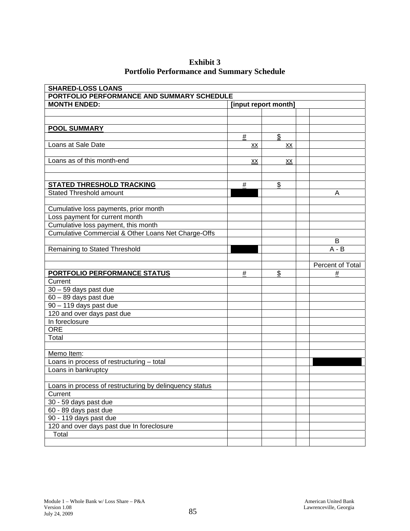| <b>SHARED-LOSS LOANS</b><br>PORTFOLIO PERFORMANCE AND SUMMARY SCHEDULE |      |    |                  |  |
|------------------------------------------------------------------------|------|----|------------------|--|
| <b>MONTH ENDED:</b><br>[input report month]                            |      |    |                  |  |
|                                                                        |      |    |                  |  |
|                                                                        |      |    |                  |  |
| <b>POOL SUMMARY</b>                                                    |      |    |                  |  |
|                                                                        | $\#$ | \$ |                  |  |
| Loans at Sale Date                                                     | XX   | XX |                  |  |
|                                                                        |      |    |                  |  |
| Loans as of this month-end                                             | XX   | XX |                  |  |
|                                                                        |      |    |                  |  |
| <b>STATED THRESHOLD TRACKING</b>                                       | $\#$ | \$ |                  |  |
| <b>Stated Threshold amount</b>                                         |      |    | A                |  |
|                                                                        |      |    |                  |  |
| Cumulative loss payments, prior month                                  |      |    |                  |  |
| Loss payment for current month                                         |      |    |                  |  |
| Cumulative loss payment, this month                                    |      |    |                  |  |
| Cumulative Commercial & Other Loans Net Charge-Offs                    |      |    |                  |  |
|                                                                        |      |    | B                |  |
| Remaining to Stated Threshold                                          |      |    | $A - B$          |  |
|                                                                        |      |    |                  |  |
|                                                                        |      |    | Percent of Total |  |
| <b>PORTFOLIO PERFORMANCE STATUS</b>                                    | $\#$ | \$ | $\#$             |  |
| Current                                                                |      |    |                  |  |
| $30 - 59$ days past due                                                |      |    |                  |  |
| $60 - 89$ days past due                                                |      |    |                  |  |
| $90 - 119$ days past due                                               |      |    |                  |  |
| 120 and over days past due                                             |      |    |                  |  |
| In foreclosure                                                         |      |    |                  |  |
| <b>ORE</b>                                                             |      |    |                  |  |
| Total                                                                  |      |    |                  |  |
|                                                                        |      |    |                  |  |
| Memo Item:                                                             |      |    |                  |  |
| Loans in process of restructuring - total                              |      |    |                  |  |
| Loans in bankruptcy                                                    |      |    |                  |  |
|                                                                        |      |    |                  |  |
| Loans in process of restructuring by delinquency status                |      |    |                  |  |
| Current                                                                |      |    |                  |  |
| 30 - 59 days past due                                                  |      |    |                  |  |
| 60 - 89 days past due                                                  |      |    |                  |  |
| 90 - 119 days past due                                                 |      |    |                  |  |
| 120 and over days past due In foreclosure                              |      |    |                  |  |
| Total                                                                  |      |    |                  |  |

# **Exhibit 3 Portfolio Performance and Summary Schedule**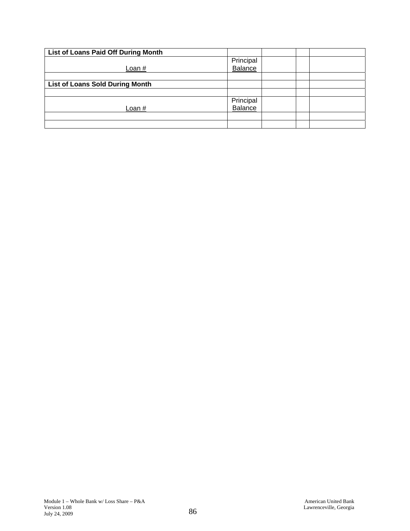| List of Loans Paid Off During Month    |                      |  |
|----------------------------------------|----------------------|--|
|                                        | Principal            |  |
| Loan #                                 | Balance              |  |
|                                        |                      |  |
| <b>List of Loans Sold During Month</b> |                      |  |
|                                        |                      |  |
|                                        | Principal<br>Balance |  |
| Loan #                                 |                      |  |
|                                        |                      |  |
|                                        |                      |  |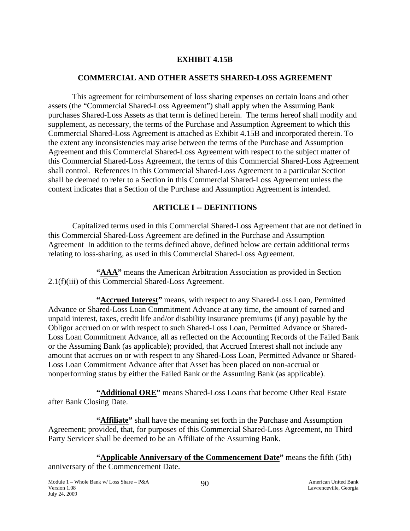### **EXHIBIT 4.15B**

### **COMMERCIAL AND OTHER ASSETS SHARED-LOSS AGREEMENT**

This agreement for reimbursement of loss sharing expenses on certain loans and other assets (the "Commercial Shared-Loss Agreement") shall apply when the Assuming Bank purchases Shared-Loss Assets as that term is defined herein. The terms hereof shall modify and supplement, as necessary, the terms of the Purchase and Assumption Agreement to which this Commercial Shared-Loss Agreement is attached as Exhibit 4.15B and incorporated therein. To the extent any inconsistencies may arise between the terms of the Purchase and Assumption Agreement and this Commercial Shared-Loss Agreement with respect to the subject matter of this Commercial Shared-Loss Agreement, the terms of this Commercial Shared-Loss Agreement shall control. References in this Commercial Shared-Loss Agreement to a particular Section shall be deemed to refer to a Section in this Commercial Shared-Loss Agreement unless the context indicates that a Section of the Purchase and Assumption Agreement is intended.

### **ARTICLE I -- DEFINITIONS**

Capitalized terms used in this Commercial Shared-Loss Agreement that are not defined in this Commercial Shared-Loss Agreement are defined in the Purchase and Assumption Agreement In addition to the terms defined above, defined below are certain additional terms relating to loss-sharing, as used in this Commercial Shared-Loss Agreement.

**"AAA"** means the American Arbitration Association as provided in Section 2.1(f)(iii) of this Commercial Shared-Loss Agreement.

**"Accrued Interest"** means, with respect to any Shared-Loss Loan, Permitted Advance or Shared-Loss Loan Commitment Advance at any time, the amount of earned and unpaid interest, taxes, credit life and/or disability insurance premiums (if any) payable by the Obligor accrued on or with respect to such Shared-Loss Loan, Permitted Advance or Shared-Loss Loan Commitment Advance, all as reflected on the Accounting Records of the Failed Bank or the Assuming Bank (as applicable); provided, that Accrued Interest shall not include any amount that accrues on or with respect to any Shared-Loss Loan, Permitted Advance or Shared-Loss Loan Commitment Advance after that Asset has been placed on non-accrual or nonperforming status by either the Failed Bank or the Assuming Bank (as applicable).

"**Additional ORE**" means Shared-Loss Loans that become Other Real Estate after Bank Closing Date.

"**Affiliate**" shall have the meaning set forth in the Purchase and Assumption Agreement; provided, that, for purposes of this Commercial Shared-Loss Agreement, no Third Party Servicer shall be deemed to be an Affiliate of the Assuming Bank.

**Examplicable Anniversary of the Commencement Date"** means the fifth (5th) anniversary of the Commencement Date.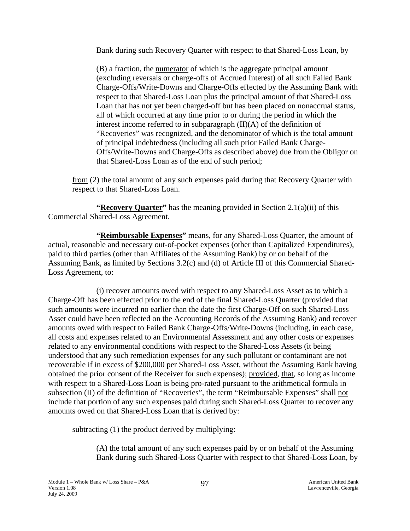Bank during such Recovery Quarter with respect to that Shared-Loss Loan, by

(B) a fraction, the numerator of which is the aggregate principal amount (excluding reversals or charge-offs of Accrued Interest) of all such Failed Bank Charge-Offs/Write-Downs and Charge-Offs effected by the Assuming Bank with respect to that Shared-Loss Loan plus the principal amount of that Shared-Loss Loan that has not yet been charged-off but has been placed on nonaccrual status, all of which occurred at any time prior to or during the period in which the interest income referred to in subparagraph  $(II)(A)$  of the definition of "Recoveries" was recognized, and the denominator of which is the total amount of principal indebtedness (including all such prior Failed Bank Charge-Offs/Write-Downs and Charge-Offs as described above) due from the Obligor on that Shared-Loss Loan as of the end of such period;

from (2) the total amount of any such expenses paid during that Recovery Quarter with respect to that Shared-Loss Loan.

**"Recovery Quarter"** has the meaning provided in Section 2.1(a)(ii) of this Commercial Shared-Loss Agreement.

**"Reimbursable Expenses"** means, for any Shared-Loss Quarter, the amount of actual, reasonable and necessary out-of-pocket expenses (other than Capitalized Expenditures), paid to third parties (other than Affiliates of the Assuming Bank) by or on behalf of the Assuming Bank, as limited by Sections 3.2(c) and (d) of Article III of this Commercial Shared-Loss Agreement, to:

(i) recover amounts owed with respect to any Shared-Loss Asset as to which a Charge-Off has been effected prior to the end of the final Shared-Loss Quarter (provided that such amounts were incurred no earlier than the date the first Charge-Off on such Shared-Loss Asset could have been reflected on the Accounting Records of the Assuming Bank) and recover amounts owed with respect to Failed Bank Charge-Offs/Write-Downs (including, in each case, all costs and expenses related to an Environmental Assessment and any other costs or expenses related to any environmental conditions with respect to the Shared-Loss Assets (it being understood that any such remediation expenses for any such pollutant or contaminant are not recoverable if in excess of \$200,000 per Shared-Loss Asset, without the Assuming Bank having obtained the prior consent of the Receiver for such expenses); provided, that, so long as income with respect to a Shared-Loss Loan is being pro-rated pursuant to the arithmetical formula in subsection (II) of the definition of "Recoveries", the term "Reimbursable Expenses" shall not include that portion of any such expenses paid during such Shared-Loss Quarter to recover any amounts owed on that Shared-Loss Loan that is derived by:

subtracting (1) the product derived by multiplying:

(A) the total amount of any such expenses paid by or on behalf of the Assuming Bank during such Shared-Loss Quarter with respect to that Shared-Loss Loan, by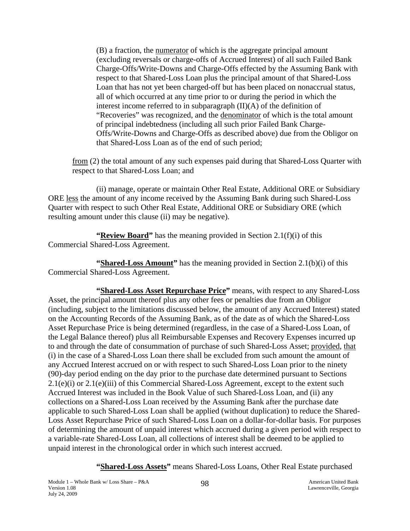(B) a fraction, the numerator of which is the aggregate principal amount (excluding reversals or charge-offs of Accrued Interest) of all such Failed Bank Charge-Offs/Write-Downs and Charge-Offs effected by the Assuming Bank with respect to that Shared-Loss Loan plus the principal amount of that Shared-Loss Loan that has not yet been charged-off but has been placed on nonaccrual status, all of which occurred at any time prior to or during the period in which the interest income referred to in subparagraph  $(II)(A)$  of the definition of "Recoveries" was recognized, and the denominator of which is the total amount of principal indebtedness (including all such prior Failed Bank Charge-Offs/Write-Downs and Charge-Offs as described above) due from the Obligor on that Shared-Loss Loan as of the end of such period;

from (2) the total amount of any such expenses paid during that Shared-Loss Quarter with respect to that Shared-Loss Loan; and

(ii) manage, operate or maintain Other Real Estate, Additional ORE or Subsidiary ORE less the amount of any income received by the Assuming Bank during such Shared-Loss Quarter with respect to such Other Real Estate, Additional ORE or Subsidiary ORE (which resulting amount under this clause (ii) may be negative).

**"Review Board"** has the meaning provided in Section 2.1(f)(i) of this Commercial Shared-Loss Agreement.

**"Shared-Loss Amount"** has the meaning provided in Section 2.1(b)(i) of this Commercial Shared-Loss Agreement.

**"Shared-Loss Asset Repurchase Price"** means, with respect to any Shared-Loss Asset, the principal amount thereof plus any other fees or penalties due from an Obligor (including, subject to the limitations discussed below, the amount of any Accrued Interest) stated on the Accounting Records of the Assuming Bank, as of the date as of which the Shared-Loss Asset Repurchase Price is being determined (regardless, in the case of a Shared-Loss Loan, of the Legal Balance thereof) plus all Reimbursable Expenses and Recovery Expenses incurred up to and through the date of consummation of purchase of such Shared-Loss Asset; provided, that (i) in the case of a Shared-Loss Loan there shall be excluded from such amount the amount of any Accrued Interest accrued on or with respect to such Shared-Loss Loan prior to the ninety (90)-day period ending on the day prior to the purchase date determined pursuant to Sections 2.1(e)(i) or 2.1(e)(iii) of this Commercial Shared-Loss Agreement, except to the extent such Accrued Interest was included in the Book Value of such Shared-Loss Loan, and (ii) any collections on a Shared-Loss Loan received by the Assuming Bank after the purchase date applicable to such Shared-Loss Loan shall be applied (without duplication) to reduce the Shared-Loss Asset Repurchase Price of such Shared-Loss Loan on a dollar-for-dollar basis. For purposes of determining the amount of unpaid interest which accrued during a given period with respect to a variable-rate Shared-Loss Loan, all collections of interest shall be deemed to be applied to unpaid interest in the chronological order in which such interest accrued.

**"Shared-Loss Assets"** means Shared-Loss Loans, Other Real Estate purchased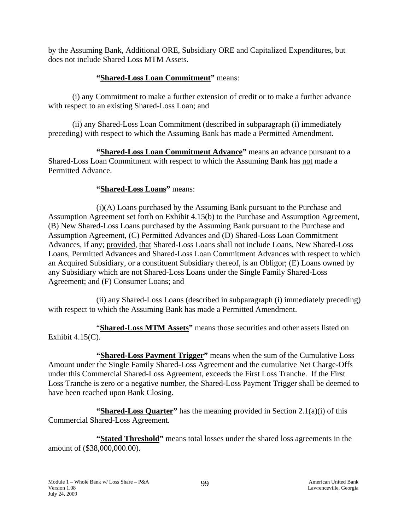by the Assuming Bank, Additional ORE, Subsidiary ORE and Capitalized Expenditures, but does not include Shared Loss MTM Assets.

# **"Shared-Loss Loan Commitment"** means:

(i) any Commitment to make a further extension of credit or to make a further advance with respect to an existing Shared-Loss Loan; and

(ii) any Shared-Loss Loan Commitment (described in subparagraph (i) immediately preceding) with respect to which the Assuming Bank has made a Permitted Amendment.

**"Shared-Loss Loan Commitment Advance"** means an advance pursuant to a Shared-Loss Loan Commitment with respect to which the Assuming Bank has not made a Permitted Advance.

# **"Shared-Loss Loans"** means:

(i)(A) Loans purchased by the Assuming Bank pursuant to the Purchase and Assumption Agreement set forth on Exhibit 4.15(b) to the Purchase and Assumption Agreement, (B) New Shared-Loss Loans purchased by the Assuming Bank pursuant to the Purchase and Assumption Agreement, (C) Permitted Advances and (D) Shared-Loss Loan Commitment Advances, if any; provided, that Shared-Loss Loans shall not include Loans, New Shared-Loss Loans, Permitted Advances and Shared-Loss Loan Commitment Advances with respect to which an Acquired Subsidiary, or a constituent Subsidiary thereof, is an Obligor; (E) Loans owned by any Subsidiary which are not Shared-Loss Loans under the Single Family Shared-Loss Agreement; and (F) Consumer Loans; and

(ii) any Shared-Loss Loans (described in subparagraph (i) immediately preceding) with respect to which the Assuming Bank has made a Permitted Amendment.

"**Shared-Loss MTM Assets"** means those securities and other assets listed on Exhibit  $4.15(C)$ .

**"Shared-Loss Payment Trigger"** means when the sum of the Cumulative Loss Amount under the Single Family Shared-Loss Agreement and the cumulative Net Charge-Offs under this Commercial Shared-Loss Agreement, exceeds the First Loss Tranche. If the First Loss Tranche is zero or a negative number, the Shared-Loss Payment Trigger shall be deemed to have been reached upon Bank Closing.

**"Shared-Loss Quarter"** has the meaning provided in Section 2.1(a)(i) of this Commercial Shared-Loss Agreement.

**"Stated Threshold"** means total losses under the shared loss agreements in the amount of (\$38,000,000.00).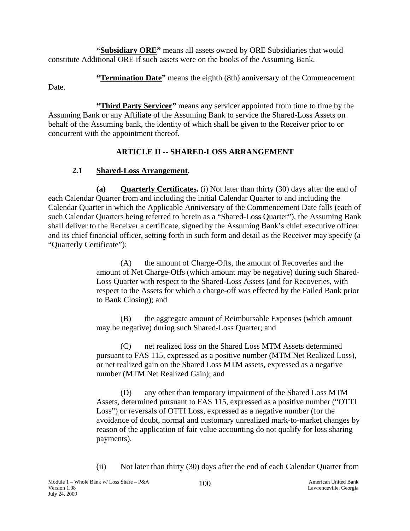**"Subsidiary ORE"** means all assets owned by ORE Subsidiaries that would constitute Additional ORE if such assets were on the books of the Assuming Bank.

**"Termination Date"** means the eighth (8th) anniversary of the Commencement Date.

**"Third Party Servicer"** means any servicer appointed from time to time by the Assuming Bank or any Affiliate of the Assuming Bank to service the Shared-Loss Assets on behalf of the Assuming bank, the identity of which shall be given to the Receiver prior to or concurrent with the appointment thereof.

# **ARTICLE II** -- **SHARED-LOSS ARRANGEMENT**

# **2.1 Shared-Loss Arrangement.**

**(a) Quarterly Certificates.** (i) Not later than thirty (30) days after the end of each Calendar Quarter from and including the initial Calendar Quarter to and including the Calendar Quarter in which the Applicable Anniversary of the Commencement Date falls (each of such Calendar Quarters being referred to herein as a "Shared-Loss Quarter"), the Assuming Bank shall deliver to the Receiver a certificate, signed by the Assuming Bank's chief executive officer and its chief financial officer, setting forth in such form and detail as the Receiver may specify (a "Quarterly Certificate"):

> (A) the amount of Charge-Offs, the amount of Recoveries and the amount of Net Charge-Offs (which amount may be negative) during such Shared-Loss Quarter with respect to the Shared-Loss Assets (and for Recoveries, with respect to the Assets for which a charge-off was effected by the Failed Bank prior to Bank Closing); and

(B) the aggregate amount of Reimbursable Expenses (which amount may be negative) during such Shared-Loss Quarter; and

(C) net realized loss on the Shared Loss MTM Assets determined pursuant to FAS 115, expressed as a positive number (MTM Net Realized Loss), or net realized gain on the Shared Loss MTM assets, expressed as a negative number (MTM Net Realized Gain); and

(D) any other than temporary impairment of the Shared Loss MTM Assets, determined pursuant to FAS 115, expressed as a positive number ("OTTI Loss") or reversals of OTTI Loss, expressed as a negative number (for the avoidance of doubt, normal and customary unrealized mark-to-market changes by reason of the application of fair value accounting do not qualify for loss sharing payments).

(ii) Not later than thirty (30) days after the end of each Calendar Quarter from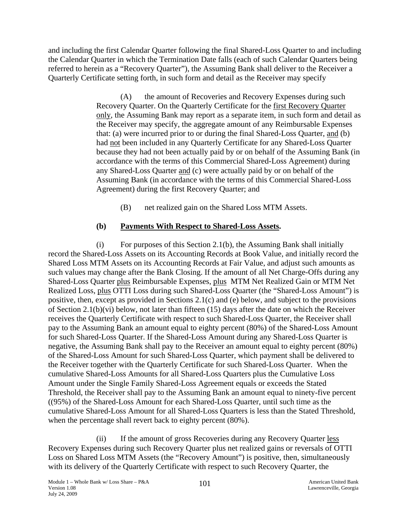and including the first Calendar Quarter following the final Shared-Loss Quarter to and including the Calendar Quarter in which the Termination Date falls (each of such Calendar Quarters being referred to herein as a "Recovery Quarter"), the Assuming Bank shall deliver to the Receiver a Quarterly Certificate setting forth, in such form and detail as the Receiver may specify

> (A) the amount of Recoveries and Recovery Expenses during such Recovery Quarter. On the Quarterly Certificate for the first Recovery Quarter only, the Assuming Bank may report as a separate item, in such form and detail as the Receiver may specify, the aggregate amount of any Reimbursable Expenses that: (a) were incurred prior to or during the final Shared-Loss Quarter, and (b) had not been included in any Quarterly Certificate for any Shared-Loss Quarter because they had not been actually paid by or on behalf of the Assuming Bank (in accordance with the terms of this Commercial Shared-Loss Agreement) during any Shared-Loss Quarter and (c) were actually paid by or on behalf of the Assuming Bank (in accordance with the terms of this Commercial Shared-Loss Agreement) during the first Recovery Quarter; and

(B) net realized gain on the Shared Loss MTM Assets.

# **(b) Payments With Respect to Shared-Loss Assets.**

(i) For purposes of this Section 2.1(b), the Assuming Bank shall initially record the Shared-Loss Assets on its Accounting Records at Book Value, and initially record the Shared Loss MTM Assets on its Accounting Records at Fair Value, and adjust such amounts as such values may change after the Bank Closing. If the amount of all Net Charge-Offs during any Shared-Loss Quarter plus Reimbursable Expenses, plus MTM Net Realized Gain or MTM Net Realized Loss, plus OTTI Loss during such Shared-Loss Quarter (the "Shared-Loss Amount") is positive, then, except as provided in Sections 2.1(c) and (e) below, and subject to the provisions of Section 2.1(b)(vi) below, not later than fifteen (15) days after the date on which the Receiver receives the Quarterly Certificate with respect to such Shared-Loss Quarter, the Receiver shall pay to the Assuming Bank an amount equal to eighty percent (80%) of the Shared-Loss Amount for such Shared-Loss Quarter. If the Shared-Loss Amount during any Shared-Loss Quarter is negative, the Assuming Bank shall pay to the Receiver an amount equal to eighty percent (80%) of the Shared-Loss Amount for such Shared-Loss Quarter, which payment shall be delivered to the Receiver together with the Quarterly Certificate for such Shared-Loss Quarter. When the cumulative Shared-Loss Amounts for all Shared-Loss Quarters plus the Cumulative Loss Amount under the Single Family Shared-Loss Agreement equals or exceeds the Stated Threshold, the Receiver shall pay to the Assuming Bank an amount equal to ninety-five percent ((95%) of the Shared-Loss Amount for each Shared-Loss Quarter, until such time as the cumulative Shared-Loss Amount for all Shared-Loss Quarters is less than the Stated Threshold, when the percentage shall revert back to eighty percent (80%).

(ii) If the amount of gross Recoveries during any Recovery Quarter less Recovery Expenses during such Recovery Quarter plus net realized gains or reversals of OTTI Loss on Shared Loss MTM Assets (the "Recovery Amount") is positive, then, simultaneously with its delivery of the Quarterly Certificate with respect to such Recovery Quarter, the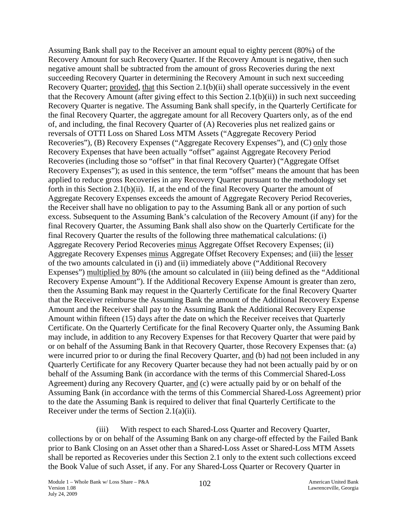Assuming Bank shall pay to the Receiver an amount equal to eighty percent (80%) of the Recovery Amount for such Recovery Quarter. If the Recovery Amount is negative, then such negative amount shall be subtracted from the amount of gross Recoveries during the next succeeding Recovery Quarter in determining the Recovery Amount in such next succeeding Recovery Quarter; provided, that this Section 2.1(b)(ii) shall operate successively in the event that the Recovery Amount (after giving effect to this Section 2.1(b)(ii)) in such next succeeding Recovery Quarter is negative. The Assuming Bank shall specify, in the Quarterly Certificate for the final Recovery Quarter, the aggregate amount for all Recovery Quarters only, as of the end of, and including, the final Recovery Quarter of (A) Recoveries plus net realized gains or reversals of OTTI Loss on Shared Loss MTM Assets ("Aggregate Recovery Period Recoveries"), (B) Recovery Expenses ("Aggregate Recovery Expenses"), and (C) only those Recovery Expenses that have been actually "offset" against Aggregate Recovery Period Recoveries (including those so "offset" in that final Recovery Quarter) ("Aggregate Offset Recovery Expenses"); as used in this sentence, the term "offset" means the amount that has been applied to reduce gross Recoveries in any Recovery Quarter pursuant to the methodology set forth in this Section 2.1(b)(ii). If, at the end of the final Recovery Quarter the amount of Aggregate Recovery Expenses exceeds the amount of Aggregate Recovery Period Recoveries, the Receiver shall have no obligation to pay to the Assuming Bank all or any portion of such excess. Subsequent to the Assuming Bank's calculation of the Recovery Amount (if any) for the final Recovery Quarter, the Assuming Bank shall also show on the Quarterly Certificate for the final Recovery Quarter the results of the following three mathematical calculations: (i) Aggregate Recovery Period Recoveries minus Aggregate Offset Recovery Expenses; (ii) Aggregate Recovery Expenses minus Aggregate Offset Recovery Expenses; and (iii) the lesser of the two amounts calculated in (i) and (ii) immediately above ("Additional Recovery Expenses") multiplied by 80% (the amount so calculated in (iii) being defined as the "Additional Recovery Expense Amount"). If the Additional Recovery Expense Amount is greater than zero, then the Assuming Bank may request in the Quarterly Certificate for the final Recovery Quarter that the Receiver reimburse the Assuming Bank the amount of the Additional Recovery Expense Amount and the Receiver shall pay to the Assuming Bank the Additional Recovery Expense Amount within fifteen (15) days after the date on which the Receiver receives that Quarterly Certificate. On the Quarterly Certificate for the final Recovery Quarter only, the Assuming Bank may include, in addition to any Recovery Expenses for that Recovery Quarter that were paid by or on behalf of the Assuming Bank in that Recovery Quarter, those Recovery Expenses that: (a) were incurred prior to or during the final Recovery Quarter, and (b) had not been included in any Quarterly Certificate for any Recovery Quarter because they had not been actually paid by or on behalf of the Assuming Bank (in accordance with the terms of this Commercial Shared-Loss Agreement) during any Recovery Quarter, and (c) were actually paid by or on behalf of the Assuming Bank (in accordance with the terms of this Commercial Shared-Loss Agreement) prior to the date the Assuming Bank is required to deliver that final Quarterly Certificate to the Receiver under the terms of Section 2.1(a)(ii).

(iii) With respect to each Shared-Loss Quarter and Recovery Quarter, collections by or on behalf of the Assuming Bank on any charge-off effected by the Failed Bank prior to Bank Closing on an Asset other than a Shared-Loss Asset or Shared-Loss MTM Assets shall be reported as Recoveries under this Section 2.1 only to the extent such collections exceed the Book Value of such Asset, if any. For any Shared-Loss Quarter or Recovery Quarter in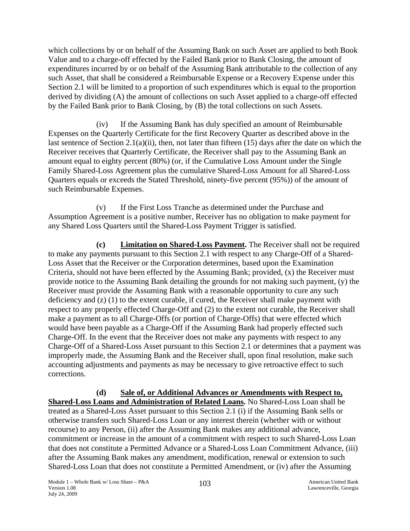which collections by or on behalf of the Assuming Bank on such Asset are applied to both Book Value and to a charge-off effected by the Failed Bank prior to Bank Closing, the amount of expenditures incurred by or on behalf of the Assuming Bank attributable to the collection of any such Asset, that shall be considered a Reimbursable Expense or a Recovery Expense under this Section 2.1 will be limited to a proportion of such expenditures which is equal to the proportion derived by dividing (A) the amount of collections on such Asset applied to a charge-off effected by the Failed Bank prior to Bank Closing, by (B) the total collections on such Assets.

(iv) If the Assuming Bank has duly specified an amount of Reimbursable Expenses on the Quarterly Certificate for the first Recovery Quarter as described above in the last sentence of Section 2.1(a)(ii), then, not later than fifteen (15) days after the date on which the Receiver receives that Quarterly Certificate, the Receiver shall pay to the Assuming Bank an amount equal to eighty percent (80%) (or, if the Cumulative Loss Amount under the Single Family Shared-Loss Agreement plus the cumulative Shared-Loss Amount for all Shared-Loss Quarters equals or exceeds the Stated Threshold, ninety-five percent (95%)) of the amount of such Reimbursable Expenses.

(v) If the First Loss Tranche as determined under the Purchase and Assumption Agreement is a positive number, Receiver has no obligation to make payment for any Shared Loss Quarters until the Shared-Loss Payment Trigger is satisfied.

**(c) Limitation on Shared-Loss Payment.** The Receiver shall not be required to make any payments pursuant to this Section 2.1 with respect to any Charge-Off of a Shared-Loss Asset that the Receiver or the Corporation determines, based upon the Examination Criteria, should not have been effected by the Assuming Bank; provided, (x) the Receiver must provide notice to the Assuming Bank detailing the grounds for not making such payment, (y) the Receiver must provide the Assuming Bank with a reasonable opportunity to cure any such deficiency and (z) (1) to the extent curable, if cured, the Receiver shall make payment with respect to any properly effected Charge-Off and (2) to the extent not curable, the Receiver shall make a payment as to all Charge-Offs (or portion of Charge-Offs) that were effected which would have been payable as a Charge-Off if the Assuming Bank had properly effected such Charge-Off. In the event that the Receiver does not make any payments with respect to any Charge-Off of a Shared-Loss Asset pursuant to this Section 2.1 or determines that a payment was improperly made, the Assuming Bank and the Receiver shall, upon final resolution, make such accounting adjustments and payments as may be necessary to give retroactive effect to such corrections.

**(d) Sale of, or Additional Advances or Amendments with Respect to, Shared-Loss Loans and Administration of Related Loans.** No Shared-Loss Loan shall be treated as a Shared-Loss Asset pursuant to this Section 2.1 (i) if the Assuming Bank sells or otherwise transfers such Shared-Loss Loan or any interest therein (whether with or without recourse) to any Person, (ii) after the Assuming Bank makes any additional advance, commitment or increase in the amount of a commitment with respect to such Shared-Loss Loan that does not constitute a Permitted Advance or a Shared-Loss Loan Commitment Advance, (iii) after the Assuming Bank makes any amendment, modification, renewal or extension to such Shared-Loss Loan that does not constitute a Permitted Amendment, or (iv) after the Assuming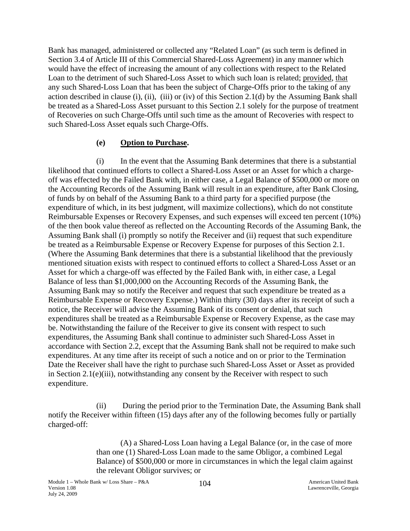Loan to the detriment of such Shared-Loss Asset to which such loan is related; provided, that Bank has managed, administered or collected any "Related Loan" (as such term is defined in Section 3.4 of Article III of this Commercial Shared-Loss Agreement) in any manner which would have the effect of increasing the amount of any collections with respect to the Related any such Shared-Loss Loan that has been the subject of Charge-Offs prior to the taking of any action described in clause (i), (ii), (iii) or (iv) of this Section 2.1(d) by the Assuming Bank shall be treated as a Shared-Loss Asset pursuant to this Section 2.1 solely for the purpose of treatment of Recoveries on such Charge-Offs until such time as the amount of Recoveries with respect to such Shared-Loss Asset equals such Charge-Offs.

### **(e) Option to Purchase.**

(i) In the event that the Assuming Bank determines that there is a substantial likelihood that continued efforts to collect a Shared-Loss Asset or an Asset for which a chargeoff was effected by the Failed Bank with, in either case, a Legal Balance of \$500,000 or more on the Accounting Records of the Assuming Bank will result in an expenditure, after Bank Closing, of funds by on behalf of the Assuming Bank to a third party for a specified purpose (the expenditure of which, in its best judgment, will maximize collections), which do not constitute Reimbursable Expenses or Recovery Expenses, and such expenses will exceed ten percent (10%) of the then book value thereof as reflected on the Accounting Records of the Assuming Bank, the Assuming Bank shall (i) promptly so notify the Receiver and (ii) request that such expenditure be treated as a Reimbursable Expense or Recovery Expense for purposes of this Section 2.1. (Where the Assuming Bank determines that there is a substantial likelihood that the previously mentioned situation exists with respect to continued efforts to collect a Shared-Loss Asset or an Asset for which a charge-off was effected by the Failed Bank with, in either case, a Legal Balance of less than \$1,000,000 on the Accounting Records of the Assuming Bank, the Assuming Bank may so notify the Receiver and request that such expenditure be treated as a Reimbursable Expense or Recovery Expense.) Within thirty (30) days after its receipt of such a notice, the Receiver will advise the Assuming Bank of its consent or denial, that such expenditures shall be treated as a Reimbursable Expense or Recovery Expense, as the case may be. Notwithstanding the failure of the Receiver to give its consent with respect to such expenditures, the Assuming Bank shall continue to administer such Shared-Loss Asset in accordance with Section 2.2, except that the Assuming Bank shall not be required to make such expenditures. At any time after its receipt of such a notice and on or prior to the Termination Date the Receiver shall have the right to purchase such Shared-Loss Asset or Asset as provided in Section 2.1(e)(iii), notwithstanding any consent by the Receiver with respect to such expenditure.

(ii) During the period prior to the Termination Date, the Assuming Bank shall notify the Receiver within fifteen (15) days after any of the following becomes fully or partially charged-off:

> (A) a Shared-Loss Loan having a Legal Balance (or, in the case of more than one (1) Shared-Loss Loan made to the same Obligor, a combined Legal Balance) of \$500,000 or more in circumstances in which the legal claim against the relevant Obligor survives; or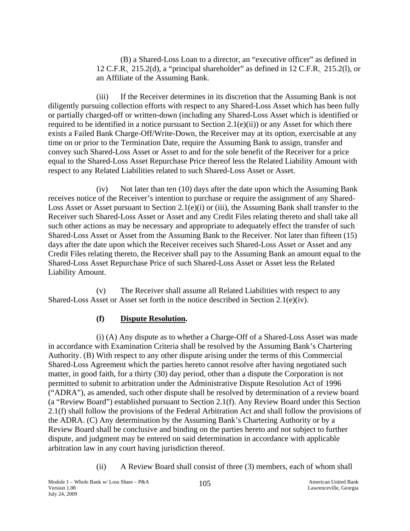(B) a Shared-Loss Loan to a director, an "executive officer" as defined in 12 C.F.R. 215.2(d), a "principal shareholder" as defined in 12 C.F.R. 215.2(l), or an Affiliate of the Assuming Bank.

(iii) If the Receiver determines in its discretion that the Assuming Bank is not diligently pursuing collection efforts with respect to any Shared-Loss Asset which has been fully or partially charged-off or written-down (including any Shared-Loss Asset which is identified or required to be identified in a notice pursuant to Section 2.1(e)(ii)) or any Asset for which there exists a Failed Bank Charge-Off/Write-Down, the Receiver may at its option, exercisable at any time on or prior to the Termination Date, require the Assuming Bank to assign, transfer and convey such Shared-Loss Asset or Asset to and for the sole benefit of the Receiver for a price equal to the Shared-Loss Asset Repurchase Price thereof less the Related Liability Amount with respect to any Related Liabilities related to such Shared-Loss Asset or Asset.

(iv) Not later than ten (10) days after the date upon which the Assuming Bank receives notice of the Receiver's intention to purchase or require the assignment of any Shared-Loss Asset or Asset pursuant to Section 2.1(e)(i) or (iii), the Assuming Bank shall transfer to the Receiver such Shared-Loss Asset or Asset and any Credit Files relating thereto and shall take all such other actions as may be necessary and appropriate to adequately effect the transfer of such Shared-Loss Asset or Asset from the Assuming Bank to the Receiver. Not later than fifteen (15) days after the date upon which the Receiver receives such Shared-Loss Asset or Asset and any Credit Files relating thereto, the Receiver shall pay to the Assuming Bank an amount equal to the Shared-Loss Asset Repurchase Price of such Shared-Loss Asset or Asset less the Related Liability Amount.

(v) The Receiver shall assume all Related Liabilities with respect to any Shared-Loss Asset or Asset set forth in the notice described in Section 2.1(e)(iv).

## **(f) Dispute Resolution.**

(i) (A) Any dispute as to whether a Charge-Off of a Shared-Loss Asset was made in accordance with Examination Criteria shall be resolved by the Assuming Bank's Chartering Authority. (B) With respect to any other dispute arising under the terms of this Commercial Shared-Loss Agreement which the parties hereto cannot resolve after having negotiated such matter, in good faith, for a thirty (30) day period, other than a dispute the Corporation is not permitted to submit to arbitration under the Administrative Dispute Resolution Act of 1996 ("ADRA"), as amended, such other dispute shall be resolved by determination of a review board (a "Review Board") established pursuant to Section 2.1(f). Any Review Board under this Section 2.1(f) shall follow the provisions of the Federal Arbitration Act and shall follow the provisions of the ADRA. (C) Any determination by the Assuming Bank's Chartering Authority or by a Review Board shall be conclusive and binding on the parties hereto and not subject to further dispute, and judgment may be entered on said determination in accordance with applicable arbitration law in any court having jurisdiction thereof.

(ii) A Review Board shall consist of three (3) members, each of whom shall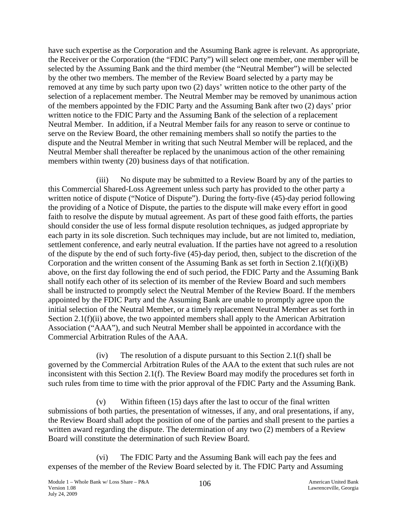have such expertise as the Corporation and the Assuming Bank agree is relevant. As appropriate, the Receiver or the Corporation (the "FDIC Party") will select one member, one member will be selected by the Assuming Bank and the third member (the "Neutral Member") will be selected by the other two members. The member of the Review Board selected by a party may be removed at any time by such party upon two (2) days' written notice to the other party of the selection of a replacement member. The Neutral Member may be removed by unanimous action of the members appointed by the FDIC Party and the Assuming Bank after two (2) days' prior written notice to the FDIC Party and the Assuming Bank of the selection of a replacement Neutral Member. In addition, if a Neutral Member fails for any reason to serve or continue to serve on the Review Board, the other remaining members shall so notify the parties to the dispute and the Neutral Member in writing that such Neutral Member will be replaced, and the Neutral Member shall thereafter be replaced by the unanimous action of the other remaining members within twenty (20) business days of that notification.

(iii) No dispute may be submitted to a Review Board by any of the parties to this Commercial Shared-Loss Agreement unless such party has provided to the other party a written notice of dispute ("Notice of Dispute"). During the forty-five (45)-day period following the providing of a Notice of Dispute, the parties to the dispute will make every effort in good faith to resolve the dispute by mutual agreement. As part of these good faith efforts, the parties should consider the use of less formal dispute resolution techniques, as judged appropriate by each party in its sole discretion. Such techniques may include, but are not limited to, mediation, settlement conference, and early neutral evaluation. If the parties have not agreed to a resolution of the dispute by the end of such forty-five (45)-day period, then, subject to the discretion of the Corporation and the written consent of the Assuming Bank as set forth in Section 2.1(f)(i)(B) above, on the first day following the end of such period, the FDIC Party and the Assuming Bank shall notify each other of its selection of its member of the Review Board and such members shall be instructed to promptly select the Neutral Member of the Review Board. If the members appointed by the FDIC Party and the Assuming Bank are unable to promptly agree upon the initial selection of the Neutral Member, or a timely replacement Neutral Member as set forth in Section 2.1(f)(ii) above, the two appointed members shall apply to the American Arbitration Association ("AAA"), and such Neutral Member shall be appointed in accordance with the Commercial Arbitration Rules of the AAA.

(iv) The resolution of a dispute pursuant to this Section 2.1(f) shall be governed by the Commercial Arbitration Rules of the AAA to the extent that such rules are not inconsistent with this Section 2.1(f). The Review Board may modify the procedures set forth in such rules from time to time with the prior approval of the FDIC Party and the Assuming Bank.

(v) Within fifteen (15) days after the last to occur of the final written submissions of both parties, the presentation of witnesses, if any, and oral presentations, if any, the Review Board shall adopt the position of one of the parties and shall present to the parties a written award regarding the dispute. The determination of any two (2) members of a Review Board will constitute the determination of such Review Board.

(vi) The FDIC Party and the Assuming Bank will each pay the fees and expenses of the member of the Review Board selected by it. The FDIC Party and Assuming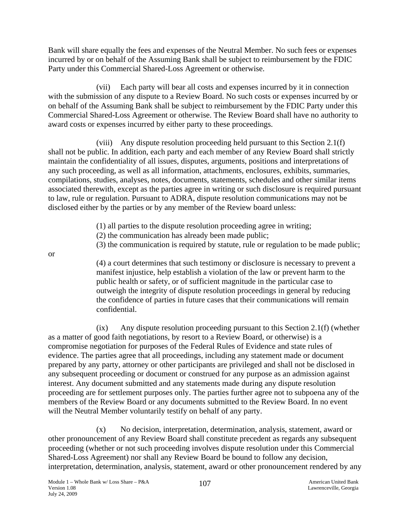Bank will share equally the fees and expenses of the Neutral Member. No such fees or expenses incurred by or on behalf of the Assuming Bank shall be subject to reimbursement by the FDIC Party under this Commercial Shared-Loss Agreement or otherwise.

(vii) Each party will bear all costs and expenses incurred by it in connection with the submission of any dispute to a Review Board. No such costs or expenses incurred by or on behalf of the Assuming Bank shall be subject to reimbursement by the FDIC Party under this Commercial Shared-Loss Agreement or otherwise. The Review Board shall have no authority to award costs or expenses incurred by either party to these proceedings.

(viii) Any dispute resolution proceeding held pursuant to this Section 2.1(f) shall not be public. In addition, each party and each member of any Review Board shall strictly maintain the confidentiality of all issues, disputes, arguments, positions and interpretations of any such proceeding, as well as all information, attachments, enclosures, exhibits, summaries, compilations, studies, analyses, notes, documents, statements, schedules and other similar items associated therewith, except as the parties agree in writing or such disclosure is required pursuant to law, rule or regulation. Pursuant to ADRA, dispute resolution communications may not be disclosed either by the parties or by any member of the Review board unless:

- (1) all parties to the dispute resolution proceeding agree in writing;
- (2) the communication has already been made public;
- (3) the communication is required by statute, rule or regulation to be made public;

or

(4) a court determines that such testimony or disclosure is necessary to prevent a manifest injustice, help establish a violation of the law or prevent harm to the public health or safety, or of sufficient magnitude in the particular case to outweigh the integrity of dispute resolution proceedings in general by reducing the confidence of parties in future cases that their communications will remain confidential.

(ix) Any dispute resolution proceeding pursuant to this Section 2.1(f) (whether as a matter of good faith negotiations, by resort to a Review Board, or otherwise) is a compromise negotiation for purposes of the Federal Rules of Evidence and state rules of evidence. The parties agree that all proceedings, including any statement made or document prepared by any party, attorney or other participants are privileged and shall not be disclosed in any subsequent proceeding or document or construed for any purpose as an admission against interest. Any document submitted and any statements made during any dispute resolution proceeding are for settlement purposes only. The parties further agree not to subpoena any of the members of the Review Board or any documents submitted to the Review Board. In no event will the Neutral Member voluntarily testify on behalf of any party.

(x) No decision, interpretation, determination, analysis, statement, award or other pronouncement of any Review Board shall constitute precedent as regards any subsequent proceeding (whether or not such proceeding involves dispute resolution under this Commercial Shared-Loss Agreement) nor shall any Review Board be bound to follow any decision, interpretation, determination, analysis, statement, award or other pronouncement rendered by any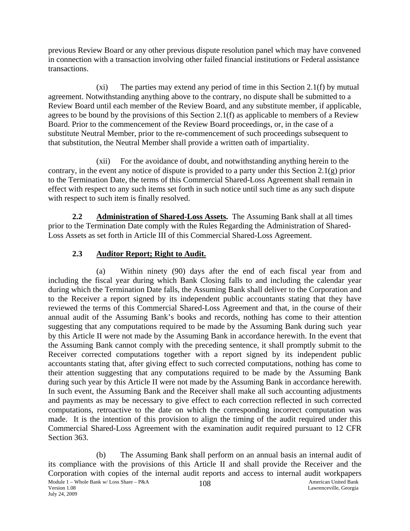previous Review Board or any other previous dispute resolution panel which may have convened in connection with a transaction involving other failed financial institutions or Federal assistance transactions.

(xi) The parties may extend any period of time in this Section 2.1(f) by mutual agreement. Notwithstanding anything above to the contrary, no dispute shall be submitted to a Review Board until each member of the Review Board, and any substitute member, if applicable, agrees to be bound by the provisions of this Section 2.1(f) as applicable to members of a Review Board. Prior to the commencement of the Review Board proceedings, or, in the case of a substitute Neutral Member, prior to the re-commencement of such proceedings subsequent to that substitution, the Neutral Member shall provide a written oath of impartiality.

(xii) For the avoidance of doubt, and notwithstanding anything herein to the contrary, in the event any notice of dispute is provided to a party under this Section 2.1(g) prior to the Termination Date, the terms of this Commercial Shared-Loss Agreement shall remain in effect with respect to any such items set forth in such notice until such time as any such dispute with respect to such item is finally resolved.

**2.2 Administration of Shared-Loss Assets.** The Assuming Bank shall at all times prior to the Termination Date comply with the Rules Regarding the Administration of Shared-Loss Assets as set forth in Article III of this Commercial Shared-Loss Agreement.

## **2.3 Auditor Report; Right to Audit.**

(a) Within ninety (90) days after the end of each fiscal year from and including the fiscal year during which Bank Closing falls to and including the calendar year during which the Termination Date falls, the Assuming Bank shall deliver to the Corporation and to the Receiver a report signed by its independent public accountants stating that they have reviewed the terms of this Commercial Shared-Loss Agreement and that, in the course of their annual audit of the Assuming Bank's books and records, nothing has come to their attention suggesting that any computations required to be made by the Assuming Bank during such year by this Article II were not made by the Assuming Bank in accordance herewith. In the event that the Assuming Bank cannot comply with the preceding sentence, it shall promptly submit to the Receiver corrected computations together with a report signed by its independent public accountants stating that, after giving effect to such corrected computations, nothing has come to their attention suggesting that any computations required to be made by the Assuming Bank during such year by this Article II were not made by the Assuming Bank in accordance herewith. In such event, the Assuming Bank and the Receiver shall make all such accounting adjustments and payments as may be necessary to give effect to each correction reflected in such corrected computations, retroactive to the date on which the corresponding incorrect computation was made. It is the intention of this provision to align the timing of the audit required under this Commercial Shared-Loss Agreement with the examination audit required pursuant to 12 CFR Section 363.

(b) The Assuming Bank shall perform on an annual basis an internal audit of its compliance with the provisions of this Article II and shall provide the Receiver and the Corporation with copies of the internal audit reports and access to internal audit workpapers Module 1 – Whole Bank w/ Loss Share – P&A  $108$  American United Bank Lawrenceville, Georgia July 24, 2009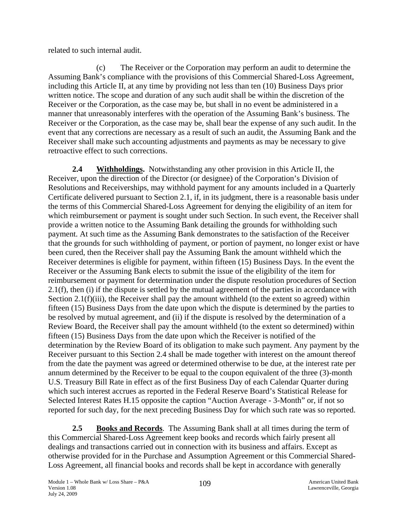related to such internal audit.

(c) The Receiver or the Corporation may perform an audit to determine the Assuming Bank's compliance with the provisions of this Commercial Shared-Loss Agreement, including this Article II, at any time by providing not less than ten (10) Business Days prior written notice. The scope and duration of any such audit shall be within the discretion of the Receiver or the Corporation, as the case may be, but shall in no event be administered in a manner that unreasonably interferes with the operation of the Assuming Bank's business. The Receiver or the Corporation, as the case may be, shall bear the expense of any such audit. In the event that any corrections are necessary as a result of such an audit, the Assuming Bank and the Receiver shall make such accounting adjustments and payments as may be necessary to give retroactive effect to such corrections.

**2.4 Withholdings.** Notwithstanding any other provision in this Article II, the Receiver, upon the direction of the Director (or designee) of the Corporation's Division of Resolutions and Receiverships, may withhold payment for any amounts included in a Quarterly Certificate delivered pursuant to Section 2.1, if, in its judgment, there is a reasonable basis under the terms of this Commercial Shared-Loss Agreement for denying the eligibility of an item for which reimbursement or payment is sought under such Section. In such event, the Receiver shall provide a written notice to the Assuming Bank detailing the grounds for withholding such payment. At such time as the Assuming Bank demonstrates to the satisfaction of the Receiver that the grounds for such withholding of payment, or portion of payment, no longer exist or have been cured, then the Receiver shall pay the Assuming Bank the amount withheld which the Receiver determines is eligible for payment, within fifteen (15) Business Days. In the event the Receiver or the Assuming Bank elects to submit the issue of the eligibility of the item for reimbursement or payment for determination under the dispute resolution procedures of Section 2.1(f), then (i) if the dispute is settled by the mutual agreement of the parties in accordance with Section 2.1(f)(iii), the Receiver shall pay the amount withheld (to the extent so agreed) within fifteen (15) Business Days from the date upon which the dispute is determined by the parties to be resolved by mutual agreement, and (ii) if the dispute is resolved by the determination of a Review Board, the Receiver shall pay the amount withheld (to the extent so determined) within fifteen (15) Business Days from the date upon which the Receiver is notified of the determination by the Review Board of its obligation to make such payment. Any payment by the Receiver pursuant to this Section 2.4 shall be made together with interest on the amount thereof from the date the payment was agreed or determined otherwise to be due, at the interest rate per annum determined by the Receiver to be equal to the coupon equivalent of the three (3)-month U.S. Treasury Bill Rate in effect as of the first Business Day of each Calendar Quarter during which such interest accrues as reported in the Federal Reserve Board's Statistical Release for Selected Interest Rates H.15 opposite the caption "Auction Average - 3-Month" or, if not so reported for such day, for the next preceding Business Day for which such rate was so reported.

**2.5 Books and Records**. The Assuming Bank shall at all times during the term of this Commercial Shared-Loss Agreement keep books and records which fairly present all dealings and transactions carried out in connection with its business and affairs. Except as otherwise provided for in the Purchase and Assumption Agreement or this Commercial Shared-Loss Agreement, all financial books and records shall be kept in accordance with generally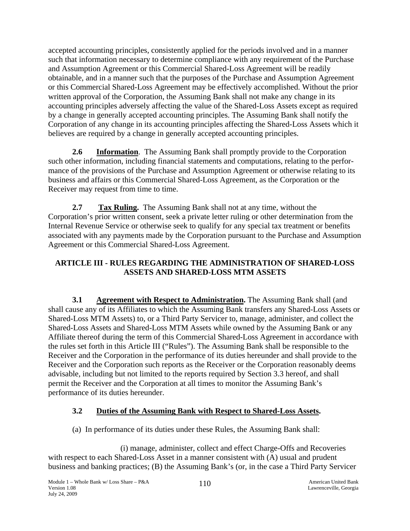accepted accounting principles, consistently applied for the periods involved and in a manner such that information necessary to determine compliance with any requirement of the Purchase and Assumption Agreement or this Commercial Shared-Loss Agreement will be readily obtainable, and in a manner such that the purposes of the Purchase and Assumption Agreement or this Commercial Shared-Loss Agreement may be effectively accomplished. Without the prior written approval of the Corporation, the Assuming Bank shall not make any change in its accounting principles adversely affecting the value of the Shared-Loss Assets except as required by a change in generally accepted accounting principles. The Assuming Bank shall notify the Corporation of any change in its accounting principles affecting the Shared-Loss Assets which it believes are required by a change in generally accepted accounting principles.

**2.6 Information**. The Assuming Bank shall promptly provide to the Corporation such other information, including financial statements and computations, relating to the performance of the provisions of the Purchase and Assumption Agreement or otherwise relating to its business and affairs or this Commercial Shared-Loss Agreement, as the Corporation or the Receiver may request from time to time.

**2.7 Tax Ruling.** The Assuming Bank shall not at any time, without the Corporation's prior written consent, seek a private letter ruling or other determination from the Internal Revenue Service or otherwise seek to qualify for any special tax treatment or benefits associated with any payments made by the Corporation pursuant to the Purchase and Assumption Agreement or this Commercial Shared-Loss Agreement.

## **ASSETS AND SHARED-LOSS MTM ASSETS ARTICLE III - RULES REGARDING THE ADMINISTRATION OF SHARED-LOSS**

**3.1** Agreement with Respect to Administration. The Assuming Bank shall (and shall cause any of its Affiliates to which the Assuming Bank transfers any Shared-Loss Assets or Shared-Loss MTM Assets) to, or a Third Party Servicer to, manage, administer, and collect the Shared-Loss Assets and Shared-Loss MTM Assets while owned by the Assuming Bank or any Affiliate thereof during the term of this Commercial Shared-Loss Agreement in accordance with the rules set forth in this Article III ("Rules"). The Assuming Bank shall be responsible to the Receiver and the Corporation in the performance of its duties hereunder and shall provide to the Receiver and the Corporation such reports as the Receiver or the Corporation reasonably deems advisable, including but not limited to the reports required by Section 3.3 hereof, and shall permit the Receiver and the Corporation at all times to monitor the Assuming Bank's performance of its duties hereunder.

## **3.2 Duties of the Assuming Bank with Respect to Shared-Loss Assets.**

(a) In performance of its duties under these Rules, the Assuming Bank shall:

(i) manage, administer, collect and effect Charge-Offs and Recoveries with respect to each Shared-Loss Asset in a manner consistent with (A) usual and prudent business and banking practices; (B) the Assuming Bank's (or, in the case a Third Party Servicer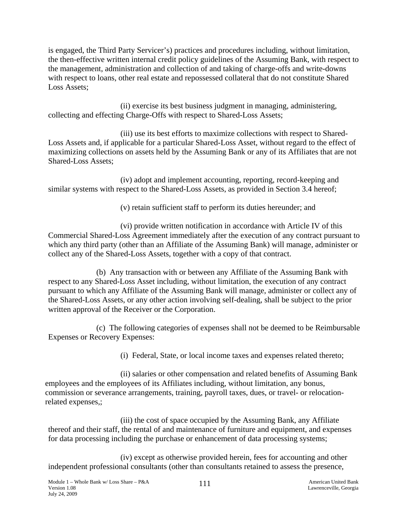is engaged, the Third Party Servicer's) practices and procedures including, without limitation, the then-effective written internal credit policy guidelines of the Assuming Bank, with respect to the management, administration and collection of and taking of charge-offs and write-downs with respect to loans, other real estate and repossessed collateral that do not constitute Shared Loss Assets;

(ii) exercise its best business judgment in managing, administering, collecting and effecting Charge-Offs with respect to Shared-Loss Assets;

(iii) use its best efforts to maximize collections with respect to Shared-Loss Assets and, if applicable for a particular Shared-Loss Asset, without regard to the effect of maximizing collections on assets held by the Assuming Bank or any of its Affiliates that are not Shared-Loss Assets;

(iv) adopt and implement accounting, reporting, record-keeping and similar systems with respect to the Shared-Loss Assets, as provided in Section 3.4 hereof;

(v) retain sufficient staff to perform its duties hereunder; and

(vi) provide written notification in accordance with Article IV of this Commercial Shared-Loss Agreement immediately after the execution of any contract pursuant to which any third party (other than an Affiliate of the Assuming Bank) will manage, administer or collect any of the Shared-Loss Assets, together with a copy of that contract.

(b) Any transaction with or between any Affiliate of the Assuming Bank with respect to any Shared-Loss Asset including, without limitation, the execution of any contract pursuant to which any Affiliate of the Assuming Bank will manage, administer or collect any of the Shared-Loss Assets, or any other action involving self-dealing, shall be subject to the prior written approval of the Receiver or the Corporation.

(c) The following categories of expenses shall not be deemed to be Reimbursable Expenses or Recovery Expenses:

(i) Federal, State, or local income taxes and expenses related thereto;

(ii) salaries or other compensation and related benefits of Assuming Bank employees and the employees of its Affiliates including, without limitation, any bonus, commission or severance arrangements, training, payroll taxes, dues, or travel- or relocationrelated expenses,;

(iii) the cost of space occupied by the Assuming Bank, any Affiliate thereof and their staff, the rental of and maintenance of furniture and equipment, and expenses

for data processing including the purchase or enhancement of data processing systems;<br>(iv) except as otherwise provided herein, fees for accounting and other independent professional consultants (other than consultants retained to assess the presence,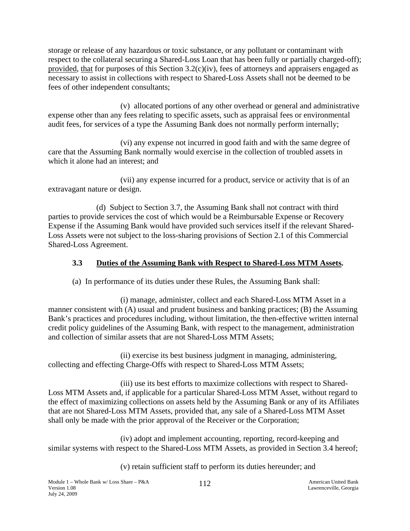storage or release of any hazardous or toxic substance, or any pollutant or contaminant with respect to the collateral securing a Shared-Loss Loan that has been fully or partially charged-off); provided, that for purposes of this Section 3.2(c)(iv), fees of attorneys and appraisers engaged as necessary to assist in collections with respect to Shared-Loss Assets shall not be deemed to be fees of other independent consultants;

(v) allocated portions of any other overhead or general and administrative expense other than any fees relating to specific assets, such as appraisal fees or environmental audit fees, for services of a type the Assuming Bank does not normally perform internally;

(vi) any expense not incurred in good faith and with the same degree of care that the Assuming Bank normally would exercise in the collection of troubled assets in which it alone had an interest; and

(vii) any expense incurred for a product, service or activity that is of an extravagant nature or design.

(d) Subject to Section 3.7, the Assuming Bank shall not contract with third parties to provide services the cost of which would be a Reimbursable Expense or Recovery Expense if the Assuming Bank would have provided such services itself if the relevant Shared-Loss Assets were not subject to the loss-sharing provisions of Section 2.1 of this Commercial Shared-Loss Agreement.

# **3.3 Duties of the Assuming Bank with Respect to Shared-Loss MTM Assets.**

(a) In performance of its duties under these Rules, the Assuming Bank shall:

(i) manage, administer, collect and each Shared-Loss MTM Asset in a manner consistent with (A) usual and prudent business and banking practices; (B) the Assuming Bank's practices and procedures including, without limitation, the then-effective written internal credit policy guidelines of the Assuming Bank, with respect to the management, administration and collection of similar assets that are not Shared-Loss MTM Assets;

(ii) exercise its best business judgment in managing, administering, collecting and effecting Charge-Offs with respect to Shared-Loss MTM Assets;

(iii) use its best efforts to maximize collections with respect to Shared-Loss MTM Assets and, if applicable for a particular Shared-Loss MTM Asset, without regard to the effect of maximizing collections on assets held by the Assuming Bank or any of its Affiliates that are not Shared-Loss MTM Assets, provided that, any sale of a Shared-Loss MTM Asset shall only be made with the prior approval of the Receiver or the Corporation;

(iv) adopt and implement accounting, reporting, record-keeping and similar systems with respect to the Shared-Loss MTM Assets, as provided in Section 3.4 hereof;

(v) retain sufficient staff to perform its duties hereunder; and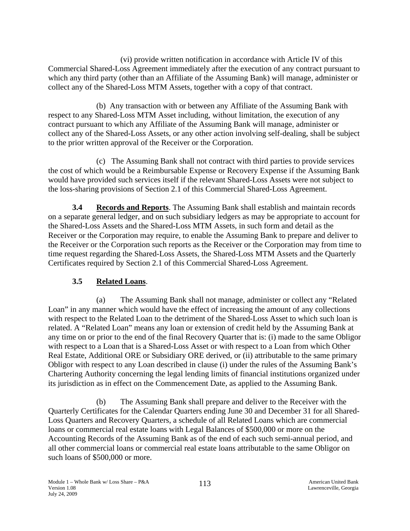(vi) provide written notification in accordance with Article IV of this Commercial Shared-Loss Agreement immediately after the execution of any contract pursuant to which any third party (other than an Affiliate of the Assuming Bank) will manage, administer or collect any of the Shared-Loss MTM Assets, together with a copy of that contract.

(b) Any transaction with or between any Affiliate of the Assuming Bank with respect to any Shared-Loss MTM Asset including, without limitation, the execution of any contract pursuant to which any Affiliate of the Assuming Bank will manage, administer or collect any of the Shared-Loss Assets, or any other action involving self-dealing, shall be subject to the prior written approval of the Receiver or the Corporation.

(c) The Assuming Bank shall not contract with third parties to provide services the cost of which would be a Reimbursable Expense or Recovery Expense if the Assuming Bank would have provided such services itself if the relevant Shared-Loss Assets were not subject to the loss-sharing provisions of Section 2.1 of this Commercial Shared-Loss Agreement.

**3.4 Records and Reports**. The Assuming Bank shall establish and maintain records on a separate general ledger, and on such subsidiary ledgers as may be appropriate to account for the Shared-Loss Assets and the Shared-Loss MTM Assets, in such form and detail as the Receiver or the Corporation may require, to enable the Assuming Bank to prepare and deliver to the Receiver or the Corporation such reports as the Receiver or the Corporation may from time to time request regarding the Shared-Loss Assets, the Shared-Loss MTM Assets and the Quarterly Certificates required by Section 2.1 of this Commercial Shared-Loss Agreement.

## **3.5 Related Loans**.

(a) The Assuming Bank shall not manage, administer or collect any "Related Loan" in any manner which would have the effect of increasing the amount of any collections with respect to the Related Loan to the detriment of the Shared-Loss Asset to which such loan is related. A "Related Loan" means any loan or extension of credit held by the Assuming Bank at any time on or prior to the end of the final Recovery Quarter that is: (i) made to the same Obligor with respect to a Loan that is a Shared-Loss Asset or with respect to a Loan from which Other Real Estate, Additional ORE or Subsidiary ORE derived, or (ii) attributable to the same primary Obligor with respect to any Loan described in clause (i) under the rules of the Assuming Bank's Chartering Authority concerning the legal lending limits of financial institutions organized under its jurisdiction as in effect on the Commencement Date, as applied to the Assuming Bank.

(b) The Assuming Bank shall prepare and deliver to the Receiver with the Quarterly Certificates for the Calendar Quarters ending June 30 and December 31 for all Shared-Loss Quarters and Recovery Quarters, a schedule of all Related Loans which are commercial loans or commercial real estate loans with Legal Balances of \$500,000 or more on the Accounting Records of the Assuming Bank as of the end of each such semi-annual period, and all other commercial loans or commercial real estate loans attributable to the same Obligor on such loans of \$500,000 or more.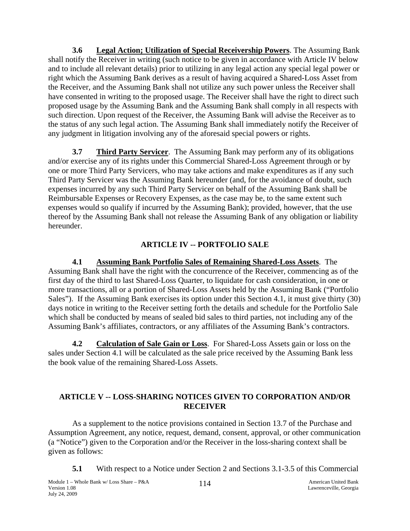**3.6 Legal Action; Utilization of Special Receivership Powers**. The Assuming Bank shall notify the Receiver in writing (such notice to be given in accordance with Article IV below and to include all relevant details) prior to utilizing in any legal action any special legal power or right which the Assuming Bank derives as a result of having acquired a Shared-Loss Asset from the Receiver, and the Assuming Bank shall not utilize any such power unless the Receiver shall have consented in writing to the proposed usage. The Receiver shall have the right to direct such proposed usage by the Assuming Bank and the Assuming Bank shall comply in all respects with such direction. Upon request of the Receiver, the Assuming Bank will advise the Receiver as to the status of any such legal action. The Assuming Bank shall immediately notify the Receiver of any judgment in litigation involving any of the aforesaid special powers or rights.

**3.7** Third Party Servicer. The Assuming Bank may perform any of its obligations and/or exercise any of its rights under this Commercial Shared-Loss Agreement through or by one or more Third Party Servicers, who may take actions and make expenditures as if any such Third Party Servicer was the Assuming Bank hereunder (and, for the avoidance of doubt, such expenses incurred by any such Third Party Servicer on behalf of the Assuming Bank shall be Reimbursable Expenses or Recovery Expenses, as the case may be, to the same extent such expenses would so qualify if incurred by the Assuming Bank); provided, however, that the use thereof by the Assuming Bank shall not release the Assuming Bank of any obligation or liability hereunder.

## **ARTICLE IV -- PORTFOLIO SALE**

**4.1 Assuming Bank Portfolio Sales of Remaining Shared-Loss Assets**. The Assuming Bank shall have the right with the concurrence of the Receiver, commencing as of the first day of the third to last Shared-Loss Quarter, to liquidate for cash consideration, in one or more transactions, all or a portion of Shared-Loss Assets held by the Assuming Bank ("Portfolio Sales"). If the Assuming Bank exercises its option under this Section 4.1, it must give thirty (30) days notice in writing to the Receiver setting forth the details and schedule for the Portfolio Sale which shall be conducted by means of sealed bid sales to third parties, not including any of the Assuming Bank's affiliates, contractors, or any affiliates of the Assuming Bank's contractors.

**4.2 Calculation of Sale Gain or Loss**. For Shared-Loss Assets gain or loss on the sales under Section 4.1 will be calculated as the sale price received by the Assuming Bank less the book value of the remaining Shared-Loss Assets.

### **RECEIVERARTICLE V -- LOSS-SHARING NOTICES GIVEN TO CORPORATION AND/OR**

As a supplement to the notice provisions contained in Section 13.7 of the Purchase and Assumption Agreement, any notice, request, demand, consent, approval, or other communication (a "Notice") given to the Corporation and/or the Receiver in the loss-sharing context shall be given as follows:

**5.1** With respect to a Notice under Section 2 and Sections 3.1-3.5 of this Commercial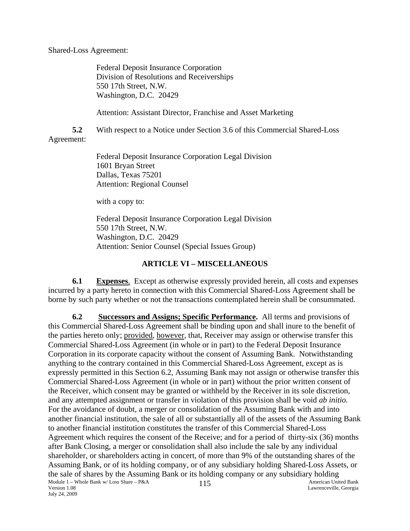Shared-Loss Agreement:

550 17th Street, N.W. Federal Deposit Insurance Corporation<br>Division of Resolutions and Receiverships<br>550 17th Street, N.W.<br>Washington, D.C. 20429

Attention: Assistant Director, Franchise and Asset Marketing

**5.2** With respect to a Notice under Section 3.6 of this Commercial Shared-Loss Agreement:

> Federal Deposit Insurance Corporation Legal Division<br>1601 Bryan Street<br>Dallas, Texas 75201<br>Attention: Regional Counsel Dallas, Texas 75201

with a copy to:

550 17th Street, N.W. Washington, D.C. 20429 Attention: Senior Counsel (Special Issues Group)

#### **ARTICLE VI – MISCELLANEOUS**

 **6.1 Expenses**. Except as otherwise expressly provided herein, all costs and expenses incurred by a party hereto in connection with this Commercial Shared-Loss Agreement shall be borne by such party whether or not the transactions contemplated herein shall be consummated.

**6.2** Successors and Assigns; Specific Performance. All terms and provisions of this Commercial Shared-Loss Agreement shall be binding upon and shall inure to the benefit of the parties hereto only; provided, however, that, Receiver may assign or otherwise transfer this Commercial Shared-Loss Agreement (in whole or in part) to the Federal Deposit Insurance Corporation in its corporate capacity without the consent of Assuming Bank. Notwithstanding anything to the contrary contained in this Commercial Shared-Loss Agreement, except as is expressly permitted in this Section 6.2, Assuming Bank may not assign or otherwise transfer this Commercial Shared-Loss Agreement (in whole or in part) without the prior written consent of the Receiver, which consent may be granted or withheld by the Receiver in its sole discretion, and any attempted assignment or transfer in violation of this provision shall be void *ab initio.*  For the avoidance of doubt, a merger or consolidation of the Assuming Bank with and into another financial institution, the sale of all or substantially all of the assets of the Assuming Bank to another financial institution constitutes the transfer of this Commercial Shared-Loss Agreement which requires the consent of the Receive; and for a period of thirty-six (36) months after Bank Closing, a merger or consolidation shall also include the sale by any individual shareholder, or shareholders acting in concert, of more than 9% of the outstanding shares of the Assuming Bank, or of its holding company, or of any subsidiary holding Shared-Loss Assets, or the sale of shares by the Assuming Bank or its holding company or any subsidiary holding<br>Module 1 – Whole Bank w/ Loss Share – P&A<br>American United Bank Module 1 – Whole Bank w/ Loss Share – P&A  $115$  American United Bank Version 1.08 Lawrenceville, Georgia July 24, 2009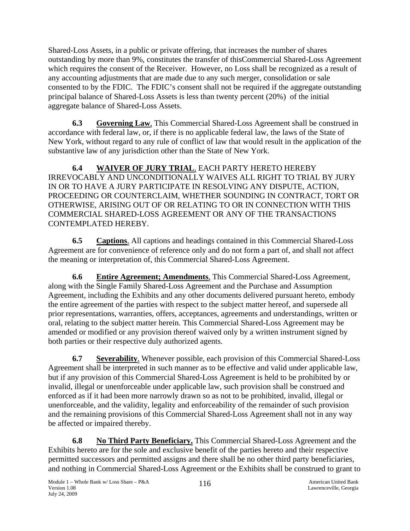Shared-Loss Assets, in a public or private offering, that increases the number of shares outstanding by more than 9%, constitutes the transfer of thisCommercial Shared-Loss Agreement which requires the consent of the Receiver. However, no Loss shall be recognized as a result of any accounting adjustments that are made due to any such merger, consolidation or sale consented to by the FDIC. The FDIC's consent shall not be required if the aggregate outstanding principal balance of Shared-Loss Assets is less than twenty percent (20%) of the initial aggregate balance of Shared-Loss Assets.

**6.3 Governing Law**. This Commercial Shared-Loss Agreement shall be construed in accordance with federal law, or, if there is no applicable federal law, the laws of the State of New York, without regard to any rule of conflict of law that would result in the application of the substantive law of any jurisdiction other than the State of New York.

**6.4 WAIVER OF JURY TRIAL**. EACH PARTY HERETO HEREBY IRREVOCABLY AND UNCONDITIONALLY WAIVES ALL RIGHT TO TRIAL BY JURY IN OR TO HAVE A JURY PARTICIPATE IN RESOLVING ANY DISPUTE, ACTION, PROCEEDING OR COUNTERCLAIM, WHETHER SOUNDING IN CONTRACT, TORT OR OTHERWISE, ARISING OUT OF OR RELATING TO OR IN CONNECTION WITH THIS COMMERCIAL SHARED-LOSS AGREEMENT OR ANY OF THE TRANSACTIONS CONTEMPLATED HEREBY.

**6.5 Captions**. All captions and headings contained in this Commercial Shared-Loss Agreement are for convenience of reference only and do not form a part of, and shall not affect the meaning or interpretation of, this Commercial Shared-Loss Agreement.

**6.6 Entire Agreement; Amendments**. This Commercial Shared-Loss Agreement, along with the Single Family Shared-Loss Agreement and the Purchase and Assumption Agreement, including the Exhibits and any other documents delivered pursuant hereto, embody the entire agreement of the parties with respect to the subject matter hereof, and supersede all prior representations, warranties, offers, acceptances, agreements and understandings, written or oral, relating to the subject matter herein. This Commercial Shared-Loss Agreement may be amended or modified or any provision thereof waived only by a written instrument signed by both parties or their respective duly authorized agents.

**6.7 Severability**. Whenever possible, each provision of this Commercial Shared-Loss Agreement shall be interpreted in such manner as to be effective and valid under applicable law, but if any provision of this Commercial Shared-Loss Agreement is held to be prohibited by or invalid, illegal or unenforceable under applicable law, such provision shall be construed and enforced as if it had been more narrowly drawn so as not to be prohibited, invalid, illegal or unenforceable, and the validity, legality and enforceability of the remainder of such provision and the remaining provisions of this Commercial Shared-Loss Agreement shall not in any way be affected or impaired thereby.

**6.8 No Third Party Beneficiary.** This Commercial Shared-Loss Agreement and the Exhibits hereto are for the sole and exclusive benefit of the parties hereto and their respective permitted successors and permitted assigns and there shall be no other third party beneficiaries, and nothing in Commercial Shared-Loss Agreement or the Exhibits shall be construed to grant to